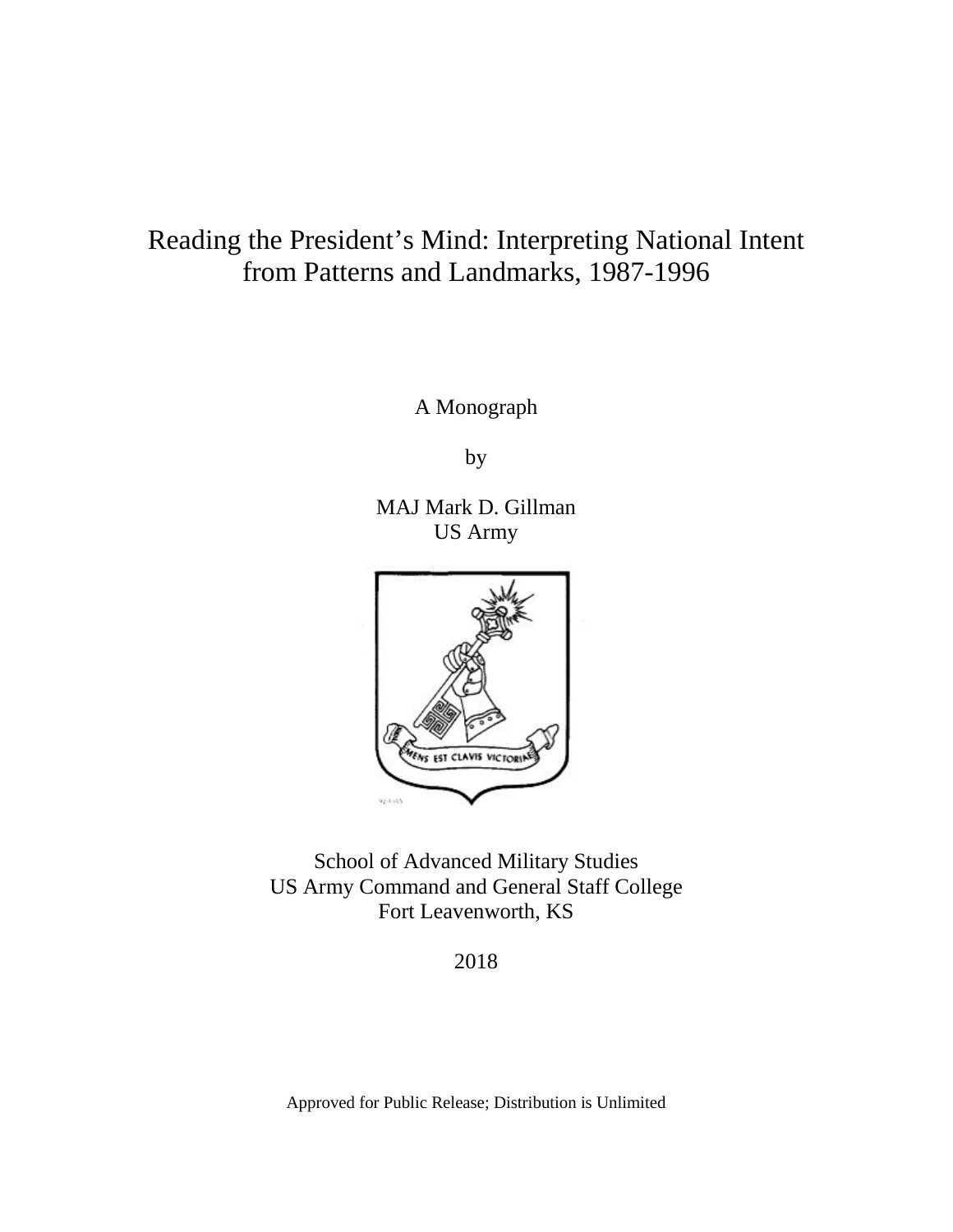# Reading the President's Mind: Interpreting National Intent from Patterns and Landmarks, 1987-1996

A Monograph

by

MAJ Mark D. Gillman US Army



School of Advanced Military Studies US Army Command and General Staff College Fort Leavenworth, KS

2018

Approved for Public Release; Distribution is Unlimited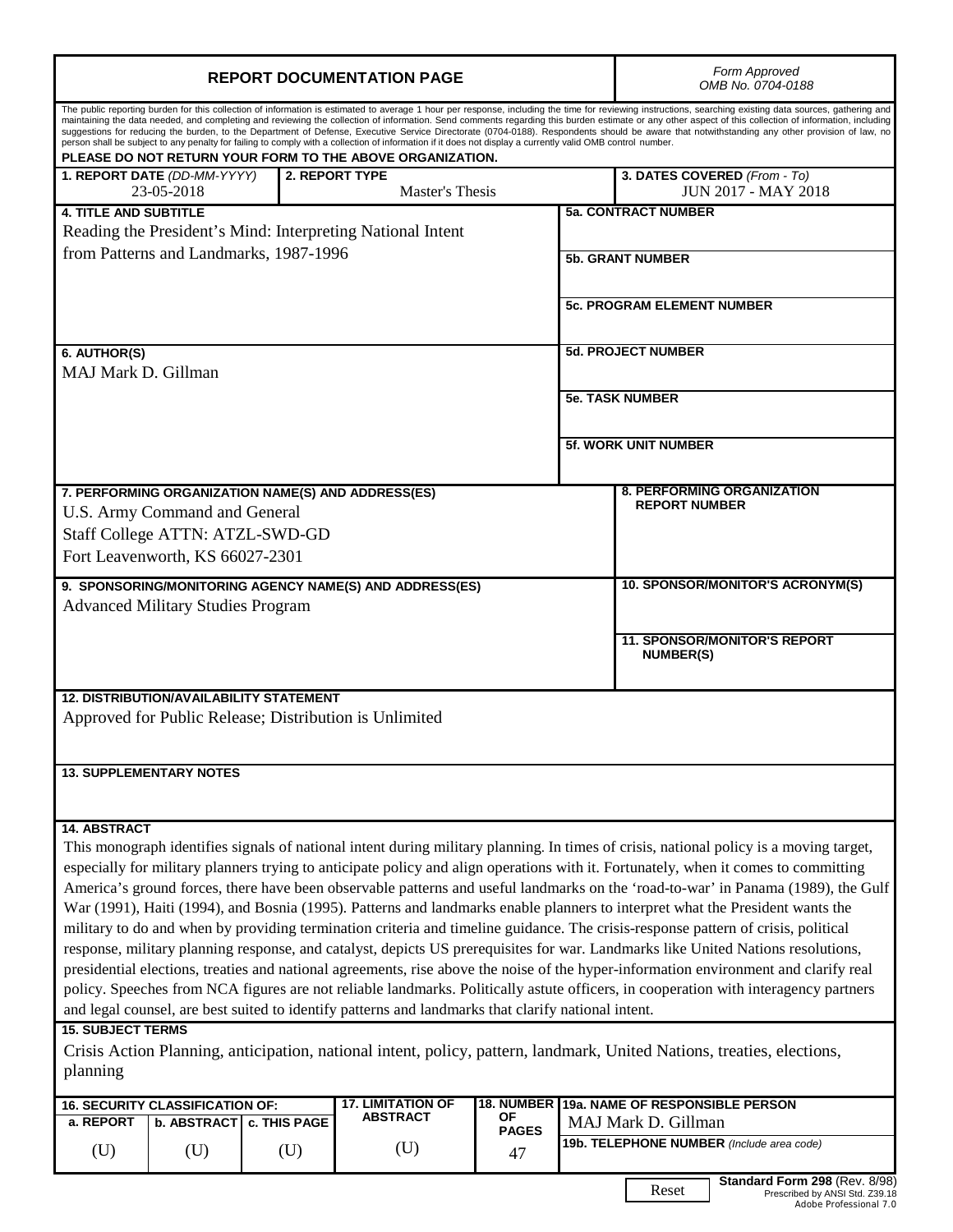| <b>REPORT DOCUMENTATION PAGE</b>                                                                                                                                                                                                                                                                                                                                                                                                                                                                                                                                                                                                                                                                                                                                                                                                                                                                                                                                                                                                                                                                                                                                                                                   |                                                            |                                   |                         |                                   | Form Approved<br>OMB No. 0704-0188                        |  |
|--------------------------------------------------------------------------------------------------------------------------------------------------------------------------------------------------------------------------------------------------------------------------------------------------------------------------------------------------------------------------------------------------------------------------------------------------------------------------------------------------------------------------------------------------------------------------------------------------------------------------------------------------------------------------------------------------------------------------------------------------------------------------------------------------------------------------------------------------------------------------------------------------------------------------------------------------------------------------------------------------------------------------------------------------------------------------------------------------------------------------------------------------------------------------------------------------------------------|------------------------------------------------------------|-----------------------------------|-------------------------|-----------------------------------|-----------------------------------------------------------|--|
| The public reporting burden for this collection of information is estimated to average 1 hour per response, including the time for reviewing instructions, searching existing data sources, gathering and<br>maintaining the data needed, and completing and reviewing the collection of information. Send comments regarding this burden estimate or any other aspect of this collection of information, including<br>suggestions for reducing the burden, to the Department of Defense, Executive Service Directorate (0704-0188). Respondents should be aware that notwithstanding any other provision of law, no<br>person shall be subject to any penalty for failing to comply with a collection of information if it does not display a currently valid OMB control number.<br>PLEASE DO NOT RETURN YOUR FORM TO THE ABOVE ORGANIZATION.                                                                                                                                                                                                                                                                                                                                                                    |                                                            |                                   |                         |                                   |                                                           |  |
| 1. REPORT DATE (DD-MM-YYYY)<br>23-05-2018                                                                                                                                                                                                                                                                                                                                                                                                                                                                                                                                                                                                                                                                                                                                                                                                                                                                                                                                                                                                                                                                                                                                                                          |                                                            | 2. REPORT TYPE<br>Master's Thesis |                         |                                   | 3. DATES COVERED (From - To)<br>JUN 2017 - MAY 2018       |  |
| <b>4. TITLE AND SUBTITLE</b>                                                                                                                                                                                                                                                                                                                                                                                                                                                                                                                                                                                                                                                                                                                                                                                                                                                                                                                                                                                                                                                                                                                                                                                       | Reading the President's Mind: Interpreting National Intent |                                   |                         | <b>5a. CONTRACT NUMBER</b>        |                                                           |  |
| from Patterns and Landmarks, 1987-1996                                                                                                                                                                                                                                                                                                                                                                                                                                                                                                                                                                                                                                                                                                                                                                                                                                                                                                                                                                                                                                                                                                                                                                             |                                                            |                                   | <b>5b. GRANT NUMBER</b> |                                   |                                                           |  |
|                                                                                                                                                                                                                                                                                                                                                                                                                                                                                                                                                                                                                                                                                                                                                                                                                                                                                                                                                                                                                                                                                                                                                                                                                    |                                                            |                                   |                         | <b>5c. PROGRAM ELEMENT NUMBER</b> |                                                           |  |
| 6. AUTHOR(S)                                                                                                                                                                                                                                                                                                                                                                                                                                                                                                                                                                                                                                                                                                                                                                                                                                                                                                                                                                                                                                                                                                                                                                                                       |                                                            |                                   |                         | <b>5d. PROJECT NUMBER</b>         |                                                           |  |
| MAJ Mark D. Gillman                                                                                                                                                                                                                                                                                                                                                                                                                                                                                                                                                                                                                                                                                                                                                                                                                                                                                                                                                                                                                                                                                                                                                                                                |                                                            |                                   |                         | <b>5e. TASK NUMBER</b>            |                                                           |  |
|                                                                                                                                                                                                                                                                                                                                                                                                                                                                                                                                                                                                                                                                                                                                                                                                                                                                                                                                                                                                                                                                                                                                                                                                                    |                                                            |                                   |                         |                                   | <b>5f. WORK UNIT NUMBER</b>                               |  |
| 7. PERFORMING ORGANIZATION NAME(S) AND ADDRESS(ES)<br>U.S. Army Command and General<br>Staff College ATTN: ATZL-SWD-GD<br>Fort Leavenworth, KS 66027-2301                                                                                                                                                                                                                                                                                                                                                                                                                                                                                                                                                                                                                                                                                                                                                                                                                                                                                                                                                                                                                                                          |                                                            |                                   |                         |                                   | <b>8. PERFORMING ORGANIZATION</b><br><b>REPORT NUMBER</b> |  |
| 9. SPONSORING/MONITORING AGENCY NAME(S) AND ADDRESS(ES)                                                                                                                                                                                                                                                                                                                                                                                                                                                                                                                                                                                                                                                                                                                                                                                                                                                                                                                                                                                                                                                                                                                                                            |                                                            |                                   |                         |                                   | 10. SPONSOR/MONITOR'S ACRONYM(S)                          |  |
| <b>Advanced Military Studies Program</b>                                                                                                                                                                                                                                                                                                                                                                                                                                                                                                                                                                                                                                                                                                                                                                                                                                                                                                                                                                                                                                                                                                                                                                           |                                                            |                                   |                         |                                   |                                                           |  |
|                                                                                                                                                                                                                                                                                                                                                                                                                                                                                                                                                                                                                                                                                                                                                                                                                                                                                                                                                                                                                                                                                                                                                                                                                    |                                                            |                                   |                         |                                   | <b>11. SPONSOR/MONITOR'S REPORT</b><br><b>NUMBER(S)</b>   |  |
| <b>12. DISTRIBUTION/AVAILABILITY STATEMENT</b><br>Approved for Public Release; Distribution is Unlimited                                                                                                                                                                                                                                                                                                                                                                                                                                                                                                                                                                                                                                                                                                                                                                                                                                                                                                                                                                                                                                                                                                           |                                                            |                                   |                         |                                   |                                                           |  |
| <b>13. SUPPLEMENTARY NOTES</b>                                                                                                                                                                                                                                                                                                                                                                                                                                                                                                                                                                                                                                                                                                                                                                                                                                                                                                                                                                                                                                                                                                                                                                                     |                                                            |                                   |                         |                                   |                                                           |  |
| <b>14. ABSTRACT</b>                                                                                                                                                                                                                                                                                                                                                                                                                                                                                                                                                                                                                                                                                                                                                                                                                                                                                                                                                                                                                                                                                                                                                                                                |                                                            |                                   |                         |                                   |                                                           |  |
| This monograph identifies signals of national intent during military planning. In times of crisis, national policy is a moving target,<br>especially for military planners trying to anticipate policy and align operations with it. Fortunately, when it comes to committing<br>America's ground forces, there have been observable patterns and useful landmarks on the 'road-to-war' in Panama (1989), the Gulf<br>War (1991), Haiti (1994), and Bosnia (1995). Patterns and landmarks enable planners to interpret what the President wants the<br>military to do and when by providing termination criteria and timeline guidance. The crisis-response pattern of crisis, political<br>response, military planning response, and catalyst, depicts US prerequisites for war. Landmarks like United Nations resolutions,<br>presidential elections, treaties and national agreements, rise above the noise of the hyper-information environment and clarify real<br>policy. Speeches from NCA figures are not reliable landmarks. Politically astute officers, in cooperation with interagency partners<br>and legal counsel, are best suited to identify patterns and landmarks that clarify national intent. |                                                            |                                   |                         |                                   |                                                           |  |
| <b>15. SUBJECT TERMS</b><br>Crisis Action Planning, anticipation, national intent, policy, pattern, landmark, United Nations, treaties, elections,<br>planning                                                                                                                                                                                                                                                                                                                                                                                                                                                                                                                                                                                                                                                                                                                                                                                                                                                                                                                                                                                                                                                     |                                                            |                                   |                         |                                   |                                                           |  |
| <b>18. NUMBER</b><br><b>17. LIMITATION OF</b><br>19a. NAME OF RESPONSIBLE PERSON<br>16. SECURITY CLASSIFICATION OF:<br><b>ABSTRACT</b><br>ΟF<br>MAJ Mark D. Gillman                                                                                                                                                                                                                                                                                                                                                                                                                                                                                                                                                                                                                                                                                                                                                                                                                                                                                                                                                                                                                                                |                                                            |                                   |                         |                                   |                                                           |  |
| a. REPORT<br><b>b. ABSTRACT</b><br>(U)<br>(U)                                                                                                                                                                                                                                                                                                                                                                                                                                                                                                                                                                                                                                                                                                                                                                                                                                                                                                                                                                                                                                                                                                                                                                      | <b>c. THIS PAGE</b><br>(U)                                 | (U)                               | <b>PAGES</b><br>47      |                                   | 19b. TELEPHONE NUMBER (Include area code)                 |  |

**Standard Form 298** (Rev. 8/98) Prescribed by ANSI Std. Z39.18 *Adobe Professional 7.0*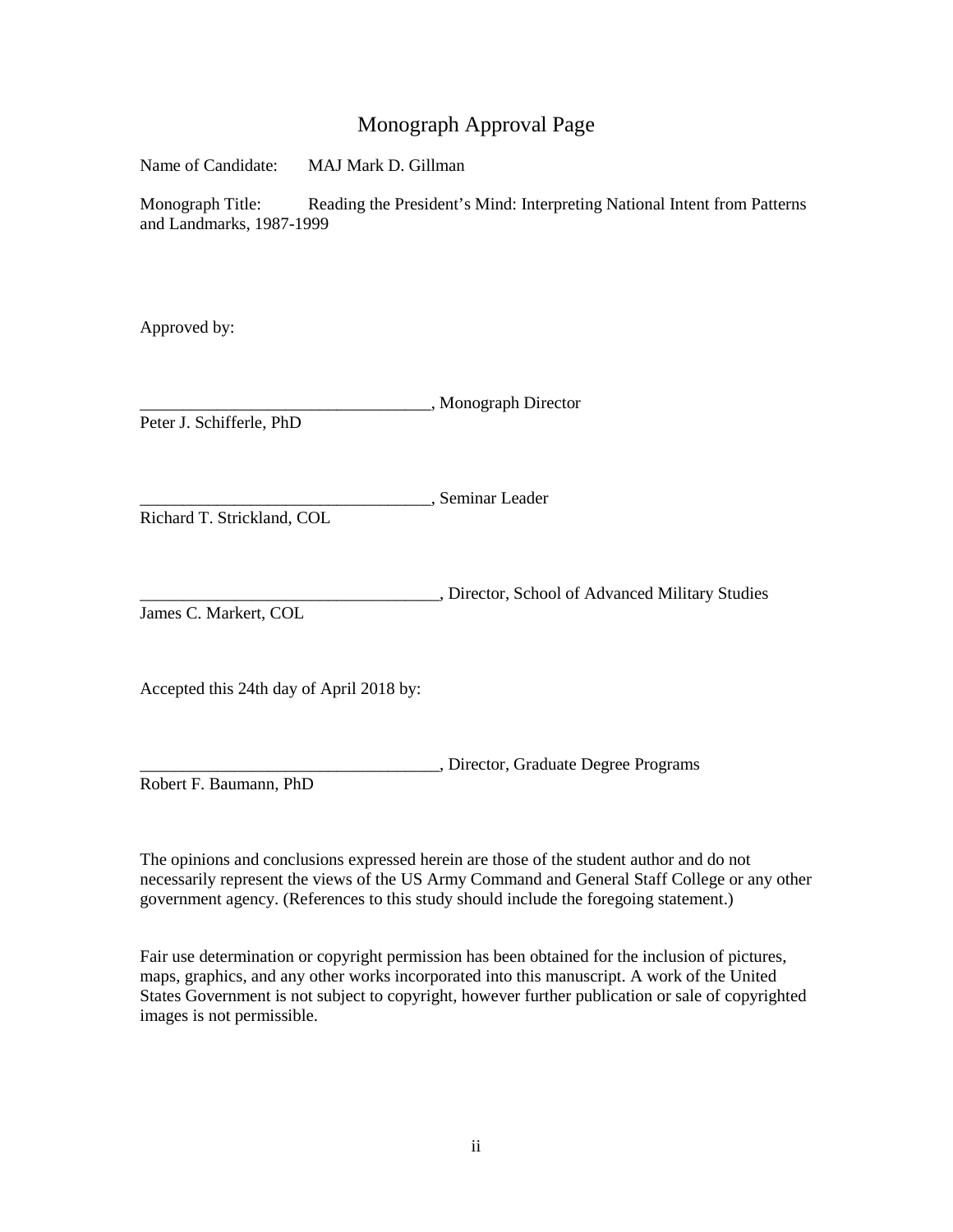## Monograph Approval Page

Name of Candidate: MAJ Mark D. Gillman

Monograph Title: Reading the President's Mind: Interpreting National Intent from Patterns and Landmarks, 1987-1999

Approved by:

\_\_\_\_\_\_\_\_\_\_\_\_\_\_\_\_\_\_\_\_\_\_\_\_\_\_\_\_\_\_\_\_\_\_, Monograph Director Peter J. Schifferle, PhD

\_\_\_\_\_\_\_\_\_\_\_\_\_\_\_\_\_\_\_\_\_\_\_\_\_\_\_\_\_\_\_\_\_\_, Seminar Leader

Richard T. Strickland, COL

\_\_\_\_\_\_\_\_\_\_\_\_\_\_\_\_\_\_\_\_\_\_\_\_\_\_\_\_\_\_\_\_\_\_\_, Director, School of Advanced Military Studies James C. Markert, COL

Accepted this 24th day of April 2018 by:

\_\_\_\_\_\_\_\_\_\_\_\_\_\_\_\_\_\_\_\_\_\_\_\_\_\_\_\_\_\_\_\_\_\_\_, Director, Graduate Degree Programs Robert F. Baumann, PhD

The opinions and conclusions expressed herein are those of the student author and do not necessarily represent the views of the US Army Command and General Staff College or any other government agency. (References to this study should include the foregoing statement.)

Fair use determination or copyright permission has been obtained for the inclusion of pictures, maps, graphics, and any other works incorporated into this manuscript. A work of the United States Government is not subject to copyright, however further publication or sale of copyrighted images is not permissible.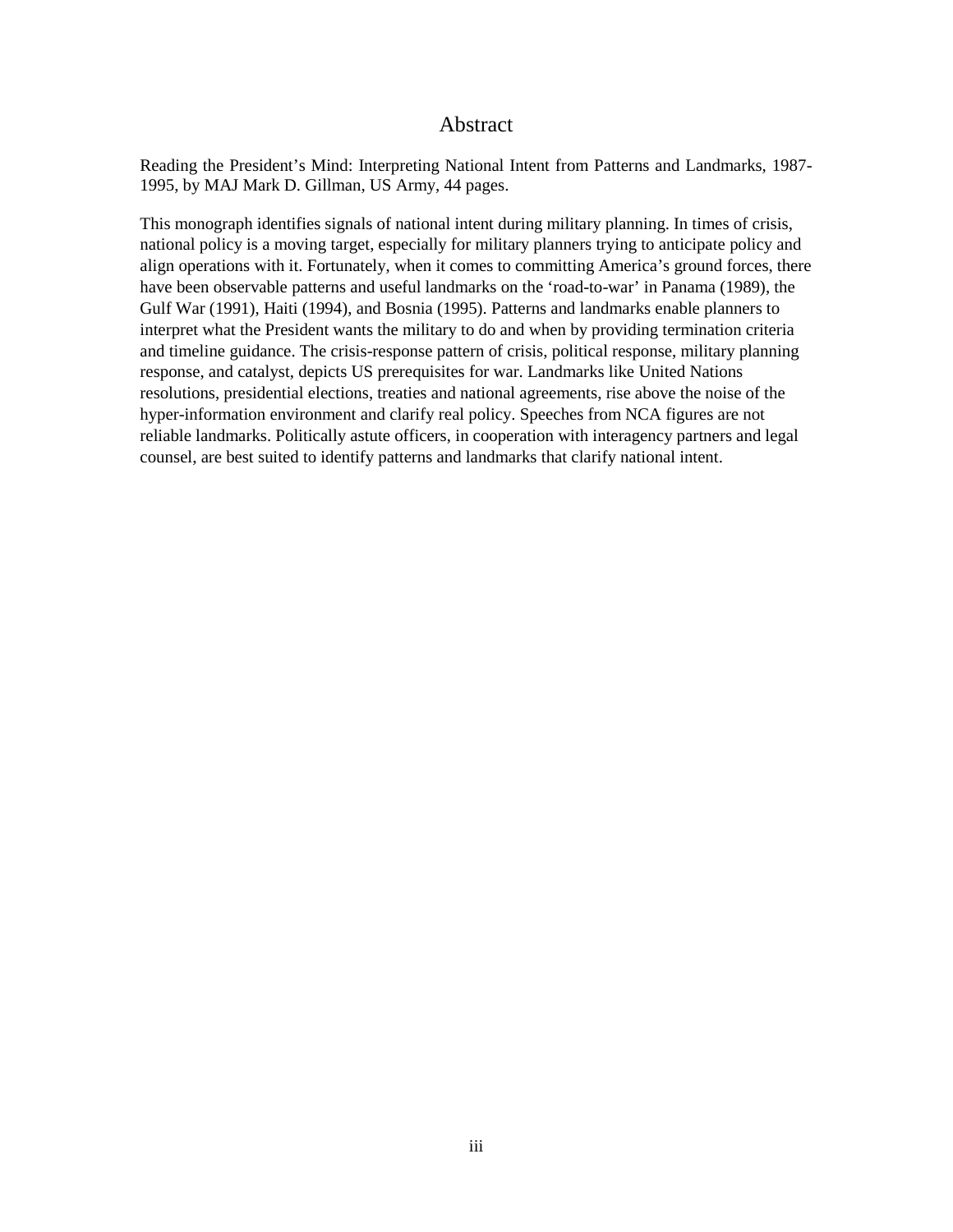## Abstract

<span id="page-3-0"></span>Reading the President's Mind: Interpreting National Intent from Patterns and Landmarks, 1987- 1995, by MAJ Mark D. Gillman, US Army, 44 pages.

This monograph identifies signals of national intent during military planning. In times of crisis, national policy is a moving target, especially for military planners trying to anticipate policy and align operations with it. Fortunately, when it comes to committing America's ground forces, there have been observable patterns and useful landmarks on the 'road-to-war' in Panama (1989), the Gulf War (1991), Haiti (1994), and Bosnia (1995). Patterns and landmarks enable planners to interpret what the President wants the military to do and when by providing termination criteria and timeline guidance. The crisis-response pattern of crisis, political response, military planning response, and catalyst, depicts US prerequisites for war. Landmarks like United Nations resolutions, presidential elections, treaties and national agreements, rise above the noise of the hyper-information environment and clarify real policy. Speeches from NCA figures are not reliable landmarks. Politically astute officers, in cooperation with interagency partners and legal counsel, are best suited to identify patterns and landmarks that clarify national intent.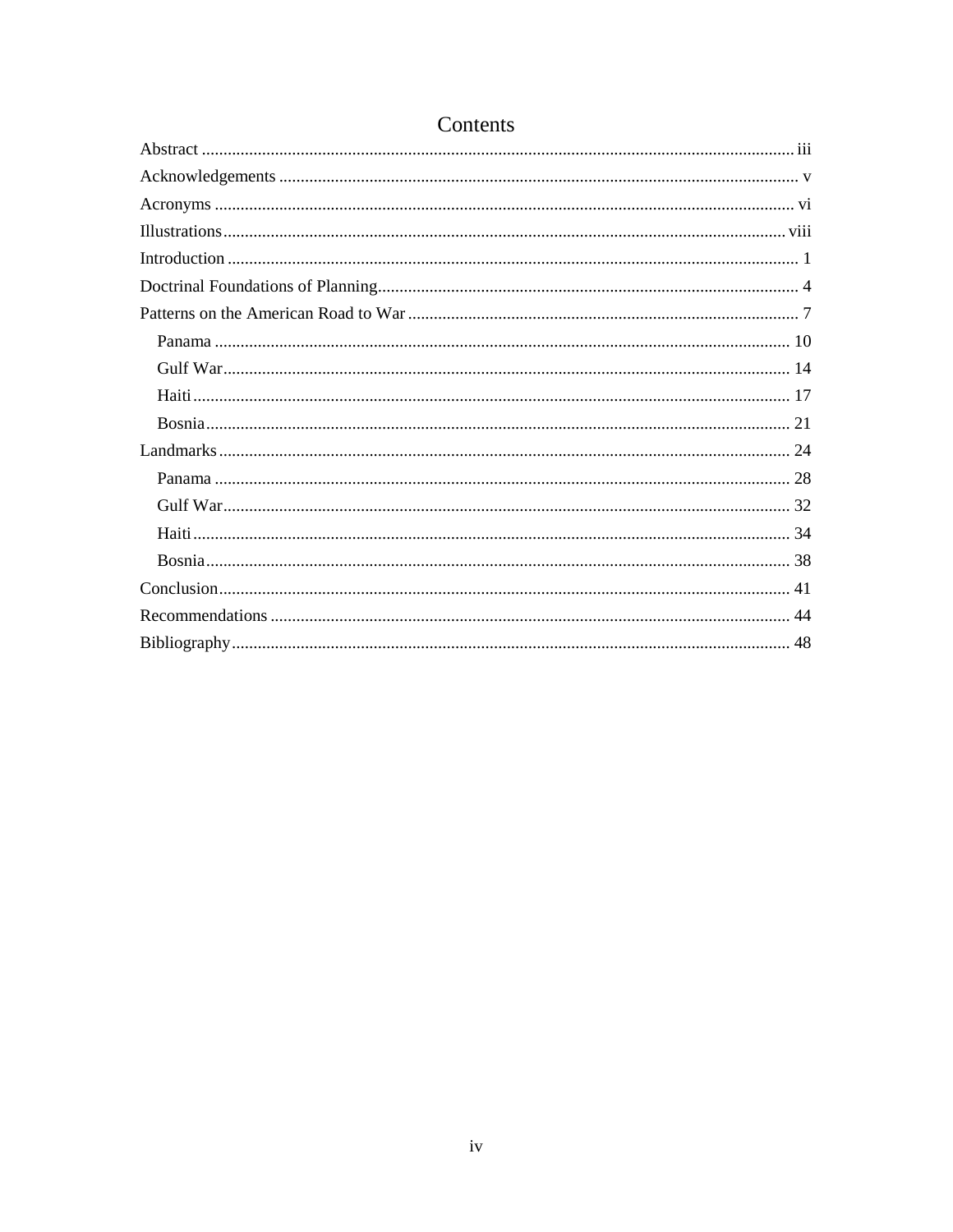## Contents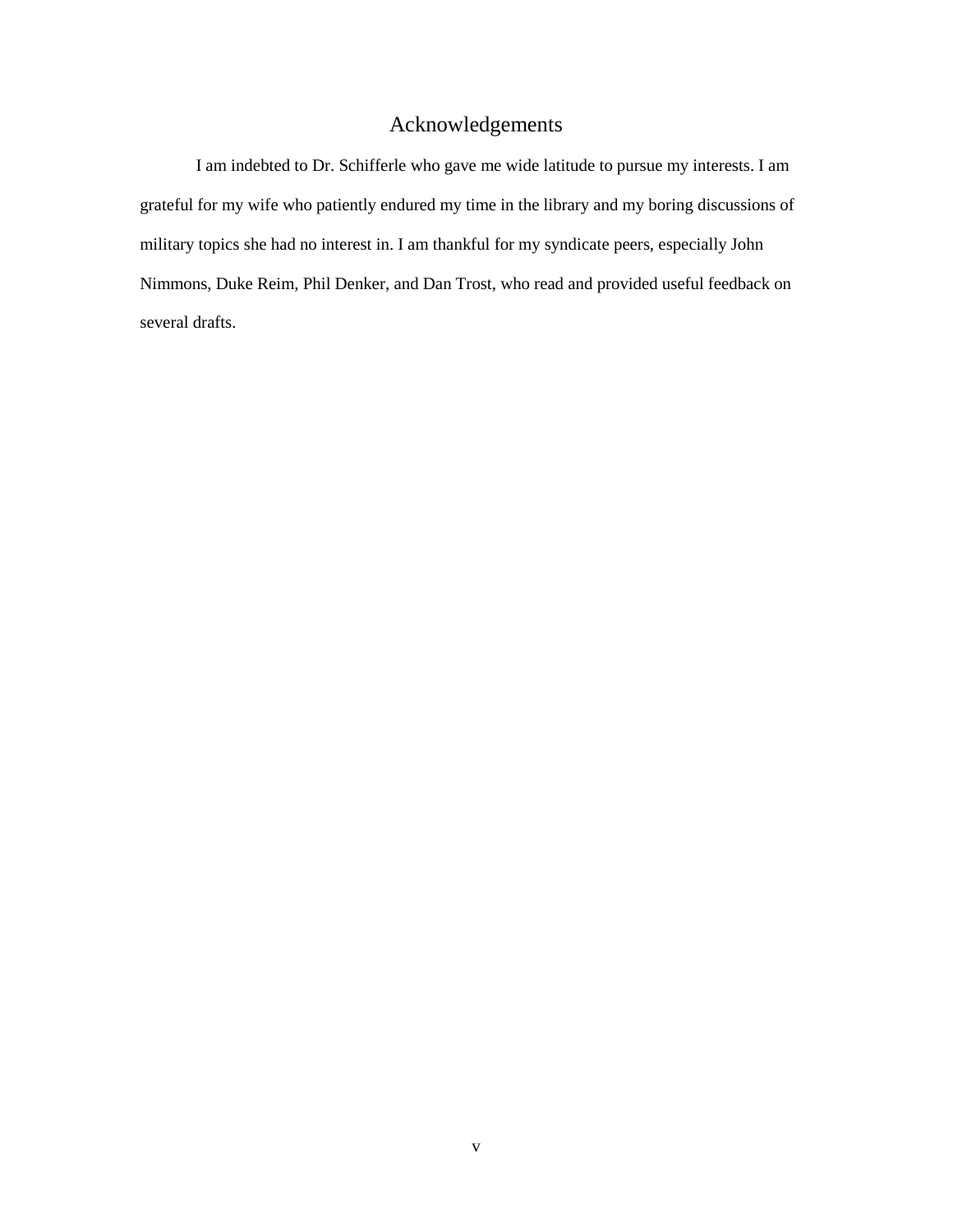## Acknowledgements

<span id="page-5-0"></span>I am indebted to Dr. Schifferle who gave me wide latitude to pursue my interests. I am grateful for my wife who patiently endured my time in the library and my boring discussions of military topics she had no interest in. I am thankful for my syndicate peers, especially John Nimmons, Duke Reim, Phil Denker, and Dan Trost, who read and provided useful feedback on several drafts.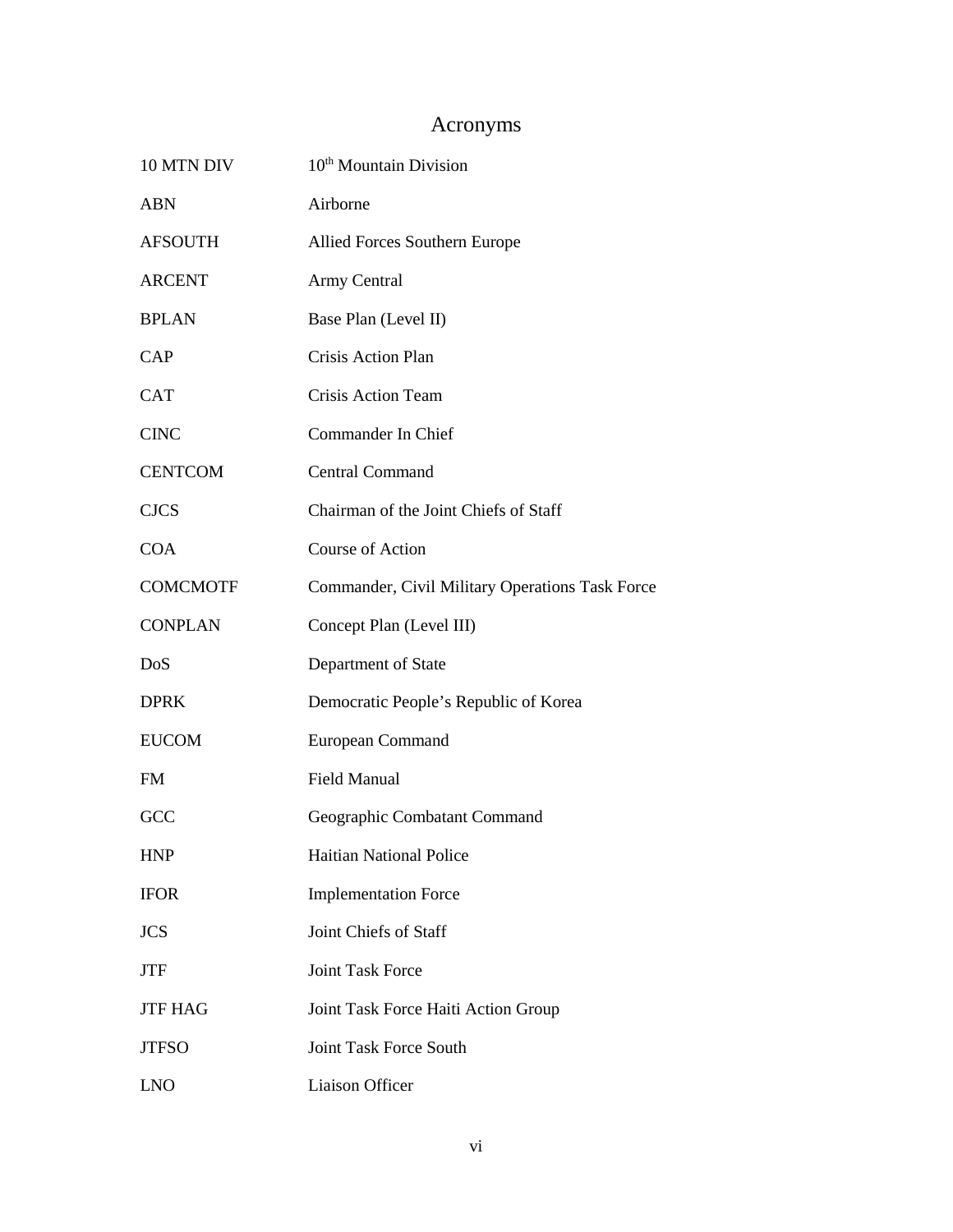# Acronyms

<span id="page-6-0"></span>

| 10 MTN DIV      | 10 <sup>th</sup> Mountain Division              |  |  |
|-----------------|-------------------------------------------------|--|--|
| <b>ABN</b>      | Airborne                                        |  |  |
| <b>AFSOUTH</b>  | Allied Forces Southern Europe                   |  |  |
| <b>ARCENT</b>   | Army Central                                    |  |  |
| <b>BPLAN</b>    | Base Plan (Level II)                            |  |  |
| CAP             | Crisis Action Plan                              |  |  |
| <b>CAT</b>      | Crisis Action Team                              |  |  |
| <b>CINC</b>     | Commander In Chief                              |  |  |
| <b>CENTCOM</b>  | <b>Central Command</b>                          |  |  |
| <b>CJCS</b>     | Chairman of the Joint Chiefs of Staff           |  |  |
| <b>COA</b>      | Course of Action                                |  |  |
| <b>COMCMOTF</b> | Commander, Civil Military Operations Task Force |  |  |
| <b>CONPLAN</b>  | Concept Plan (Level III)                        |  |  |
| DoS             | Department of State                             |  |  |
| <b>DPRK</b>     | Democratic People's Republic of Korea           |  |  |
| <b>EUCOM</b>    | European Command                                |  |  |
| <b>FM</b>       | <b>Field Manual</b>                             |  |  |
| GCC             | Geographic Combatant Command                    |  |  |
| <b>HNP</b>      | <b>Haitian National Police</b>                  |  |  |
| <b>IFOR</b>     | <b>Implementation Force</b>                     |  |  |
| <b>JCS</b>      | Joint Chiefs of Staff                           |  |  |
| <b>JTF</b>      | <b>Joint Task Force</b>                         |  |  |
| <b>JTF HAG</b>  | Joint Task Force Haiti Action Group             |  |  |
| <b>JTFSO</b>    | <b>Joint Task Force South</b>                   |  |  |
| <b>LNO</b>      | Liaison Officer                                 |  |  |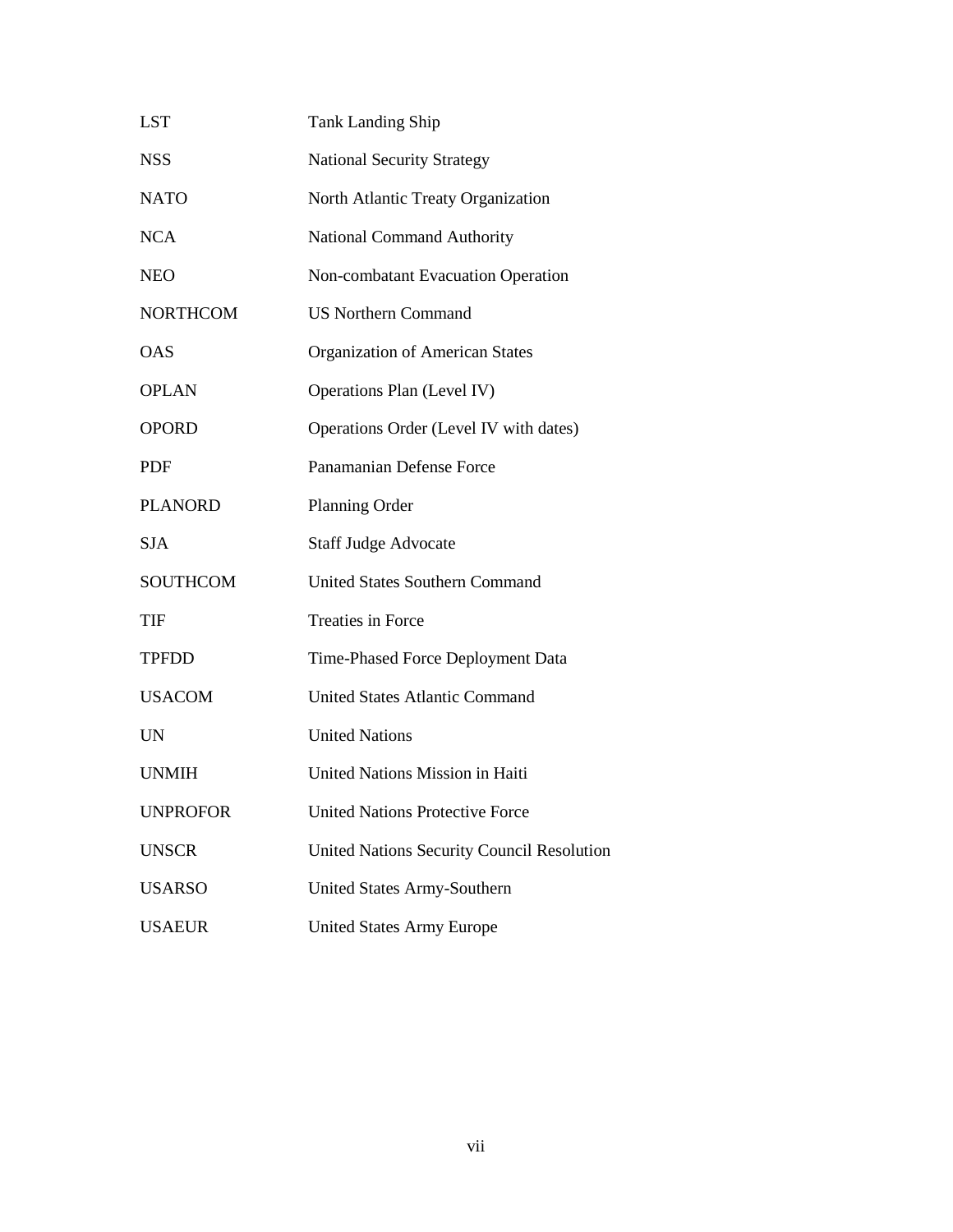| <b>LST</b>      | <b>Tank Landing Ship</b>                   |  |  |
|-----------------|--------------------------------------------|--|--|
| <b>NSS</b>      | <b>National Security Strategy</b>          |  |  |
| <b>NATO</b>     | North Atlantic Treaty Organization         |  |  |
| <b>NCA</b>      | <b>National Command Authority</b>          |  |  |
| <b>NEO</b>      | Non-combatant Evacuation Operation         |  |  |
| <b>NORTHCOM</b> | <b>US Northern Command</b>                 |  |  |
| <b>OAS</b>      | <b>Organization of American States</b>     |  |  |
| <b>OPLAN</b>    | Operations Plan (Level IV)                 |  |  |
| <b>OPORD</b>    | Operations Order (Level IV with dates)     |  |  |
| <b>PDF</b>      | Panamanian Defense Force                   |  |  |
| <b>PLANORD</b>  | Planning Order                             |  |  |
| <b>SJA</b>      | <b>Staff Judge Advocate</b>                |  |  |
| <b>SOUTHCOM</b> | <b>United States Southern Command</b>      |  |  |
| <b>TIF</b>      | <b>Treaties in Force</b>                   |  |  |
| <b>TPFDD</b>    | Time-Phased Force Deployment Data          |  |  |
| <b>USACOM</b>   | <b>United States Atlantic Command</b>      |  |  |
| <b>UN</b>       | <b>United Nations</b>                      |  |  |
| <b>UNMIH</b>    | United Nations Mission in Haiti            |  |  |
| <b>UNPROFOR</b> | <b>United Nations Protective Force</b>     |  |  |
| <b>UNSCR</b>    | United Nations Security Council Resolution |  |  |
| <b>USARSO</b>   | United States Army-Southern                |  |  |
| <b>USAEUR</b>   | <b>United States Army Europe</b>           |  |  |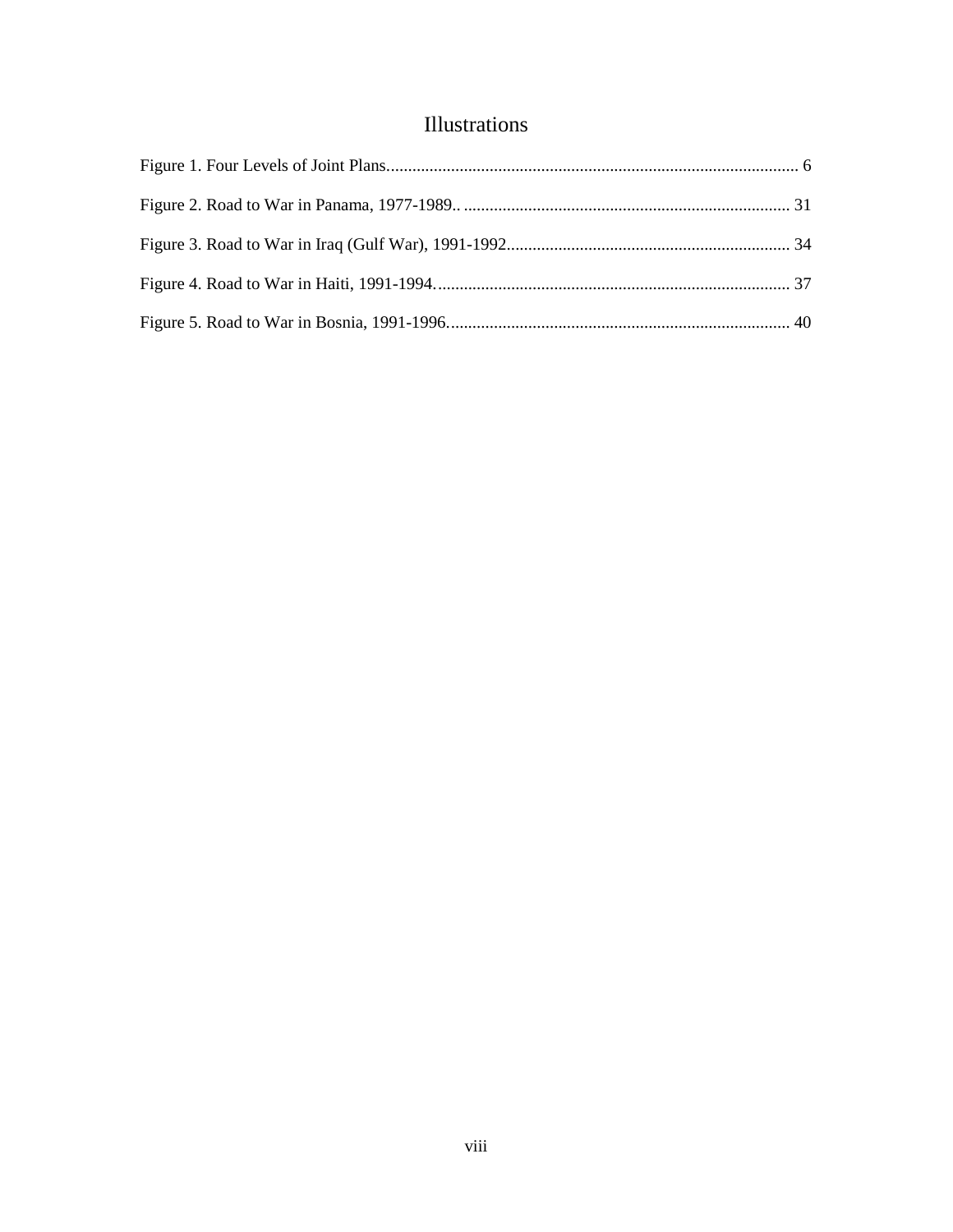## Illustrations

<span id="page-8-0"></span>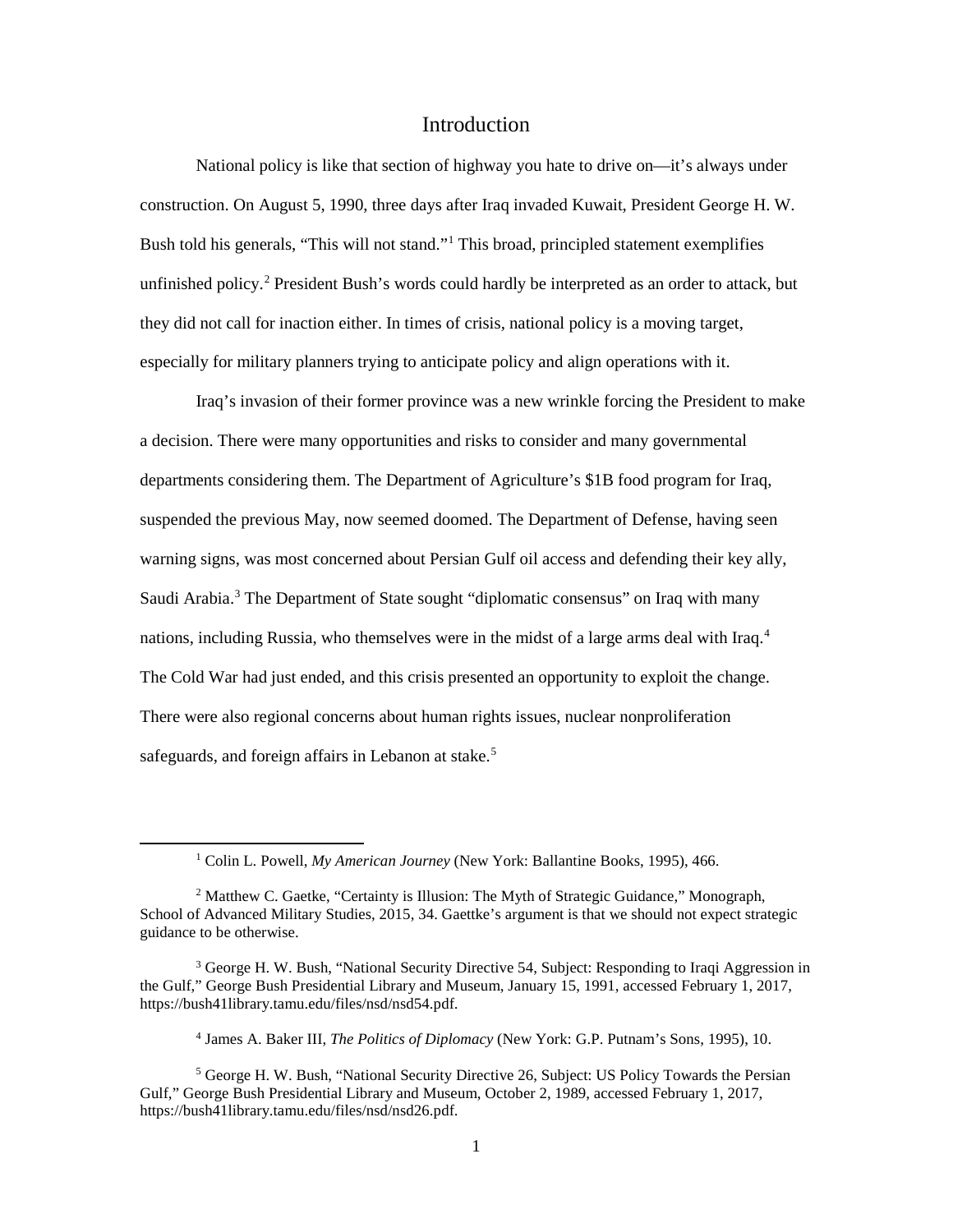## Introduction

<span id="page-9-0"></span>National policy is like that section of highway you hate to drive on—it's always under construction. On August 5, 1990, three days after Iraq invaded Kuwait, President George H. W. Bush told his generals, "This will not stand."[1](#page-9-1) This broad, principled statement exemplifies unfinished policy.<sup>[2](#page-9-2)</sup> President Bush's words could hardly be interpreted as an order to attack, but they did not call for inaction either. In times of crisis, national policy is a moving target, especially for military planners trying to anticipate policy and align operations with it.

Iraq's invasion of their former province was a new wrinkle forcing the President to make a decision. There were many opportunities and risks to consider and many governmental departments considering them. The Department of Agriculture's \$1B food program for Iraq, suspended the previous May, now seemed doomed. The Department of Defense, having seen warning signs, was most concerned about Persian Gulf oil access and defending their key ally, Saudi Arabia.<sup>[3](#page-9-3)</sup> The Department of State sought "diplomatic consensus" on Iraq with many nations, including Russia, who themselves were in the midst of a large arms deal with Iraq.<sup>[4](#page-9-4)</sup> The Cold War had just ended, and this crisis presented an opportunity to exploit the change. There were also regional concerns about human rights issues, nuclear nonproliferation safeguards, and foreign affairs in Lebanon at stake.<sup>[5](#page-9-5)</sup>

<sup>4</sup> James A. Baker III, *The Politics of Diplomacy* (New York: G.P. Putnam's Sons, 1995), 10.

 <sup>1</sup> Colin L. Powell, *My American Journey* (New York: Ballantine Books, 1995), 466.

<span id="page-9-2"></span><span id="page-9-1"></span><sup>&</sup>lt;sup>2</sup> Matthew C. Gaetke, "Certainty is Illusion: The Myth of Strategic Guidance," Monograph, School of Advanced Military Studies, 2015, 34. Gaettke's argument is that we should not expect strategic guidance to be otherwise.

<span id="page-9-3"></span><sup>&</sup>lt;sup>3</sup> George H. W. Bush, "National Security Directive 54, Subject: Responding to Iraqi Aggression in the Gulf," George Bush Presidential Library and Museum, January 15, 1991, accessed February 1, 2017, https://bush41library.tamu.edu/files/nsd/nsd54.pdf.

<span id="page-9-5"></span><span id="page-9-4"></span><sup>5</sup> George H. W. Bush, "National Security Directive 26, Subject: US Policy Towards the Persian Gulf," George Bush Presidential Library and Museum, October 2, 1989, accessed February 1, 2017, https://bush41library.tamu.edu/files/nsd/nsd26.pdf.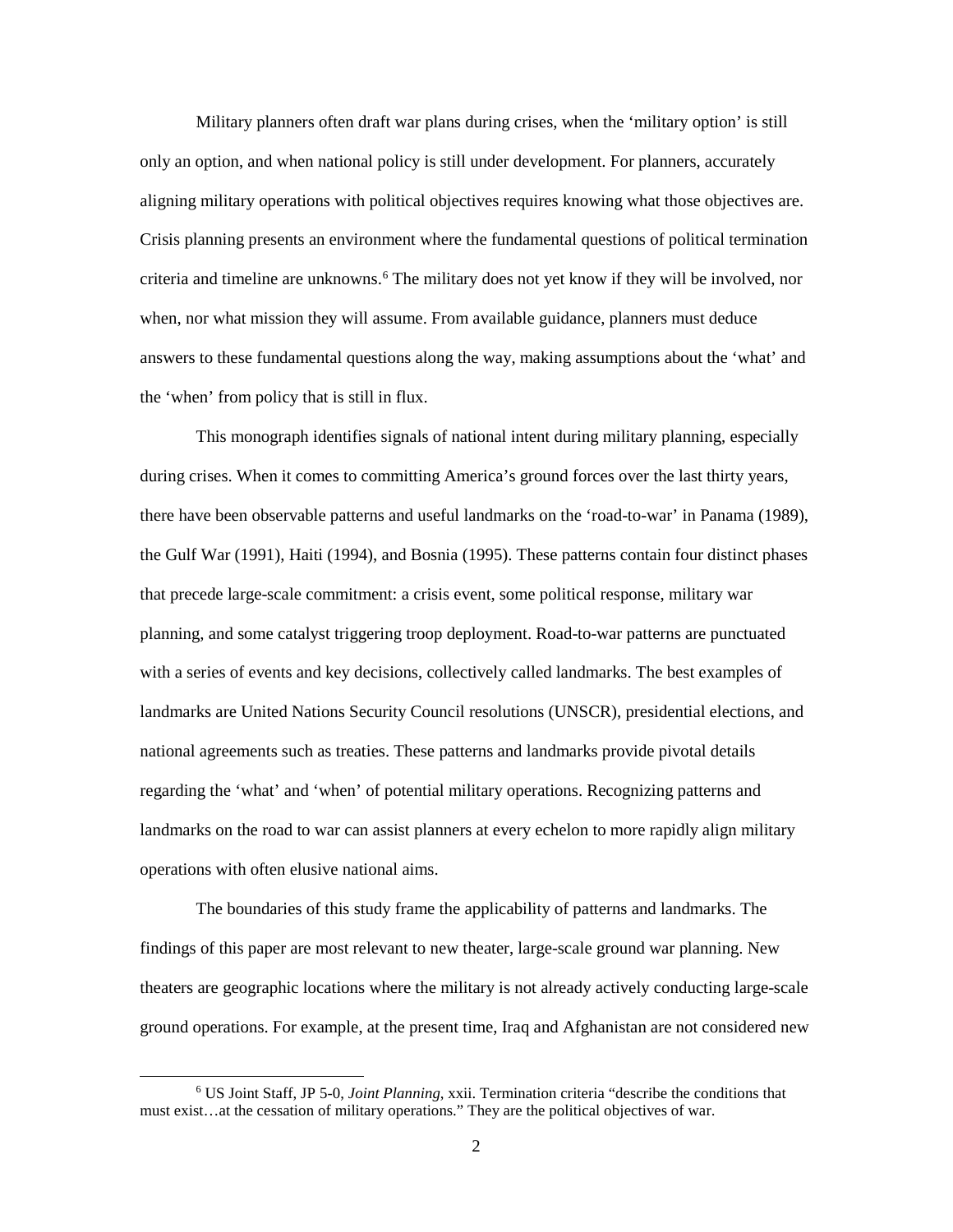Military planners often draft war plans during crises, when the 'military option' is still only an option, and when national policy is still under development. For planners, accurately aligning military operations with political objectives requires knowing what those objectives are. Crisis planning presents an environment where the fundamental questions of political termination criteria and timeline are unknowns.<sup>[6](#page-10-0)</sup> The military does not yet know if they will be involved, nor when, nor what mission they will assume. From available guidance, planners must deduce answers to these fundamental questions along the way, making assumptions about the 'what' and the 'when' from policy that is still in flux.

This monograph identifies signals of national intent during military planning, especially during crises. When it comes to committing America's ground forces over the last thirty years, there have been observable patterns and useful landmarks on the 'road-to-war' in Panama (1989), the Gulf War (1991), Haiti (1994), and Bosnia (1995). These patterns contain four distinct phases that precede large-scale commitment: a crisis event, some political response, military war planning, and some catalyst triggering troop deployment. Road-to-war patterns are punctuated with a series of events and key decisions, collectively called landmarks. The best examples of landmarks are United Nations Security Council resolutions (UNSCR), presidential elections, and national agreements such as treaties. These patterns and landmarks provide pivotal details regarding the 'what' and 'when' of potential military operations. Recognizing patterns and landmarks on the road to war can assist planners at every echelon to more rapidly align military operations with often elusive national aims.

The boundaries of this study frame the applicability of patterns and landmarks. The findings of this paper are most relevant to new theater, large-scale ground war planning. New theaters are geographic locations where the military is not already actively conducting large-scale ground operations. For example, at the present time, Iraq and Afghanistan are not considered new

<span id="page-10-0"></span> <sup>6</sup> US Joint Staff, JP 5-0, *Joint Planning*, xxii. Termination criteria "describe the conditions that must exist…at the cessation of military operations." They are the political objectives of war.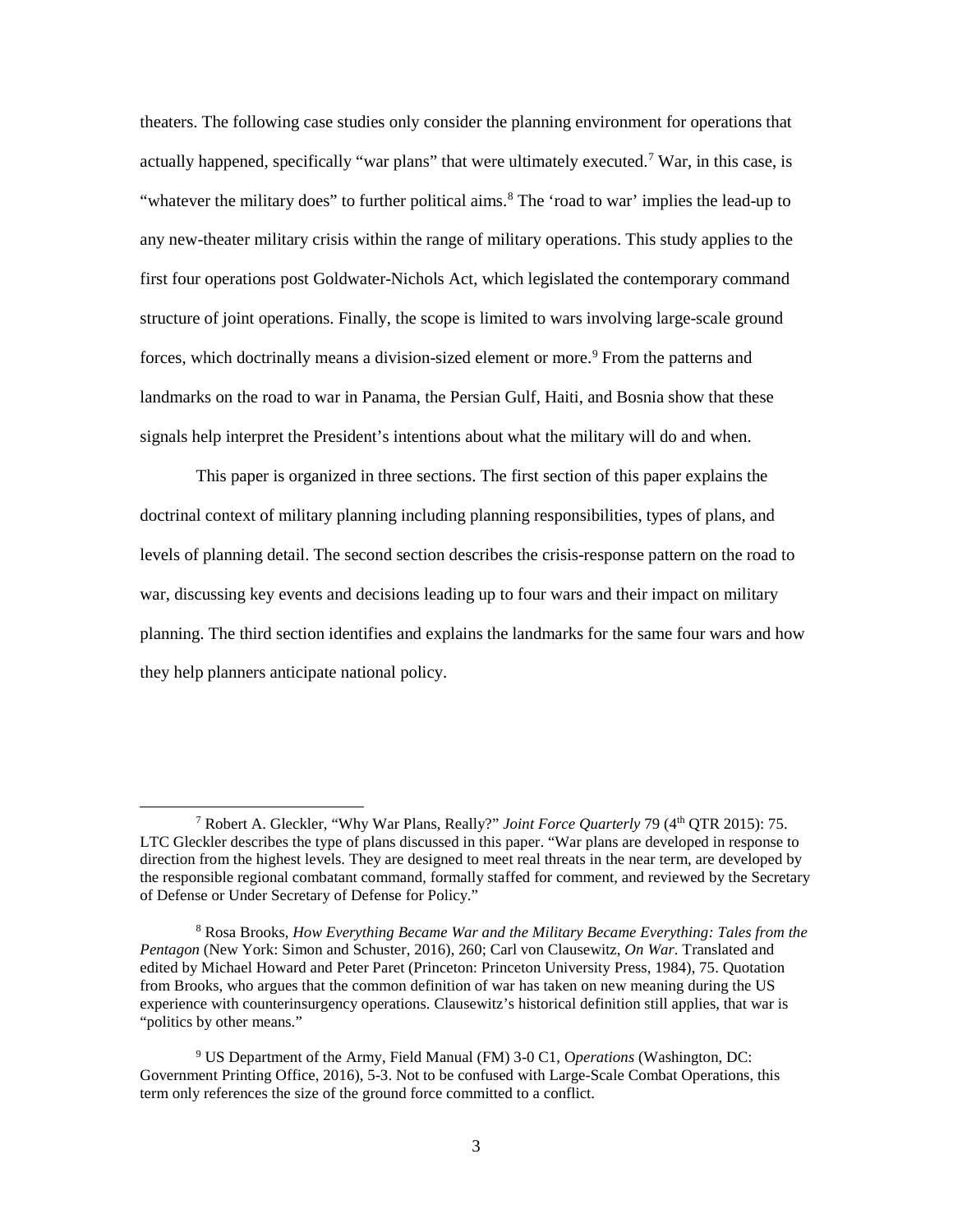theaters. The following case studies only consider the planning environment for operations that actually happened, specifically "war plans" that were ultimately executed.[7](#page-11-0) War, in this case, is "whatever the military does" to further political aims. $8$  The 'road to war' implies the lead-up to any new-theater military crisis within the range of military operations. This study applies to the first four operations post Goldwater-Nichols Act, which legislated the contemporary command structure of joint operations. Finally, the scope is limited to wars involving large-scale ground forces, which doctrinally means a division-sized element or more.<sup>[9](#page-11-2)</sup> From the patterns and landmarks on the road to war in Panama, the Persian Gulf, Haiti, and Bosnia show that these signals help interpret the President's intentions about what the military will do and when.

This paper is organized in three sections. The first section of this paper explains the doctrinal context of military planning including planning responsibilities, types of plans, and levels of planning detail. The second section describes the crisis-response pattern on the road to war, discussing key events and decisions leading up to four wars and their impact on military planning. The third section identifies and explains the landmarks for the same four wars and how they help planners anticipate national policy.

<span id="page-11-0"></span> <sup>7</sup> Robert A. Gleckler, "Why War Plans, Really?" *Joint Force Quarterly* 79 (4th QTR 2015): 75. LTC Gleckler describes the type of plans discussed in this paper. "War plans are developed in response to direction from the highest levels. They are designed to meet real threats in the near term, are developed by the responsible regional combatant command, formally staffed for comment, and reviewed by the Secretary of Defense or Under Secretary of Defense for Policy."

<span id="page-11-1"></span><sup>8</sup> Rosa Brooks, *How Everything Became War and the Military Became Everything: Tales from the Pentagon* (New York: Simon and Schuster, 2016), 260; Carl von Clausewitz, *On War*. Translated and edited by Michael Howard and Peter Paret (Princeton: Princeton University Press, 1984), 75. Quotation from Brooks, who argues that the common definition of war has taken on new meaning during the US experience with counterinsurgency operations. Clausewitz's historical definition still applies, that war is "politics by other means."

<span id="page-11-2"></span><sup>9</sup> US Department of the Army, Field Manual (FM) 3-0 C1, O*perations* (Washington, DC: Government Printing Office, 2016), 5-3. Not to be confused with Large-Scale Combat Operations, this term only references the size of the ground force committed to a conflict.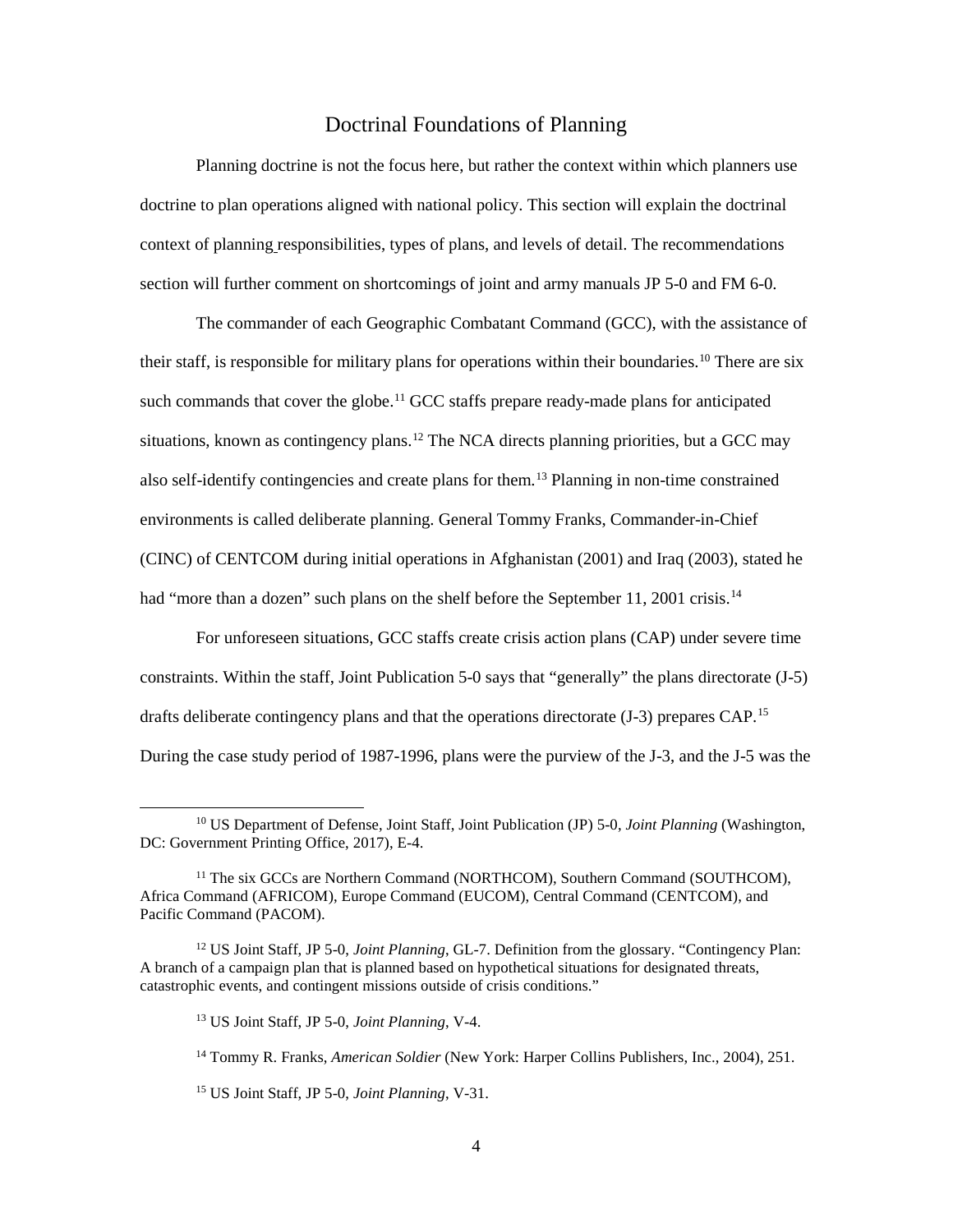## Doctrinal Foundations of Planning

<span id="page-12-0"></span>Planning doctrine is not the focus here, but rather the context within which planners use doctrine to plan operations aligned with national policy. This section will explain the doctrinal context of planning responsibilities, types of plans, and levels of detail. The recommendations section will further comment on shortcomings of joint and army manuals JP 5-0 and FM 6-0.

The commander of each Geographic Combatant Command (GCC), with the assistance of their staff, is responsible for military plans for operations within their boundaries.<sup>[10](#page-12-1)</sup> There are six such commands that cover the globe.<sup>[11](#page-12-2)</sup> GCC staffs prepare ready-made plans for anticipated situations, known as contingency plans.<sup>[12](#page-12-3)</sup> The NCA directs planning priorities, but a GCC may also self-identify contingencies and create plans for them.[13](#page-12-4) Planning in non-time constrained environments is called deliberate planning. General Tommy Franks, Commander-in-Chief (CINC) of CENTCOM during initial operations in Afghanistan (2001) and Iraq (2003), stated he had "more than a dozen" such plans on the shelf before the September 11, 2001 crisis.<sup>[14](#page-12-5)</sup>

For unforeseen situations, GCC staffs create crisis action plans (CAP) under severe time constraints. Within the staff, Joint Publication 5-0 says that "generally" the plans directorate (J-5) drafts deliberate contingency plans and that the operations directorate (J-3) prepares CAP.<sup>[15](#page-12-6)</sup> During the case study period of 1987-1996, plans were the purview of the J-3, and the J-5 was the

<span id="page-12-6"></span><sup>15</sup> US Joint Staff, JP 5-0, *Joint Planning*, V-31.

<span id="page-12-1"></span> <sup>10</sup> US Department of Defense, Joint Staff, Joint Publication (JP) 5-0, *Joint Planning* (Washington, DC: Government Printing Office, 2017), E-4.

<span id="page-12-2"></span><sup>&</sup>lt;sup>11</sup> The six GCCs are Northern Command (NORTHCOM), Southern Command (SOUTHCOM), Africa Command (AFRICOM), Europe Command (EUCOM), Central Command (CENTCOM), and Pacific Command (PACOM).

<span id="page-12-5"></span><span id="page-12-4"></span><span id="page-12-3"></span><sup>12</sup> US Joint Staff, JP 5-0, *Joint Planning*, GL-7. Definition from the glossary. "Contingency Plan: A branch of a campaign plan that is planned based on hypothetical situations for designated threats, catastrophic events, and contingent missions outside of crisis conditions."

<sup>13</sup> US Joint Staff, JP 5-0, *Joint Planning*, V-4.

<sup>14</sup> Tommy R. Franks, *American Soldier* (New York: Harper Collins Publishers, Inc., 2004), 251.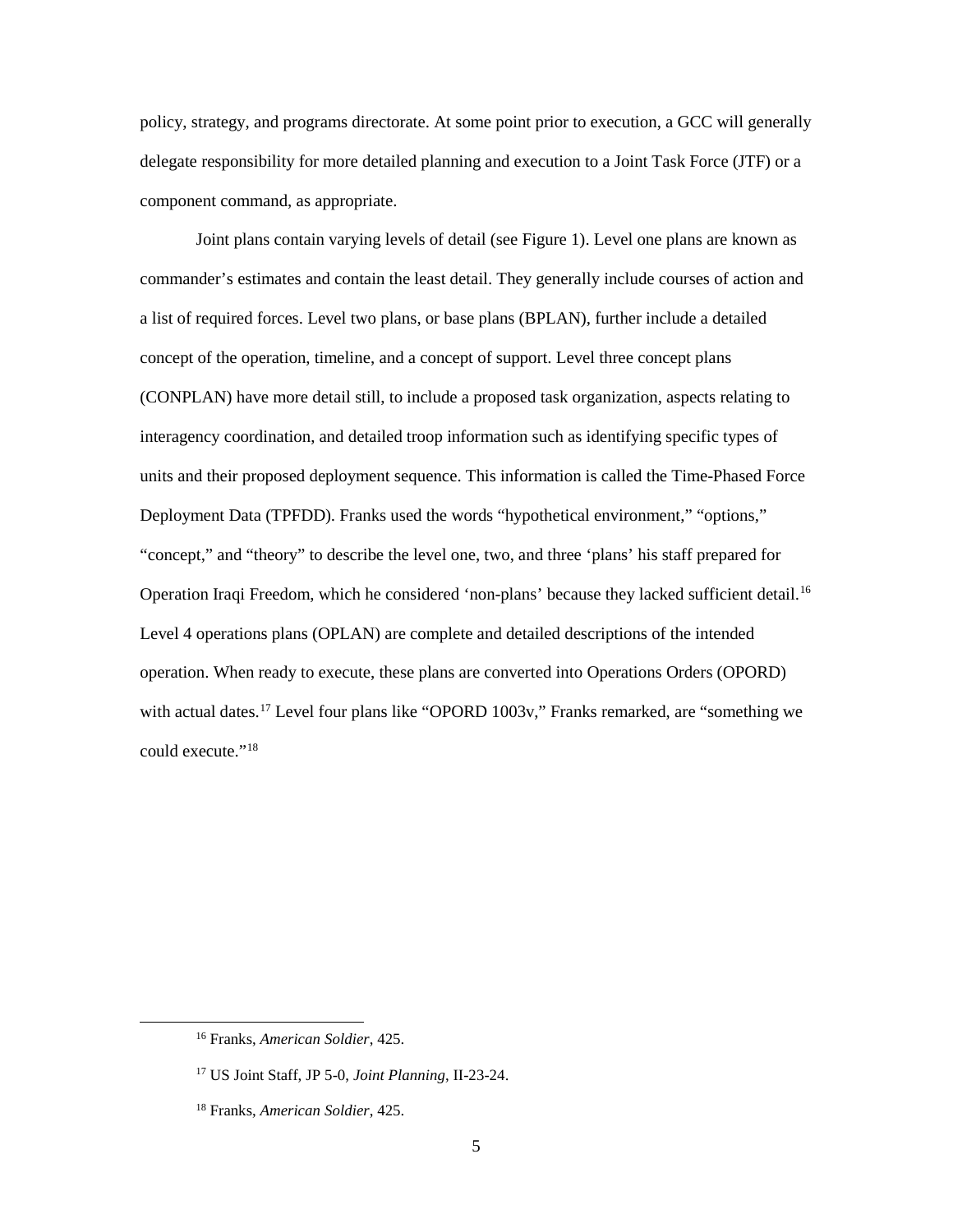policy, strategy, and programs directorate. At some point prior to execution, a GCC will generally delegate responsibility for more detailed planning and execution to a Joint Task Force (JTF) or a component command, as appropriate.

Joint plans contain varying levels of detail (see Figure 1). Level one plans are known as commander's estimates and contain the least detail. They generally include courses of action and a list of required forces. Level two plans, or base plans (BPLAN), further include a detailed concept of the operation, timeline, and a concept of support. Level three concept plans (CONPLAN) have more detail still, to include a proposed task organization, aspects relating to interagency coordination, and detailed troop information such as identifying specific types of units and their proposed deployment sequence. This information is called the Time-Phased Force Deployment Data (TPFDD). Franks used the words "hypothetical environment," "options," "concept," and "theory" to describe the level one, two, and three 'plans' his staff prepared for Operation Iraqi Freedom, which he considered 'non-plans' because they lacked sufficient detail.[16](#page-13-0) Level 4 operations plans (OPLAN) are complete and detailed descriptions of the intended operation. When ready to execute, these plans are converted into Operations Orders (OPORD) with actual dates.<sup>[17](#page-13-1)</sup> Level four plans like "OPORD 1003v," Franks remarked, are "something we could execute."[18](#page-13-2)

<span id="page-13-0"></span> <sup>16</sup> Franks, *American Soldier*, 425.

<span id="page-13-1"></span><sup>17</sup> US Joint Staff, JP 5-0, *Joint Planning*, II-23-24.

<span id="page-13-2"></span><sup>18</sup> Franks, *American Soldier*, 425.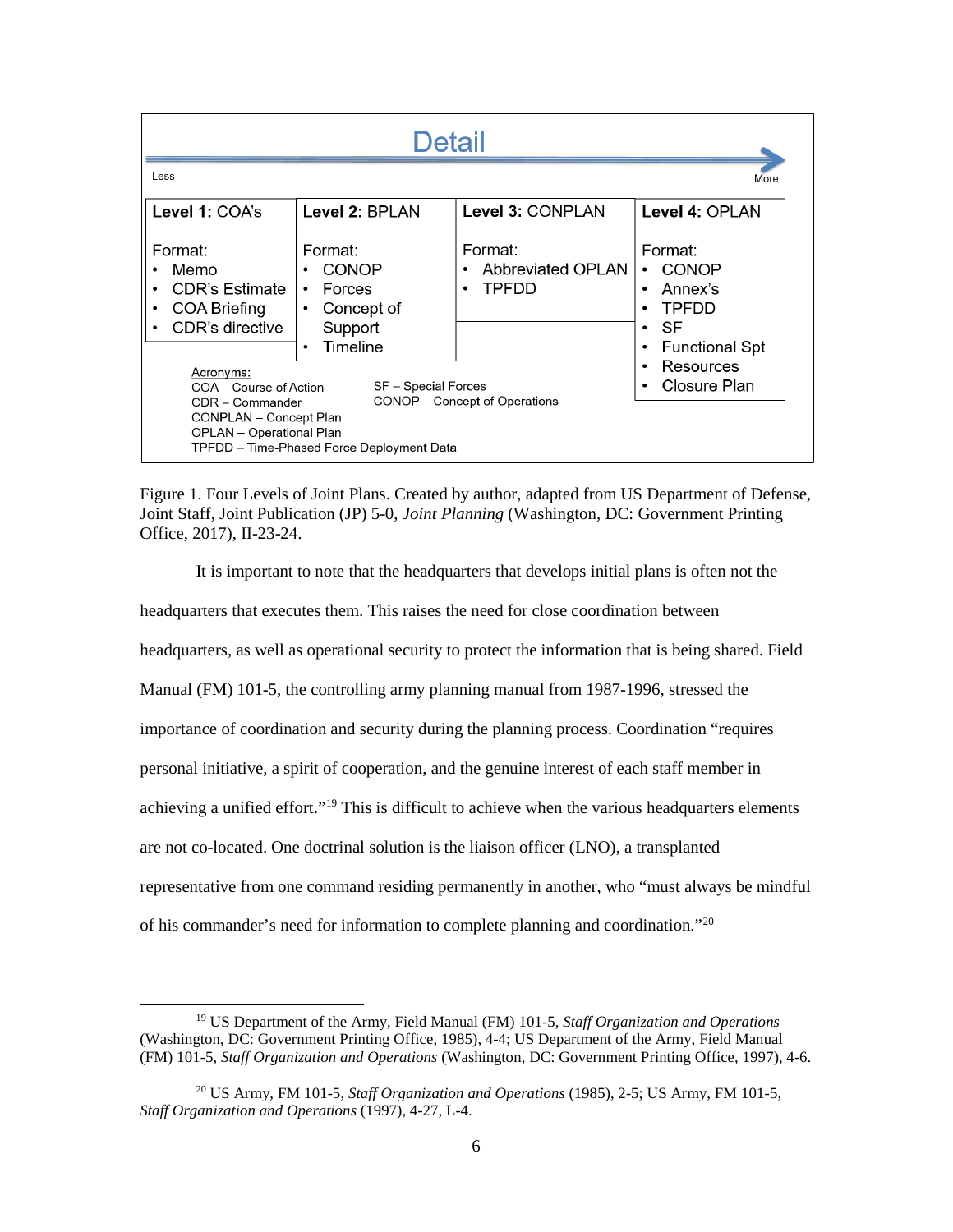| <b>Detail</b>                                                                                                                                       |                                                                                                                                           |                                              |                                                                                                                                    |  |  |  |  |
|-----------------------------------------------------------------------------------------------------------------------------------------------------|-------------------------------------------------------------------------------------------------------------------------------------------|----------------------------------------------|------------------------------------------------------------------------------------------------------------------------------------|--|--|--|--|
| Less                                                                                                                                                |                                                                                                                                           |                                              | More                                                                                                                               |  |  |  |  |
| Level 1: COA's                                                                                                                                      | Level 2: BPLAN                                                                                                                            | Level 3: CONPLAN                             | Level 4: OPLAN                                                                                                                     |  |  |  |  |
| Format:<br>Memo<br><b>CDR's Estimate</b><br><b>COA Briefing</b><br>$\bullet$<br>CDR's directive<br>Acronyms:                                        | Format:<br><b>CONOP</b><br>٠<br>Forces<br>$\bullet$<br>Concept of<br>$\bullet$<br>Support<br>Timeline<br>$\bullet$<br>SF - Special Forces | Format:<br>Abbreviated OPLAN<br><b>TPFDD</b> | Format:<br><b>CONOP</b><br>٠<br>Annex's<br>$\bullet$<br><b>TPFDD</b><br>٠<br>SF<br>$\bullet$<br><b>Functional Spt</b><br>Resources |  |  |  |  |
| COA - Course of Action<br>CDR - Commander<br>CONPLAN - Concept Plan<br><b>OPLAN</b> - Operational Plan<br>TPFDD – Time-Phased Force Deployment Data | Closure Plan                                                                                                                              |                                              |                                                                                                                                    |  |  |  |  |

<span id="page-14-0"></span>Figure 1. Four Levels of Joint Plans. Created by author, adapted from US Department of Defense, Joint Staff, Joint Publication (JP) 5-0, *Joint Planning* (Washington, DC: Government Printing Office, 2017), II-23-24.

It is important to note that the headquarters that develops initial plans is often not the headquarters that executes them. This raises the need for close coordination between headquarters, as well as operational security to protect the information that is being shared. Field Manual (FM) 101-5, the controlling army planning manual from 1987-1996, stressed the importance of coordination and security during the planning process. Coordination "requires personal initiative, a spirit of cooperation, and the genuine interest of each staff member in achieving a unified effort."<sup>[19](#page-14-1)</sup> This is difficult to achieve when the various headquarters elements are not co-located. One doctrinal solution is the liaison officer (LNO), a transplanted representative from one command residing permanently in another, who "must always be mindful of his commander's need for information to complete planning and coordination."[20](#page-14-2)

<span id="page-14-1"></span> <sup>19</sup> US Department of the Army, Field Manual (FM) 101-5, *Staff Organization and Operations* (Washington, DC: Government Printing Office, 1985), 4-4; US Department of the Army, Field Manual (FM) 101-5, *Staff Organization and Operations* (Washington, DC: Government Printing Office, 1997), 4-6.

<span id="page-14-2"></span><sup>20</sup> US Army, FM 101-5, *Staff Organization and Operations* (1985), 2-5; US Army, FM 101-5, *Staff Organization and Operations* (1997), 4-27, L-4.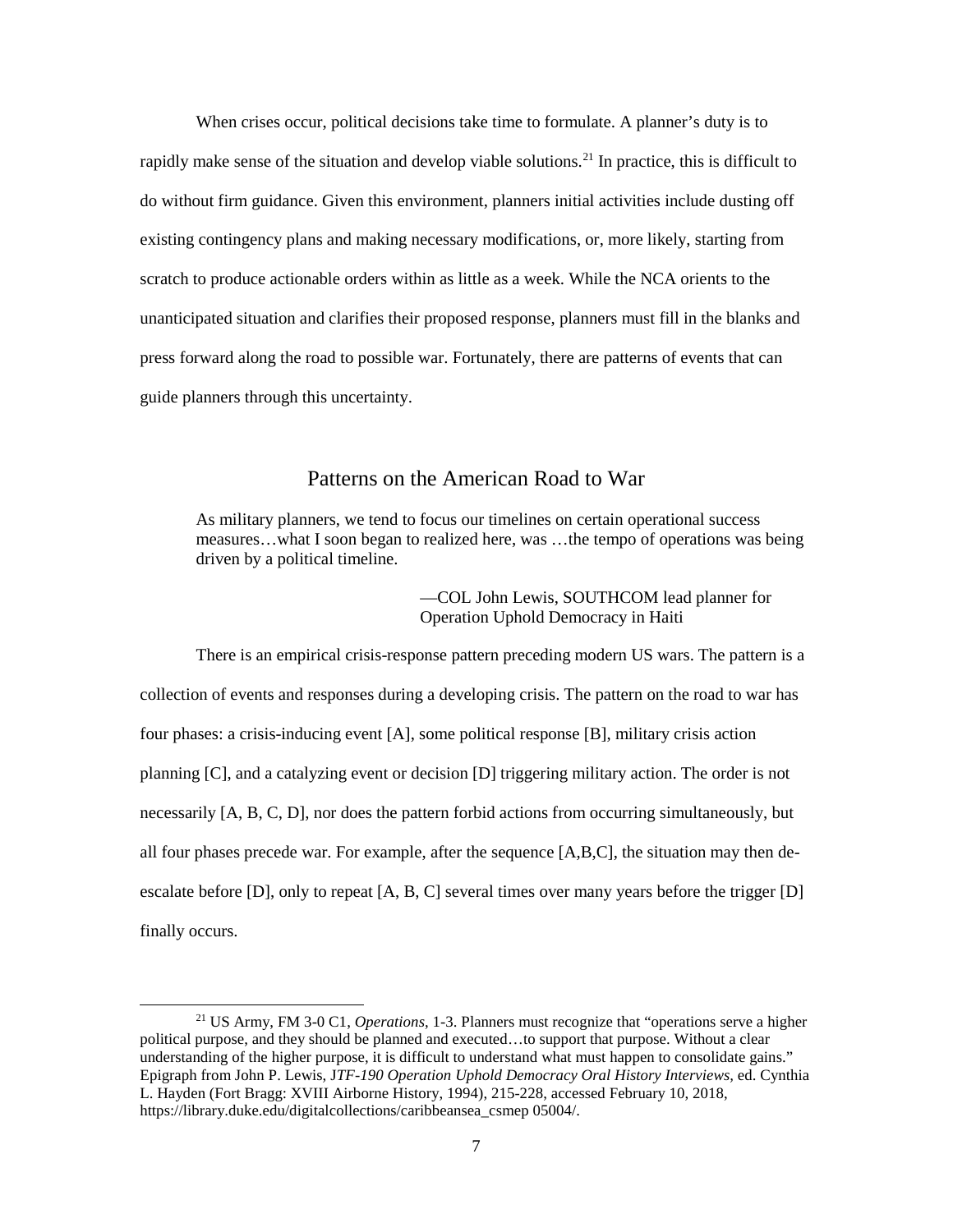When crises occur, political decisions take time to formulate. A planner's duty is to rapidly make sense of the situation and develop viable solutions.[21](#page-15-1) In practice, this is difficult to do without firm guidance. Given this environment, planners initial activities include dusting off existing contingency plans and making necessary modifications, or, more likely, starting from scratch to produce actionable orders within as little as a week. While the NCA orients to the unanticipated situation and clarifies their proposed response, planners must fill in the blanks and press forward along the road to possible war. Fortunately, there are patterns of events that can guide planners through this uncertainty.

## Patterns on the American Road to War

<span id="page-15-0"></span>As military planners, we tend to focus our timelines on certain operational success measures…what I soon began to realized here, was …the tempo of operations was being driven by a political timeline.

> —COL John Lewis, SOUTHCOM lead planner for Operation Uphold Democracy in Haiti

There is an empirical crisis-response pattern preceding modern US wars. The pattern is a collection of events and responses during a developing crisis. The pattern on the road to war has four phases: a crisis-inducing event [A], some political response [B], military crisis action planning [C], and a catalyzing event or decision [D] triggering military action. The order is not necessarily [A, B, C, D], nor does the pattern forbid actions from occurring simultaneously, but all four phases precede war. For example, after the sequence [A,B,C], the situation may then deescalate before [D], only to repeat [A, B, C] several times over many years before the trigger [D] finally occurs.

<span id="page-15-1"></span> <sup>21</sup> US Army, FM 3-0 C1, *Operations*, 1-3. Planners must recognize that "operations serve a higher political purpose, and they should be planned and executed…to support that purpose. Without a clear understanding of the higher purpose, it is difficult to understand what must happen to consolidate gains." Epigraph from John P. Lewis, J*TF-190 Operation Uphold Democracy Oral History Interviews,* ed. Cynthia L. Hayden (Fort Bragg: XVIII Airborne History, 1994), 215-228, accessed February 10, 2018, https://library.duke.edu/digitalcollections/caribbeansea\_csmep 05004/.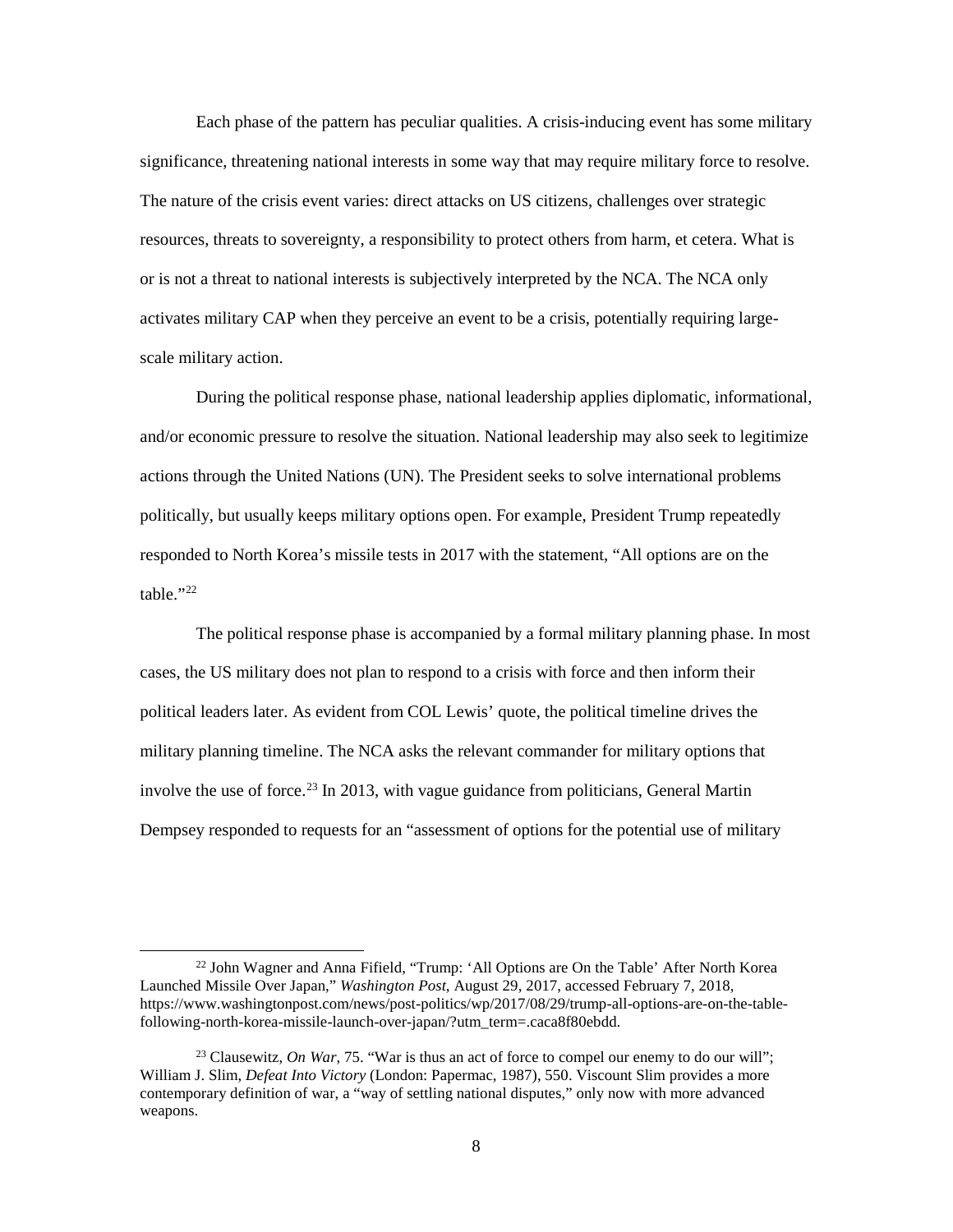Each phase of the pattern has peculiar qualities. A crisis-inducing event has some military significance, threatening national interests in some way that may require military force to resolve. The nature of the crisis event varies: direct attacks on US citizens, challenges over strategic resources, threats to sovereignty, a responsibility to protect others from harm, et cetera. What is or is not a threat to national interests is subjectively interpreted by the NCA. The NCA only activates military CAP when they perceive an event to be a crisis, potentially requiring largescale military action.

During the political response phase, national leadership applies diplomatic, informational, and/or economic pressure to resolve the situation. National leadership may also seek to legitimize actions through the United Nations (UN). The President seeks to solve international problems politically, but usually keeps military options open. For example, President Trump repeatedly responded to North Korea's missile tests in 2017 with the statement, "All options are on the table."[22](#page-16-0)

The political response phase is accompanied by a formal military planning phase. In most cases, the US military does not plan to respond to a crisis with force and then inform their political leaders later. As evident from COL Lewis' quote, the political timeline drives the military planning timeline. The NCA asks the relevant commander for military options that involve the use of force. [23](#page-16-1) In 2013, with vague guidance from politicians, General Martin Dempsey responded to requests for an "assessment of options for the potential use of military

<span id="page-16-0"></span><sup>&</sup>lt;sup>22</sup> John Wagner and Anna Fifield, "Trump: 'All Options are On the Table' After North Korea Launched Missile Over Japan," *Washington Post*, August 29, 2017, accessed February 7, 2018, https://www.washingtonpost.com/news/post-politics/wp/2017/08/29/trump-all-options-are-on-the-tablefollowing-north-korea-missile-launch-over-japan/?utm\_term=.caca8f80ebdd.

<span id="page-16-1"></span><sup>23</sup> Clausewitz, *On War*, 75. "War is thus an act of force to compel our enemy to do our will"; William J. Slim, *Defeat Into Victory* (London: Papermac, 1987), 550. Viscount Slim provides a more contemporary definition of war, a "way of settling national disputes," only now with more advanced weapons.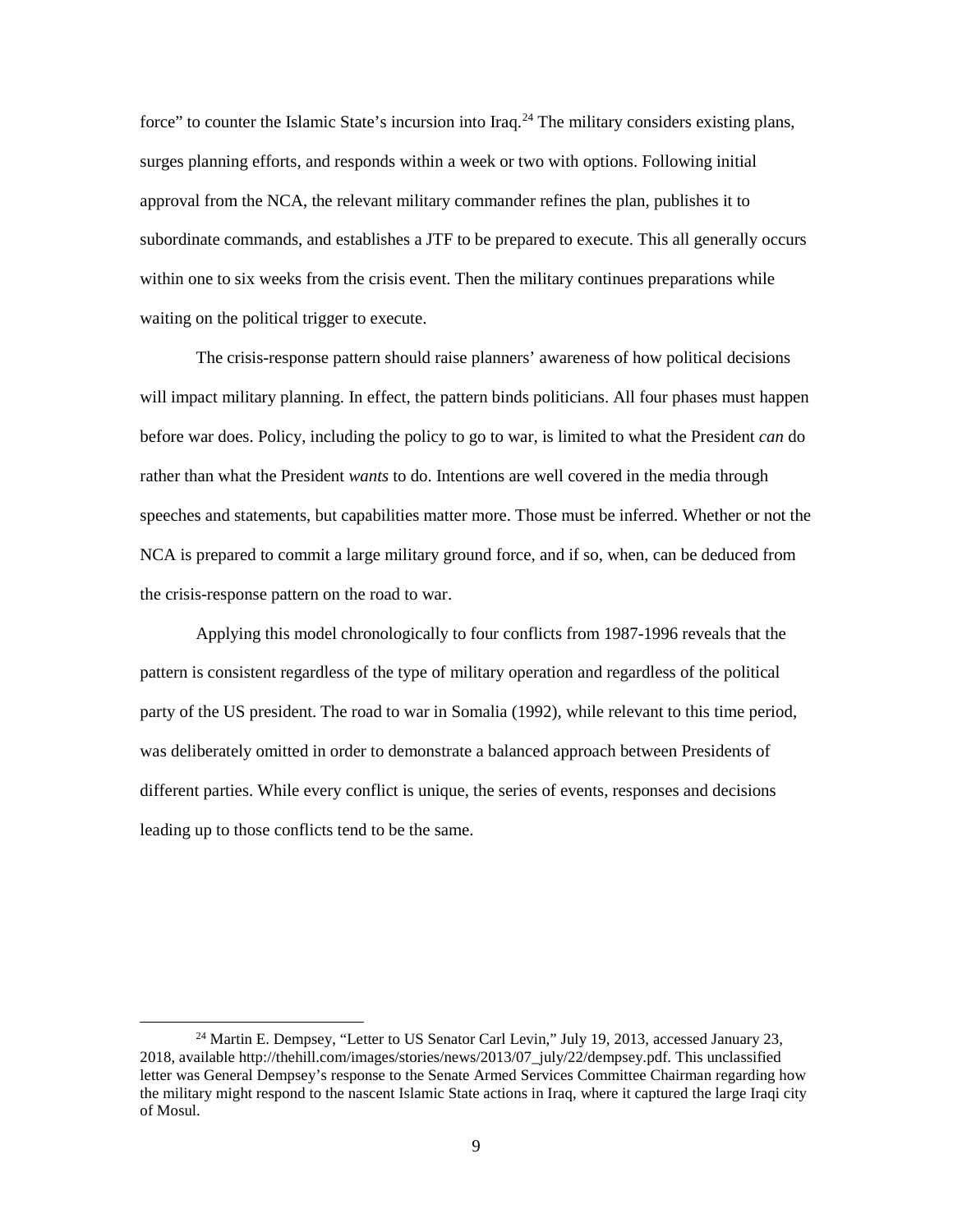force" to counter the Islamic State's incursion into Iraq.<sup>24</sup> The military considers existing plans, surges planning efforts, and responds within a week or two with options. Following initial approval from the NCA, the relevant military commander refines the plan, publishes it to subordinate commands, and establishes a JTF to be prepared to execute. This all generally occurs within one to six weeks from the crisis event. Then the military continues preparations while waiting on the political trigger to execute.

The crisis-response pattern should raise planners' awareness of how political decisions will impact military planning. In effect, the pattern binds politicians. All four phases must happen before war does. Policy, including the policy to go to war, is limited to what the President *can* do rather than what the President *wants* to do. Intentions are well covered in the media through speeches and statements, but capabilities matter more. Those must be inferred. Whether or not the NCA is prepared to commit a large military ground force, and if so, when, can be deduced from the crisis-response pattern on the road to war.

Applying this model chronologically to four conflicts from 1987-1996 reveals that the pattern is consistent regardless of the type of military operation and regardless of the political party of the US president. The road to war in Somalia (1992), while relevant to this time period, was deliberately omitted in order to demonstrate a balanced approach between Presidents of different parties. While every conflict is unique, the series of events, responses and decisions leading up to those conflicts tend to be the same.

<span id="page-17-0"></span><sup>&</sup>lt;sup>24</sup> Martin E. Dempsey, "Letter to US Senator Carl Levin," July 19, 2013, accessed January 23, 2018, available http://thehill.com/images/stories/news/2013/07\_july/22/dempsey.pdf. This unclassified letter was General Dempsey's response to the Senate Armed Services Committee Chairman regarding how the military might respond to the nascent Islamic State actions in Iraq, where it captured the large Iraqi city of Mosul.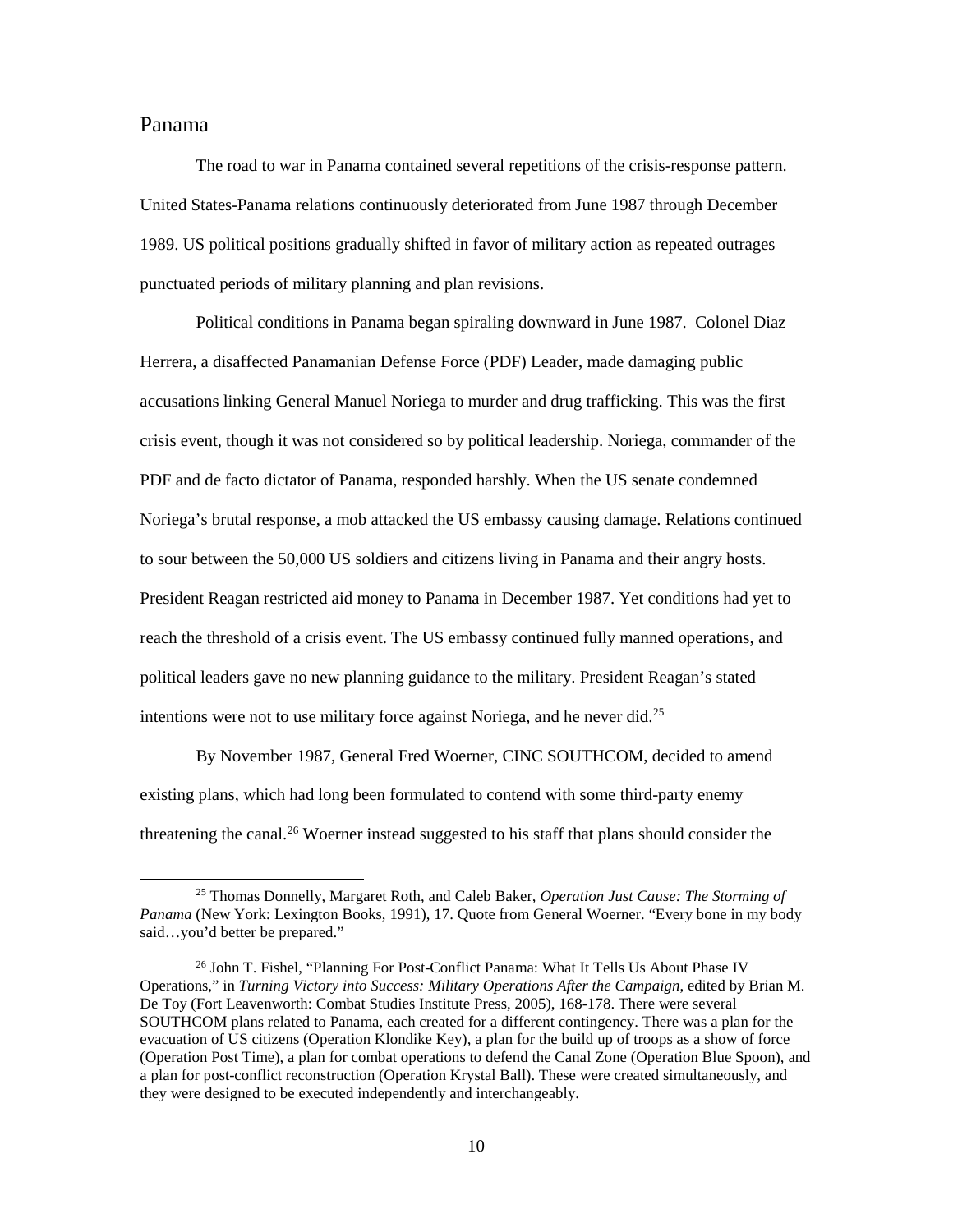## <span id="page-18-0"></span>Panama

The road to war in Panama contained several repetitions of the crisis-response pattern. United States-Panama relations continuously deteriorated from June 1987 through December 1989. US political positions gradually shifted in favor of military action as repeated outrages punctuated periods of military planning and plan revisions.

Political conditions in Panama began spiraling downward in June 1987. Colonel Diaz Herrera, a disaffected Panamanian Defense Force (PDF) Leader, made damaging public accusations linking General Manuel Noriega to murder and drug trafficking. This was the first crisis event, though it was not considered so by political leadership. Noriega, commander of the PDF and de facto dictator of Panama, responded harshly. When the US senate condemned Noriega's brutal response, a mob attacked the US embassy causing damage. Relations continued to sour between the 50,000 US soldiers and citizens living in Panama and their angry hosts. President Reagan restricted aid money to Panama in December 1987. Yet conditions had yet to reach the threshold of a crisis event. The US embassy continued fully manned operations, and political leaders gave no new planning guidance to the military. President Reagan's stated intentions were not to use military force against Noriega, and he never did.<sup>[25](#page-18-1)</sup>

By November 1987, General Fred Woerner, CINC SOUTHCOM, decided to amend existing plans, which had long been formulated to contend with some third-party enemy threatening the canal.<sup>[26](#page-18-2)</sup> Woerner instead suggested to his staff that plans should consider the

<span id="page-18-1"></span> <sup>25</sup> Thomas Donnelly, Margaret Roth, and Caleb Baker, *Operation Just Cause: The Storming of Panama* (New York: Lexington Books, 1991), 17. Quote from General Woerner. "Every bone in my body said…you'd better be prepared."

<span id="page-18-2"></span><sup>&</sup>lt;sup>26</sup> John T. Fishel, "Planning For Post-Conflict Panama: What It Tells Us About Phase IV Operations," in *Turning Victory into Success: Military Operations After the Campaign*, edited by Brian M. De Toy (Fort Leavenworth: Combat Studies Institute Press, 2005), 168-178. There were several SOUTHCOM plans related to Panama, each created for a different contingency. There was a plan for the evacuation of US citizens (Operation Klondike Key), a plan for the build up of troops as a show of force (Operation Post Time), a plan for combat operations to defend the Canal Zone (Operation Blue Spoon), and a plan for post-conflict reconstruction (Operation Krystal Ball). These were created simultaneously, and they were designed to be executed independently and interchangeably.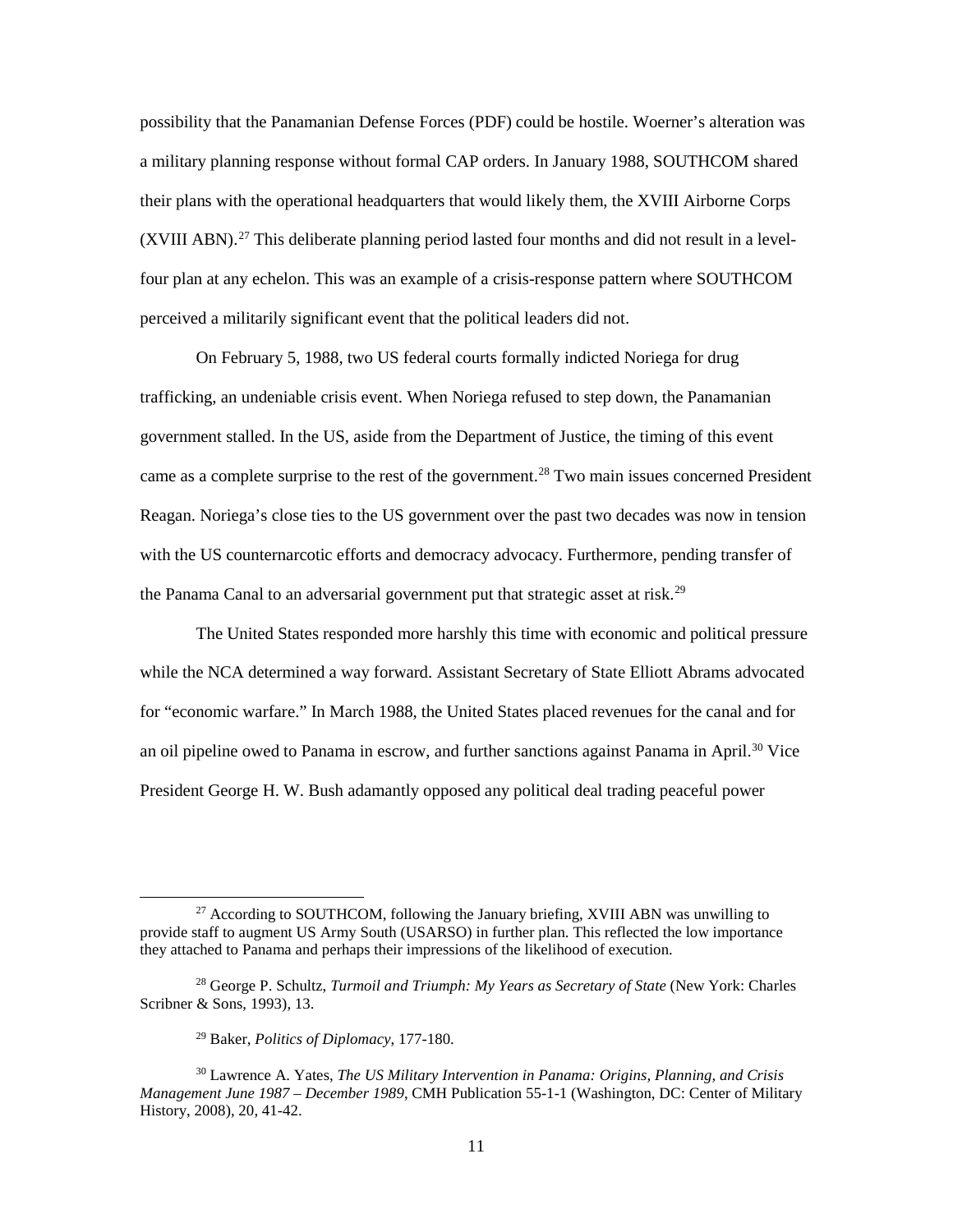possibility that the Panamanian Defense Forces (PDF) could be hostile. Woerner's alteration was a military planning response without formal CAP orders. In January 1988, SOUTHCOM shared their plans with the operational headquarters that would likely them, the XVIII Airborne Corps  $(XVIII ABN).<sup>27</sup>$  $(XVIII ABN).<sup>27</sup>$  $(XVIII ABN).<sup>27</sup>$  This deliberate planning period lasted four months and did not result in a levelfour plan at any echelon. This was an example of a crisis-response pattern where SOUTHCOM perceived a militarily significant event that the political leaders did not.

On February 5, 1988, two US federal courts formally indicted Noriega for drug trafficking, an undeniable crisis event. When Noriega refused to step down, the Panamanian government stalled. In the US, aside from the Department of Justice, the timing of this event came as a complete surprise to the rest of the government.<sup>[28](#page-19-1)</sup> Two main issues concerned President Reagan. Noriega's close ties to the US government over the past two decades was now in tension with the US counternarcotic efforts and democracy advocacy. Furthermore, pending transfer of the Panama Canal to an adversarial government put that strategic asset at risk.<sup>[29](#page-19-2)</sup>

The United States responded more harshly this time with economic and political pressure while the NCA determined a way forward. Assistant Secretary of State Elliott Abrams advocated for "economic warfare." In March 1988, the United States placed revenues for the canal and for an oil pipeline owed to Panama in escrow, and further sanctions against Panama in April.<sup>30</sup> Vice President George H. W. Bush adamantly opposed any political deal trading peaceful power

<span id="page-19-0"></span><sup>&</sup>lt;sup>27</sup> According to SOUTHCOM, following the January briefing, XVIII ABN was unwilling to provide staff to augment US Army South (USARSO) in further plan. This reflected the low importance they attached to Panama and perhaps their impressions of the likelihood of execution.

<span id="page-19-1"></span><sup>28</sup> George P. Schultz, *Turmoil and Triumph: My Years as Secretary of State* (New York: Charles Scribner & Sons, 1993), 13.

<sup>29</sup> Baker, *Politics of Diplomacy*, 177-180.

<span id="page-19-3"></span><span id="page-19-2"></span><sup>30</sup> Lawrence A. Yates, *The US Military Intervention in Panama: Origins, Planning, and Crisis Management June 1987 – December 1989*, CMH Publication 55-1-1 (Washington, DC: Center of Military History, 2008), 20, 41-42.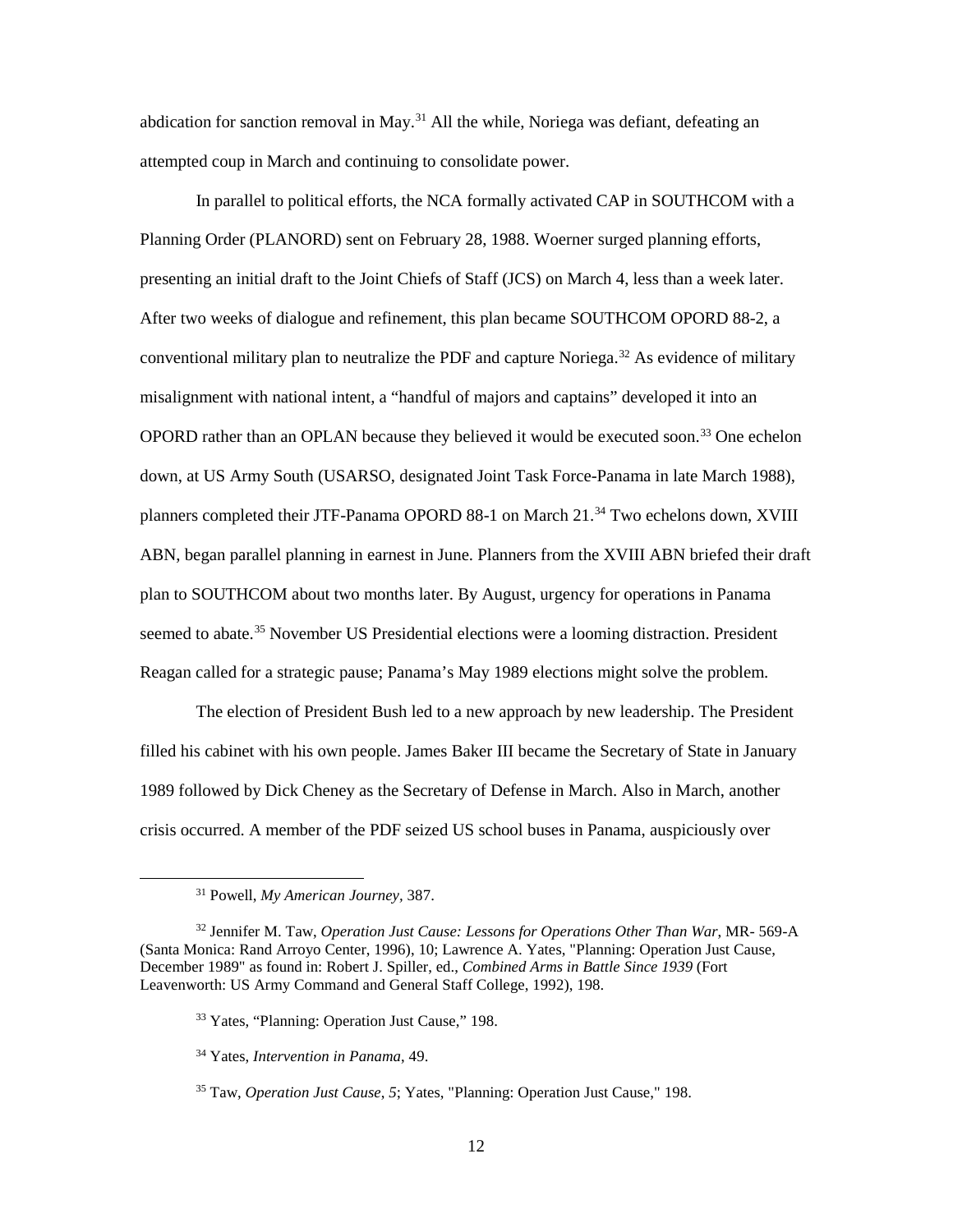abdication for sanction removal in May.<sup>[31](#page-20-0)</sup> All the while, Noriega was defiant, defeating an attempted coup in March and continuing to consolidate power.

In parallel to political efforts, the NCA formally activated CAP in SOUTHCOM with a Planning Order (PLANORD) sent on February 28, 1988. Woerner surged planning efforts, presenting an initial draft to the Joint Chiefs of Staff (JCS) on March 4, less than a week later. After two weeks of dialogue and refinement, this plan became SOUTHCOM OPORD 88-2, a conventional military plan to neutralize the PDF and capture Noriega.<sup>[32](#page-20-1)</sup> As evidence of military misalignment with national intent, a "handful of majors and captains" developed it into an OPORD rather than an OPLAN because they believed it would be executed soon.<sup>[33](#page-20-2)</sup> One echelon down, at US Army South (USARSO, designated Joint Task Force-Panama in late March 1988), planners completed their JTF-Panama OPORD 88-1 on March 21.<sup>[34](#page-20-3)</sup> Two echelons down, XVIII ABN, began parallel planning in earnest in June. Planners from the XVIII ABN briefed their draft plan to SOUTHCOM about two months later. By August, urgency for operations in Panama seemed to abate.<sup>[35](#page-20-4)</sup> November US Presidential elections were a looming distraction. President Reagan called for a strategic pause; Panama's May 1989 elections might solve the problem.

The election of President Bush led to a new approach by new leadership. The President filled his cabinet with his own people. James Baker III became the Secretary of State in January 1989 followed by Dick Cheney as the Secretary of Defense in March. Also in March, another crisis occurred. A member of the PDF seized US school buses in Panama, auspiciously over

 <sup>31</sup> Powell, *My American Journey,* 387.

<span id="page-20-3"></span><span id="page-20-2"></span><span id="page-20-1"></span><span id="page-20-0"></span><sup>32</sup> Jennifer M. Taw, *Operation Just Cause: Lessons for Operations Other Than War*, MR- 569-A (Santa Monica: Rand Arroyo Center, 1996), 10; Lawrence A. Yates, "Planning: Operation Just Cause, December 1989" as found in: Robert J. Spiller, ed., *Combined Arms in Battle Since 1939* (Fort Leavenworth: US Army Command and General Staff College, 1992), 198.

<sup>33</sup> Yates, "Planning: Operation Just Cause," 198.

<sup>34</sup> Yates, *Intervention in Panama*, 49.

<span id="page-20-4"></span><sup>35</sup> Taw, *Operation Just Cause*, *5*; Yates, "Planning: Operation Just Cause," 198.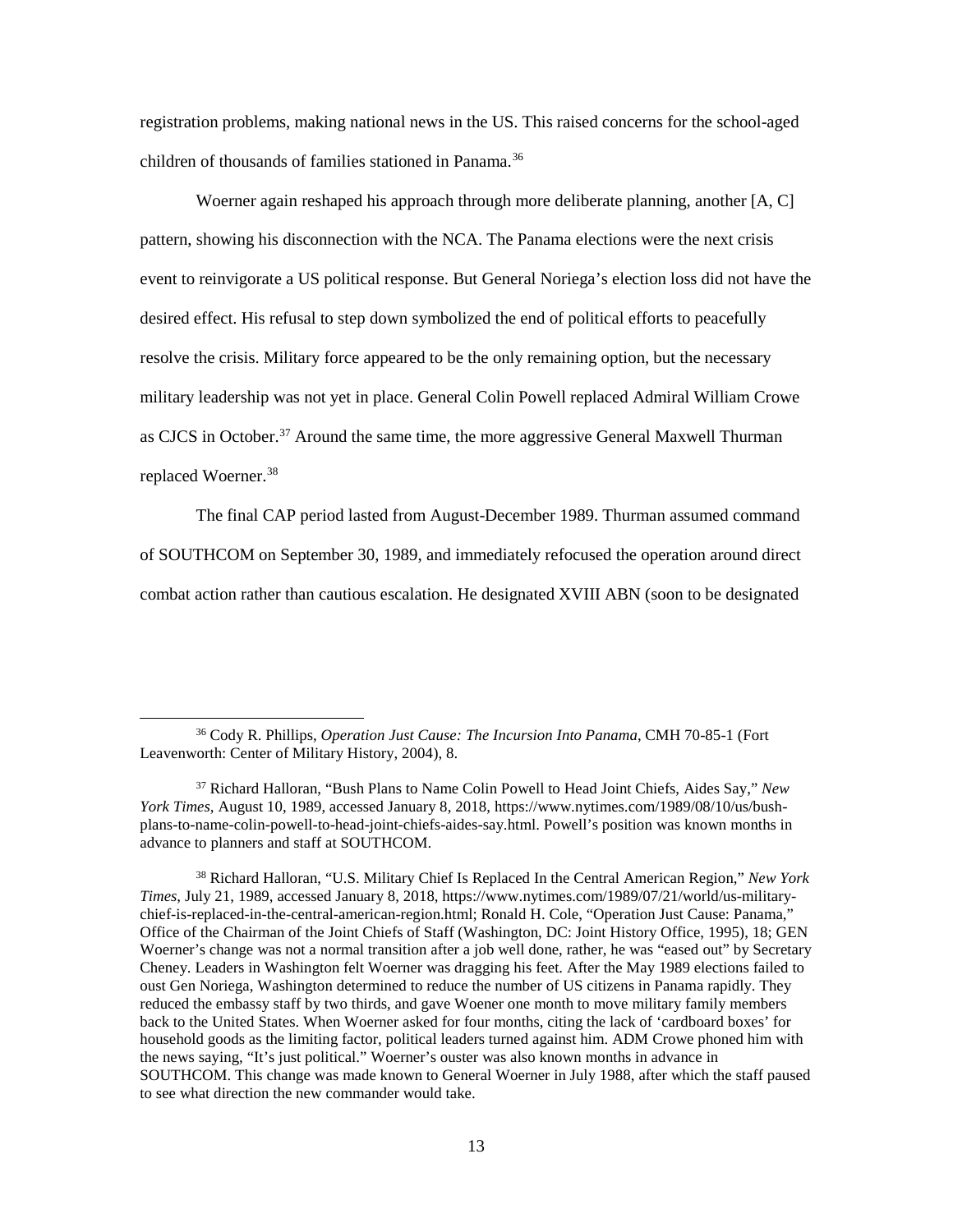registration problems, making national news in the US. This raised concerns for the school-aged children of thousands of families stationed in Panama.<sup>[36](#page-21-0)</sup>

Woerner again reshaped his approach through more deliberate planning, another [A, C] pattern, showing his disconnection with the NCA. The Panama elections were the next crisis event to reinvigorate a US political response. But General Noriega's election loss did not have the desired effect. His refusal to step down symbolized the end of political efforts to peacefully resolve the crisis. Military force appeared to be the only remaining option, but the necessary military leadership was not yet in place. General Colin Powell replaced Admiral William Crowe as CJCS in October.<sup>37</sup> Around the same time, the more aggressive General Maxwell Thurman replaced Woerner.<sup>38</sup>

The final CAP period lasted from August-December 1989. Thurman assumed command of SOUTHCOM on September 30, 1989, and immediately refocused the operation around direct combat action rather than cautious escalation. He designated XVIII ABN (soon to be designated

<span id="page-21-0"></span> <sup>36</sup> Cody R. Phillips, *Operation Just Cause: The Incursion Into Panama*, CMH 70-85-1 (Fort Leavenworth: Center of Military History, 2004), 8.

<span id="page-21-1"></span><sup>37</sup> Richard Halloran, "Bush Plans to Name Colin Powell to Head Joint Chiefs, Aides Say," *New York Times*, August 10, 1989, accessed January 8, 2018, https://www.nytimes.com/1989/08/10/us/bushplans-to-name-colin-powell-to-head-joint-chiefs-aides-say.html. Powell's position was known months in advance to planners and staff at SOUTHCOM.

<span id="page-21-2"></span><sup>38</sup> Richard Halloran, "U.S. Military Chief Is Replaced In the Central American Region," *New York Times*, July 21, 1989, accessed January 8, 2018, https://www.nytimes.com/1989/07/21/world/us-militarychief-is-replaced-in-the-central-american-region.html; Ronald H. Cole, "Operation Just Cause: Panama," Office of the Chairman of the Joint Chiefs of Staff (Washington, DC: Joint History Office, 1995), 18; GEN Woerner's change was not a normal transition after a job well done, rather, he was "eased out" by Secretary Cheney. Leaders in Washington felt Woerner was dragging his feet. After the May 1989 elections failed to oust Gen Noriega, Washington determined to reduce the number of US citizens in Panama rapidly. They reduced the embassy staff by two thirds, and gave Woener one month to move military family members back to the United States. When Woerner asked for four months, citing the lack of 'cardboard boxes' for household goods as the limiting factor, political leaders turned against him. ADM Crowe phoned him with the news saying, "It's just political." Woerner's ouster was also known months in advance in SOUTHCOM. This change was made known to General Woerner in July 1988, after which the staff paused to see what direction the new commander would take.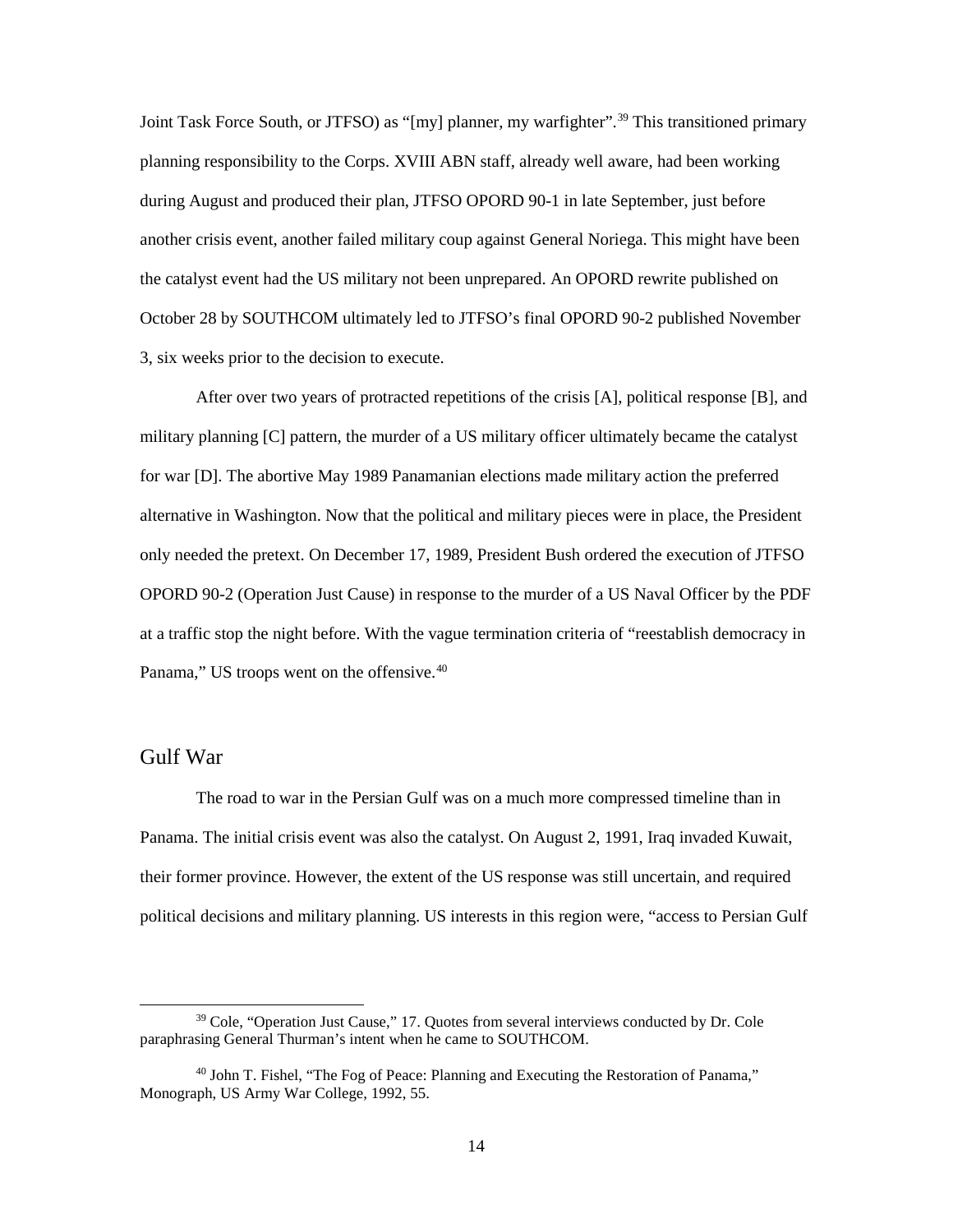Joint Task Force South, or JTFSO) as "[my] planner, my warfighter".<sup>[39](#page-22-1)</sup> This transitioned primary planning responsibility to the Corps. XVIII ABN staff, already well aware, had been working during August and produced their plan, JTFSO OPORD 90-1 in late September, just before another crisis event, another failed military coup against General Noriega. This might have been the catalyst event had the US military not been unprepared. An OPORD rewrite published on October 28 by SOUTHCOM ultimately led to JTFSO's final OPORD 90-2 published November 3, six weeks prior to the decision to execute.

After over two years of protracted repetitions of the crisis [A], political response [B], and military planning [C] pattern, the murder of a US military officer ultimately became the catalyst for war [D]. The abortive May 1989 Panamanian elections made military action the preferred alternative in Washington. Now that the political and military pieces were in place, the President only needed the pretext. On December 17, 1989, President Bush ordered the execution of JTFSO OPORD 90-2 (Operation Just Cause) in response to the murder of a US Naval Officer by the PDF at a traffic stop the night before. With the vague termination criteria of "reestablish democracy in Panama," US troops went on the offensive.<sup>[40](#page-22-2)</sup>

### <span id="page-22-0"></span>Gulf War

The road to war in the Persian Gulf was on a much more compressed timeline than in Panama. The initial crisis event was also the catalyst. On August 2, 1991, Iraq invaded Kuwait, their former province. However, the extent of the US response was still uncertain, and required political decisions and military planning. US interests in this region were, "access to Persian Gulf

<span id="page-22-1"></span><sup>&</sup>lt;sup>39</sup> Cole, "Operation Just Cause," 17. Quotes from several interviews conducted by Dr. Cole paraphrasing General Thurman's intent when he came to SOUTHCOM.

<span id="page-22-2"></span><sup>40</sup> John T. Fishel, "The Fog of Peace: Planning and Executing the Restoration of Panama," Monograph, US Army War College, 1992, 55.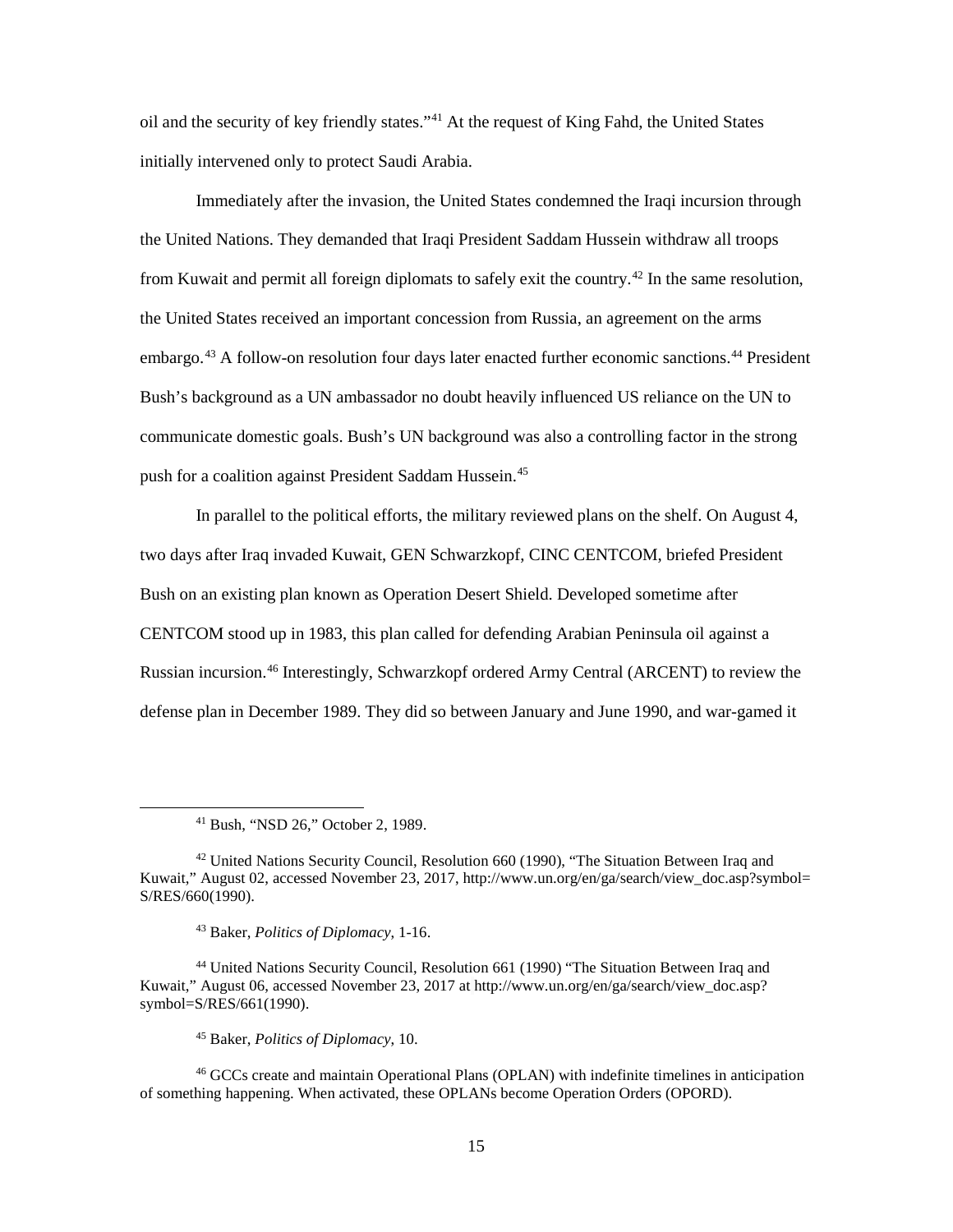oil and the security of key friendly states.["41](#page-23-0) At the request of King Fahd, the United States initially intervened only to protect Saudi Arabia.

Immediately after the invasion, the United States condemned the Iraqi incursion through the United Nations. They demanded that Iraqi President Saddam Hussein withdraw all troops from Kuwait and permit all foreign diplomats to safely exit the country.<sup>[42](#page-23-1)</sup> In the same resolution, the United States received an important concession from Russia, an agreement on the arms embargo.<sup>43</sup> A follow-on resolution four days later enacted further economic sanctions.<sup>[44](#page-23-3)</sup> President Bush's background as a UN ambassador no doubt heavily influenced US reliance on the UN to communicate domestic goals. Bush's UN background was also a controlling factor in the strong push for a coalition against President Saddam Hussein.<sup>[45](#page-23-4)</sup>

In parallel to the political efforts, the military reviewed plans on the shelf. On August 4, two days after Iraq invaded Kuwait, GEN Schwarzkopf, CINC CENTCOM, briefed President Bush on an existing plan known as Operation Desert Shield. Developed sometime after CENTCOM stood up in 1983, this plan called for defending Arabian Peninsula oil against a Russian incursion. [46](#page-23-5) Interestingly, Schwarzkopf ordered Army Central (ARCENT) to review the defense plan in December 1989. They did so between January and June 1990, and war-gamed it

<sup>45</sup> Baker, *Politics of Diplomacy*, 10.

<span id="page-23-5"></span><span id="page-23-4"></span><sup>46</sup> GCCs create and maintain Operational Plans (OPLAN) with indefinite timelines in anticipation of something happening. When activated, these OPLANs become Operation Orders (OPORD).

 <sup>41</sup> Bush, "NSD 26," October 2, 1989.

<span id="page-23-1"></span><span id="page-23-0"></span><sup>42</sup> United Nations Security Council, Resolution 660 (1990), "The Situation Between Iraq and Kuwait," August 02, accessed November 23, 2017, http://www.un.org/en/ga/search/view\_doc.asp?symbol= S/RES/660(1990).

<sup>43</sup> Baker, *Politics of Diplomacy*, 1-16.

<span id="page-23-3"></span><span id="page-23-2"></span><sup>44</sup> United Nations Security Council, Resolution 661 (1990) "The Situation Between Iraq and Kuwait," August 06, accessed November 23, 2017 at http://www.un.org/en/ga/search/view\_doc.asp? symbol=S/RES/661(1990).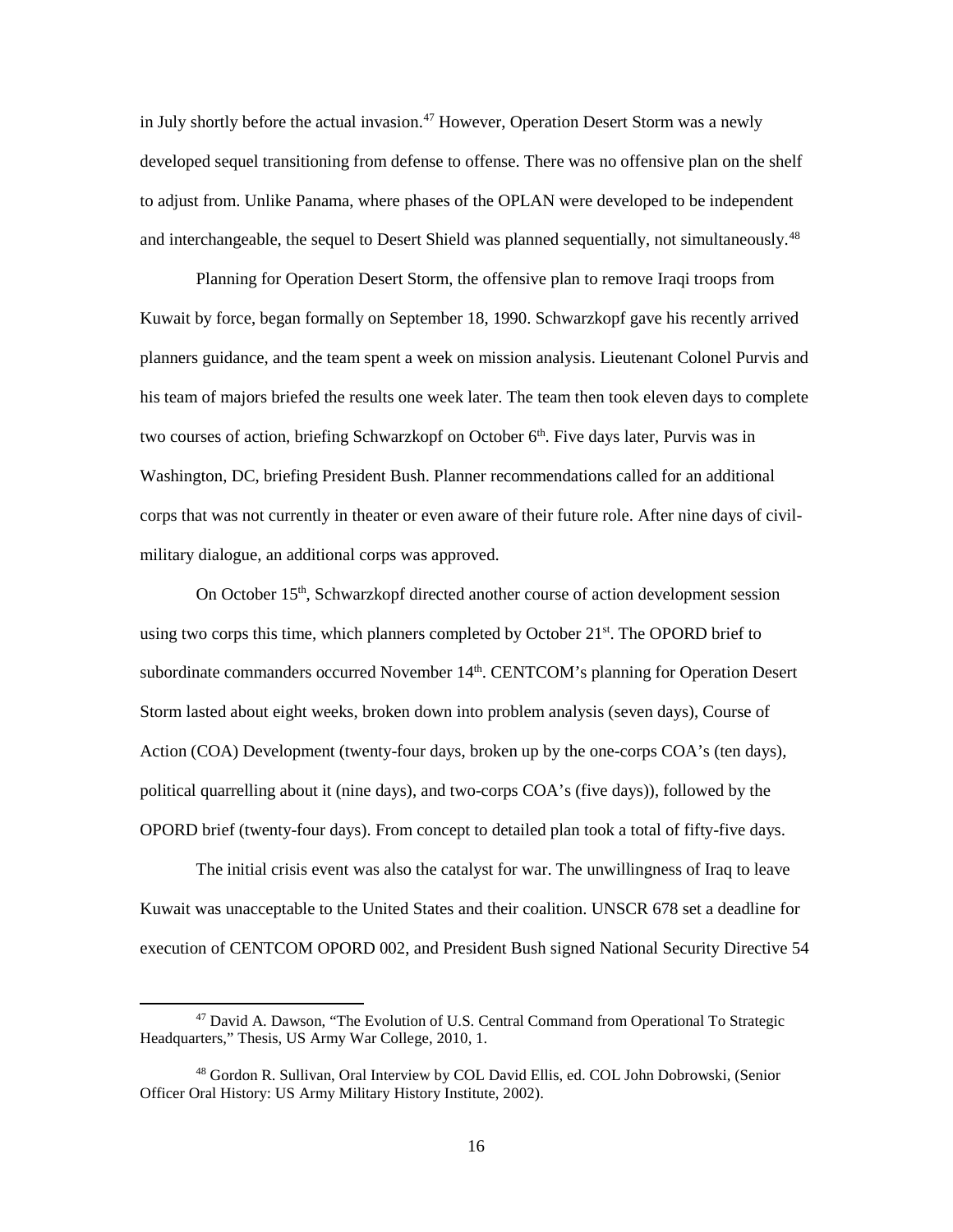in July shortly before the actual invasion.<sup>[47](#page-24-0)</sup> However, Operation Desert Storm was a newly developed sequel transitioning from defense to offense. There was no offensive plan on the shelf to adjust from. Unlike Panama, where phases of the OPLAN were developed to be independent and interchangeable, the sequel to Desert Shield was planned sequentially, not simultaneously.<sup>[48](#page-24-1)</sup>

Planning for Operation Desert Storm, the offensive plan to remove Iraqi troops from Kuwait by force, began formally on September 18, 1990. Schwarzkopf gave his recently arrived planners guidance, and the team spent a week on mission analysis. Lieutenant Colonel Purvis and his team of majors briefed the results one week later. The team then took eleven days to complete two courses of action, briefing Schwarzkopf on October 6<sup>th</sup>. Five days later, Purvis was in Washington, DC, briefing President Bush. Planner recommendations called for an additional corps that was not currently in theater or even aware of their future role. After nine days of civilmilitary dialogue, an additional corps was approved.

On October 15<sup>th</sup>, Schwarzkopf directed another course of action development session using two corps this time, which planners completed by October 21<sup>st</sup>. The OPORD brief to subordinate commanders occurred November 14<sup>th</sup>. CENTCOM's planning for Operation Desert Storm lasted about eight weeks, broken down into problem analysis (seven days), Course of Action (COA) Development (twenty-four days, broken up by the one-corps COA's (ten days), political quarrelling about it (nine days), and two-corps COA's (five days)), followed by the OPORD brief (twenty-four days). From concept to detailed plan took a total of fifty-five days.

The initial crisis event was also the catalyst for war. The unwillingness of Iraq to leave Kuwait was unacceptable to the United States and their coalition. UNSCR 678 set a deadline for execution of CENTCOM OPORD 002, and President Bush signed National Security Directive 54

<span id="page-24-0"></span> <sup>47</sup> David A. Dawson, "The Evolution of U.S. Central Command from Operational To Strategic Headquarters," Thesis, US Army War College, 2010, 1.

<span id="page-24-1"></span><sup>48</sup> Gordon R. Sullivan, Oral Interview by COL David Ellis, ed. COL John Dobrowski, (Senior Officer Oral History: US Army Military History Institute, 2002).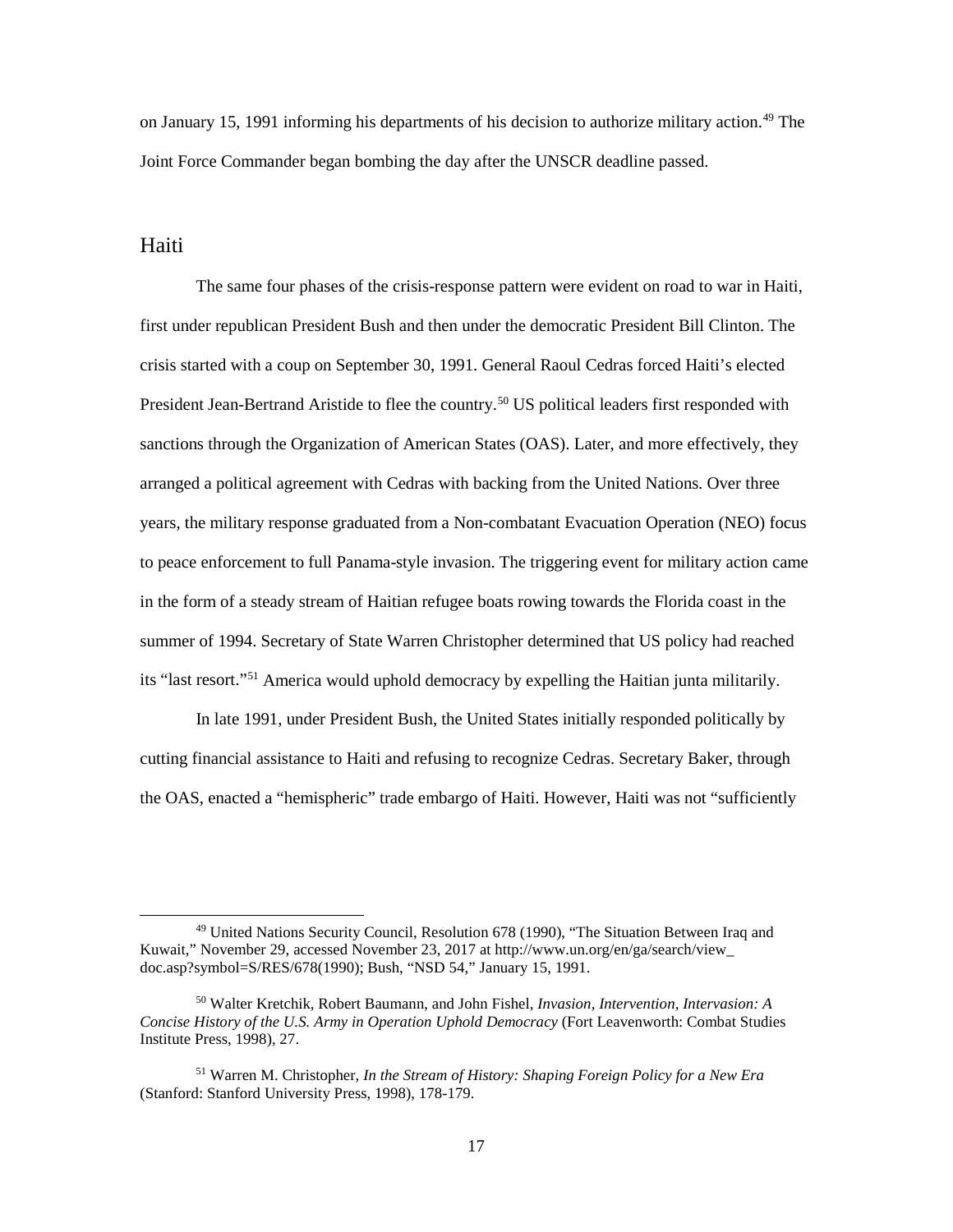on January 15, 1991 informing his departments of his decision to authorize military action.<sup>49</sup> The Joint Force Commander began bombing the day after the UNSCR deadline passed.

### <span id="page-25-0"></span>Haiti

The same four phases of the crisis-response pattern were evident on road to war in Haiti, first under republican President Bush and then under the democratic President Bill Clinton. The crisis started with a coup on September 30, 1991. General Raoul Cedras forced Haiti's elected President Jean-Bertrand Aristide to flee the country.<sup>50</sup> US political leaders first responded with sanctions through the Organization of American States (OAS). Later, and more effectively, they arranged a political agreement with Cedras with backing from the United Nations. Over three years, the military response graduated from a Non-combatant Evacuation Operation (NEO) focus to peace enforcement to full Panama-style invasion. The triggering event for military action came in the form of a steady stream of Haitian refugee boats rowing towards the Florida coast in the summer of 1994. Secretary of State Warren Christopher determined that US policy had reached its "last resort."[51](#page-25-3) America would uphold democracy by expelling the Haitian junta militarily.

In late 1991, under President Bush, the United States initially responded politically by cutting financial assistance to Haiti and refusing to recognize Cedras. Secretary Baker, through the OAS, enacted a "hemispheric" trade embargo of Haiti. However, Haiti was not "sufficiently

<span id="page-25-1"></span> <sup>49</sup> United Nations Security Council, Resolution 678 (1990), "The Situation Between Iraq and Kuwait," November 29, accessed November 23, 2017 at http://www.un.org/en/ga/search/view\_ doc.asp?symbol=S/RES/678(1990); Bush, "NSD 54," January 15, 1991.

<span id="page-25-2"></span><sup>50</sup> Walter Kretchik, Robert Baumann, and John Fishel, *Invasion, Intervention, Intervasion: A Concise History of the U.S. Army in Operation Uphold Democracy* (Fort Leavenworth: Combat Studies Institute Press, 1998), 27.

<span id="page-25-3"></span><sup>51</sup> Warren M. Christopher, *In the Stream of History: Shaping Foreign Policy for a New Era* (Stanford: Stanford University Press, 1998), 178-179.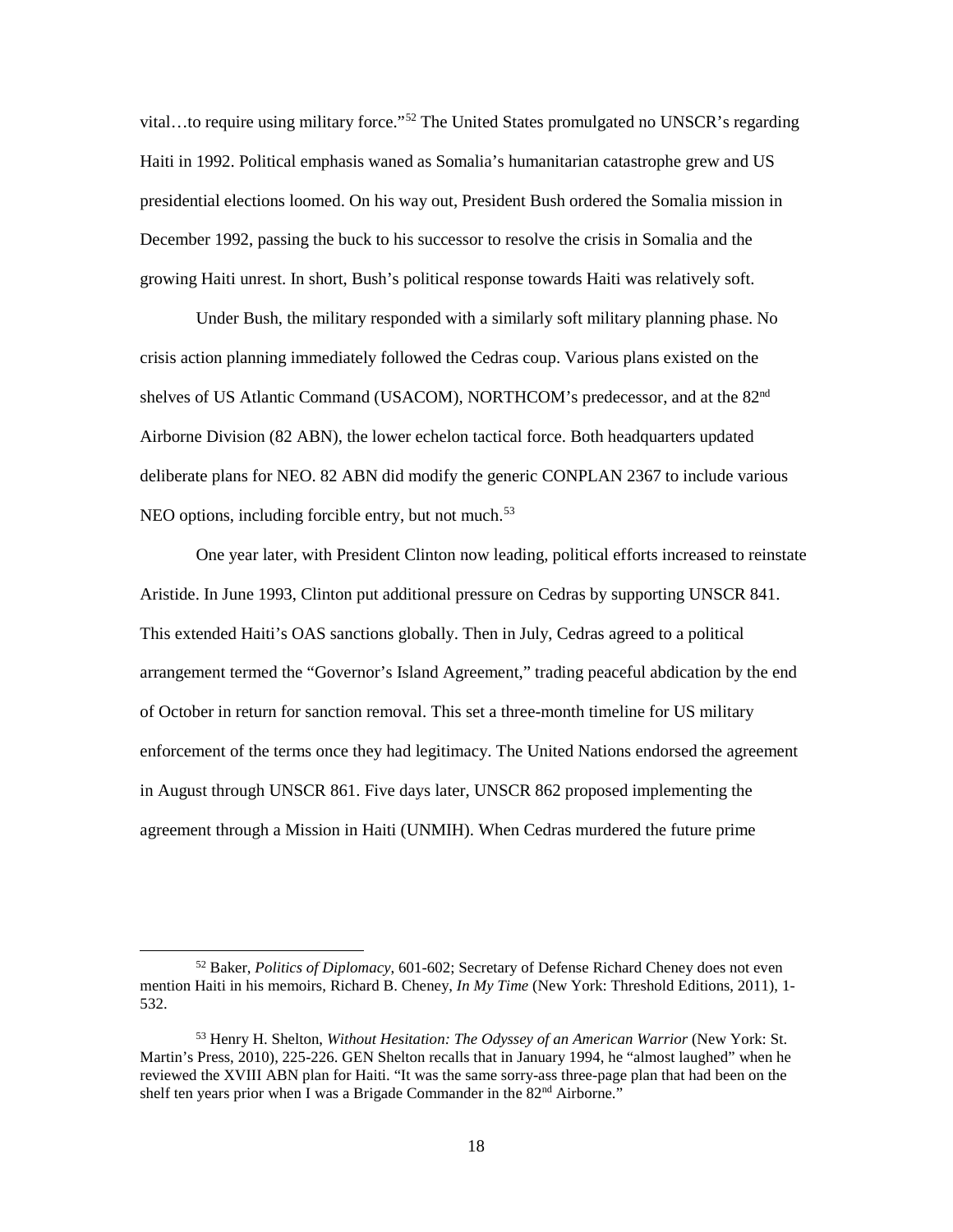vital…to require using military force."<sup>52</sup> The United States promulgated no UNSCR's regarding Haiti in 1992. Political emphasis waned as Somalia's humanitarian catastrophe grew and US presidential elections loomed. On his way out, President Bush ordered the Somalia mission in December 1992, passing the buck to his successor to resolve the crisis in Somalia and the growing Haiti unrest. In short, Bush's political response towards Haiti was relatively soft.

Under Bush, the military responded with a similarly soft military planning phase. No crisis action planning immediately followed the Cedras coup. Various plans existed on the shelves of US Atlantic Command (USACOM), NORTHCOM's predecessor, and at the 82<sup>nd</sup> Airborne Division (82 ABN), the lower echelon tactical force. Both headquarters updated deliberate plans for NEO. 82 ABN did modify the generic CONPLAN 2367 to include various NEO options, including forcible entry, but not much.<sup>[53](#page-26-1)</sup>

One year later, with President Clinton now leading, political efforts increased to reinstate Aristide. In June 1993, Clinton put additional pressure on Cedras by supporting UNSCR 841. This extended Haiti's OAS sanctions globally. Then in July, Cedras agreed to a political arrangement termed the "Governor's Island Agreement," trading peaceful abdication by the end of October in return for sanction removal. This set a three-month timeline for US military enforcement of the terms once they had legitimacy. The United Nations endorsed the agreement in August through UNSCR 861. Five days later, UNSCR 862 proposed implementing the agreement through a Mission in Haiti (UNMIH). When Cedras murdered the future prime

<span id="page-26-0"></span> <sup>52</sup> Baker, *Politics of Diplomacy*, 601-602; Secretary of Defense Richard Cheney does not even mention Haiti in his memoirs, Richard B. Cheney, *In My Time* (New York: Threshold Editions, 2011), 1- 532.

<span id="page-26-1"></span><sup>53</sup> Henry H. Shelton, *Without Hesitation: The Odyssey of an American Warrior* (New York: St. Martin's Press, 2010), 225-226. GEN Shelton recalls that in January 1994, he "almost laughed" when he reviewed the XVIII ABN plan for Haiti. "It was the same sorry-ass three-page plan that had been on the shelf ten years prior when I was a Brigade Commander in the  $82<sup>nd</sup>$  Airborne."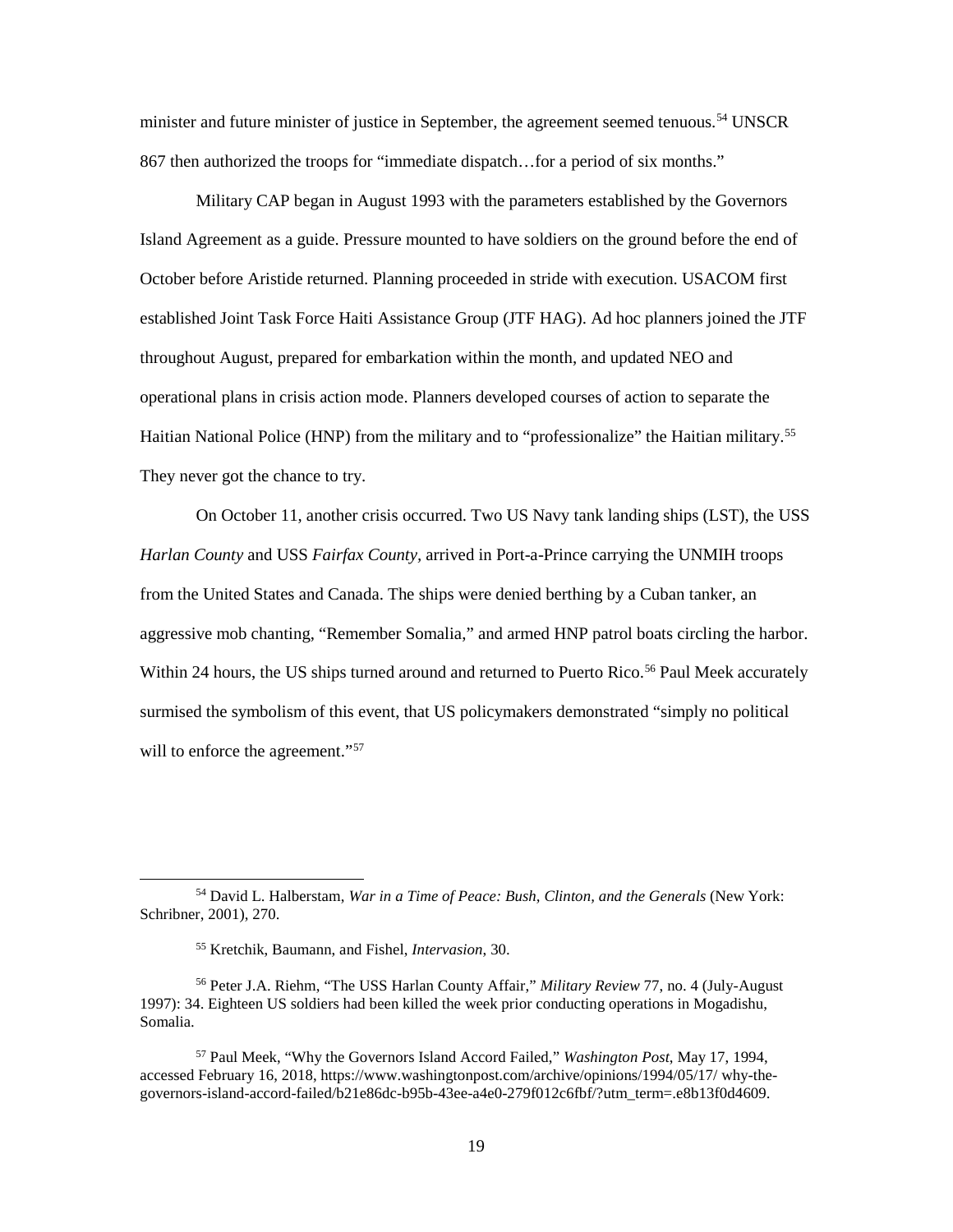minister and future minister of justice in September, the agreement seemed tenuous.<sup>[54](#page-27-0)</sup> UNSCR 867 then authorized the troops for "immediate dispatch…for a period of six months."

Military CAP began in August 1993 with the parameters established by the Governors Island Agreement as a guide. Pressure mounted to have soldiers on the ground before the end of October before Aristide returned. Planning proceeded in stride with execution. USACOM first established Joint Task Force Haiti Assistance Group (JTF HAG). Ad hoc planners joined the JTF throughout August, prepared for embarkation within the month, and updated NEO and operational plans in crisis action mode. Planners developed courses of action to separate the Haitian National Police (HNP) from the military and to "professionalize" the Haitian military.<sup>55</sup> They never got the chance to try.

On October 11, another crisis occurred. Two US Navy tank landing ships (LST), the USS *Harlan County* and USS *Fairfax County,* arrived in Port-a-Prince carrying the UNMIH troops from the United States and Canada. The ships were denied berthing by a Cuban tanker, an aggressive mob chanting, "Remember Somalia," and armed HNP patrol boats circling the harbor. Within 24 hours, the US ships turned around and returned to Puerto Rico.<sup>56</sup> Paul Meek accurately surmised the symbolism of this event, that US policymakers demonstrated "simply no political will to enforce the agreement."<sup>[57](#page-27-3)</sup>

<span id="page-27-0"></span> <sup>54</sup> David L. Halberstam, *War in a Time of Peace: Bush, Clinton, and the Generals* (New York: Schribner, 2001), 270.

<sup>55</sup> Kretchik, Baumann, and Fishel, *Intervasion*, 30.

<span id="page-27-2"></span><span id="page-27-1"></span><sup>56</sup> Peter J.A. Riehm, "The USS Harlan County Affair," *Military Review* 77, no. 4 (July-August 1997): 34. Eighteen US soldiers had been killed the week prior conducting operations in Mogadishu, Somalia.

<span id="page-27-3"></span><sup>57</sup> Paul Meek, "Why the Governors Island Accord Failed," *Washington Post*, May 17, 1994, accessed February 16, 2018, https://www.washingtonpost.com/archive/opinions/1994/05/17/ why-thegovernors-island-accord-failed/b21e86dc-b95b-43ee-a4e0-279f012c6fbf/?utm\_term=.e8b13f0d4609.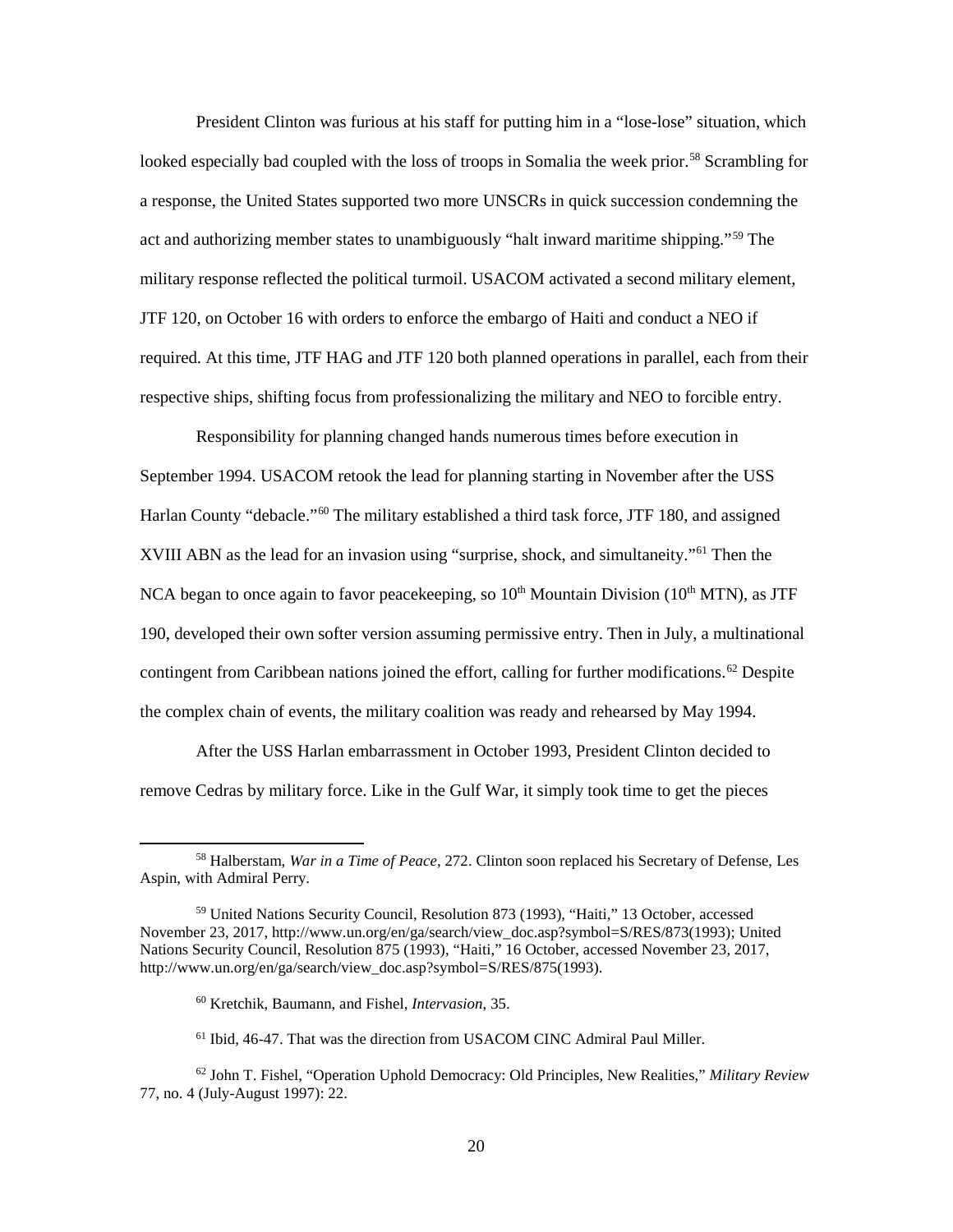President Clinton was furious at his staff for putting him in a "lose-lose" situation, which looked especially bad coupled with the loss of troops in Somalia the week prior.<sup>[58](#page-28-0)</sup> Scrambling for a response, the United States supported two more UNSCRs in quick succession condemning the act and authorizing member states to unambiguously "halt inward maritime shipping."<sup>59</sup> The military response reflected the political turmoil. USACOM activated a second military element, JTF 120, on October 16 with orders to enforce the embargo of Haiti and conduct a NEO if required. At this time, JTF HAG and JTF 120 both planned operations in parallel, each from their respective ships, shifting focus from professionalizing the military and NEO to forcible entry.

Responsibility for planning changed hands numerous times before execution in September 1994. USACOM retook the lead for planning starting in November after the USS Harlan County "debacle."<sup>[60](#page-28-2)</sup> The military established a third task force, JTF 180, and assigned XVIII ABN as the lead for an invasion using "surprise, shock, and simultaneity."<sup>61</sup> Then the NCA began to once again to favor peacekeeping, so  $10<sup>th</sup>$  Mountain Division ( $10<sup>th</sup>$  MTN), as JTF 190, developed their own softer version assuming permissive entry. Then in July, a multinational contingent from Caribbean nations joined the effort, calling for further modifications.<sup>[62](#page-28-4)</sup> Despite the complex chain of events, the military coalition was ready and rehearsed by May 1994.

After the USS Harlan embarrassment in October 1993, President Clinton decided to remove Cedras by military force. Like in the Gulf War, it simply took time to get the pieces

<span id="page-28-0"></span> <sup>58</sup> Halberstam, *War in a Time of Peace*, 272. Clinton soon replaced his Secretary of Defense, Les Aspin, with Admiral Perry.

<span id="page-28-1"></span><sup>59</sup> United Nations Security Council, Resolution 873 (1993), "Haiti," 13 October, accessed November 23, 2017, http://www.un.org/en/ga/search/view\_doc.asp?symbol=S/RES/873(1993); United Nations Security Council, Resolution 875 (1993), "Haiti," 16 October, accessed November 23, 2017, http://www.un.org/en/ga/search/view\_doc.asp?symbol=S/RES/875(1993).

<sup>60</sup> Kretchik, Baumann, and Fishel, *Intervasion*, 35.

<sup>&</sup>lt;sup>61</sup> Ibid, 46-47. That was the direction from USACOM CINC Admiral Paul Miller.

<span id="page-28-4"></span><span id="page-28-3"></span><span id="page-28-2"></span><sup>62</sup> John T. Fishel, "Operation Uphold Democracy: Old Principles, New Realities," *Military Review* 77, no. 4 (July-August 1997): 22.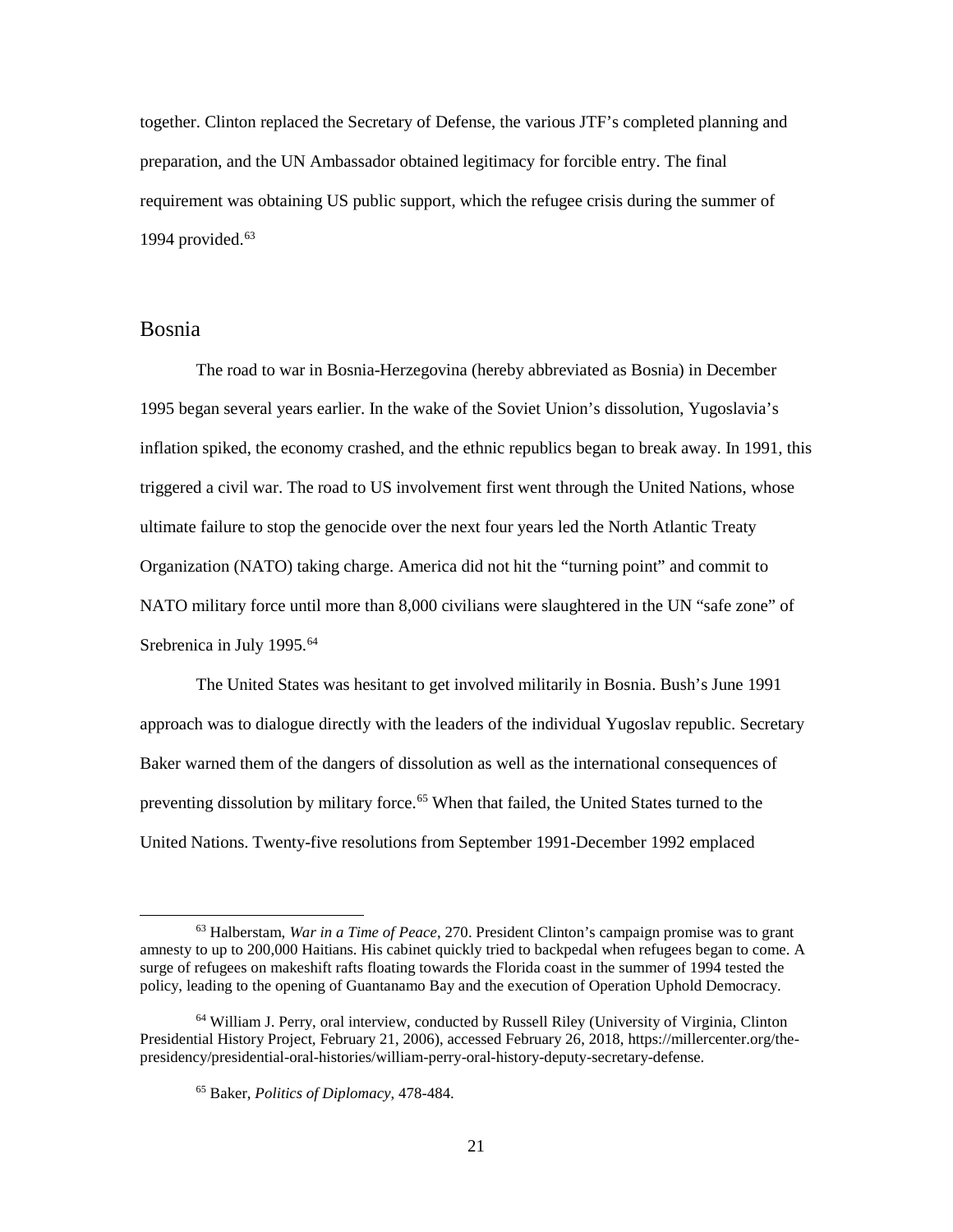together. Clinton replaced the Secretary of Defense, the various JTF's completed planning and preparation, and the UN Ambassador obtained legitimacy for forcible entry. The final requirement was obtaining US public support, which the refugee crisis during the summer of 1994 provided. $63$ 

## <span id="page-29-0"></span>Bosnia

 The road to war in Bosnia-Herzegovina (hereby abbreviated as Bosnia) in December 1995 began several years earlier. In the wake of the Soviet Union's dissolution, Yugoslavia's inflation spiked, the economy crashed, and the ethnic republics began to break away. In 1991, this triggered a civil war. The road to US involvement first went through the United Nations, whose ultimate failure to stop the genocide over the next four years led the North Atlantic Treaty Organization (NATO) taking charge. America did not hit the "turning point" and commit to NATO military force until more than 8,000 civilians were slaughtered in the UN "safe zone" of Srebrenica in July 1995.<sup>64</sup>

The United States was hesitant to get involved militarily in Bosnia. Bush's June 1991 approach was to dialogue directly with the leaders of the individual Yugoslav republic. Secretary Baker warned them of the dangers of dissolution as well as the international consequences of preventing dissolution by military force.<sup>[65](#page-29-3)</sup> When that failed, the United States turned to the United Nations. Twenty-five resolutions from September 1991-December 1992 emplaced

<span id="page-29-1"></span> <sup>63</sup> Halberstam, *War in a Time of Peace*, 270. President Clinton's campaign promise was to grant amnesty to up to 200,000 Haitians. His cabinet quickly tried to backpedal when refugees began to come. A surge of refugees on makeshift rafts floating towards the Florida coast in the summer of 1994 tested the policy, leading to the opening of Guantanamo Bay and the execution of Operation Uphold Democracy.

<span id="page-29-3"></span><span id="page-29-2"></span><sup>64</sup> William J. Perry, oral interview, conducted by Russell Riley (University of Virginia, Clinton Presidential History Project*,* February 21, 2006), accessed February 26, 2018, https://millercenter.org/thepresidency/presidential-oral-histories/william-perry-oral-history-deputy-secretary-defense.

<sup>65</sup> Baker, *Politics of Diplomacy*, 478-484.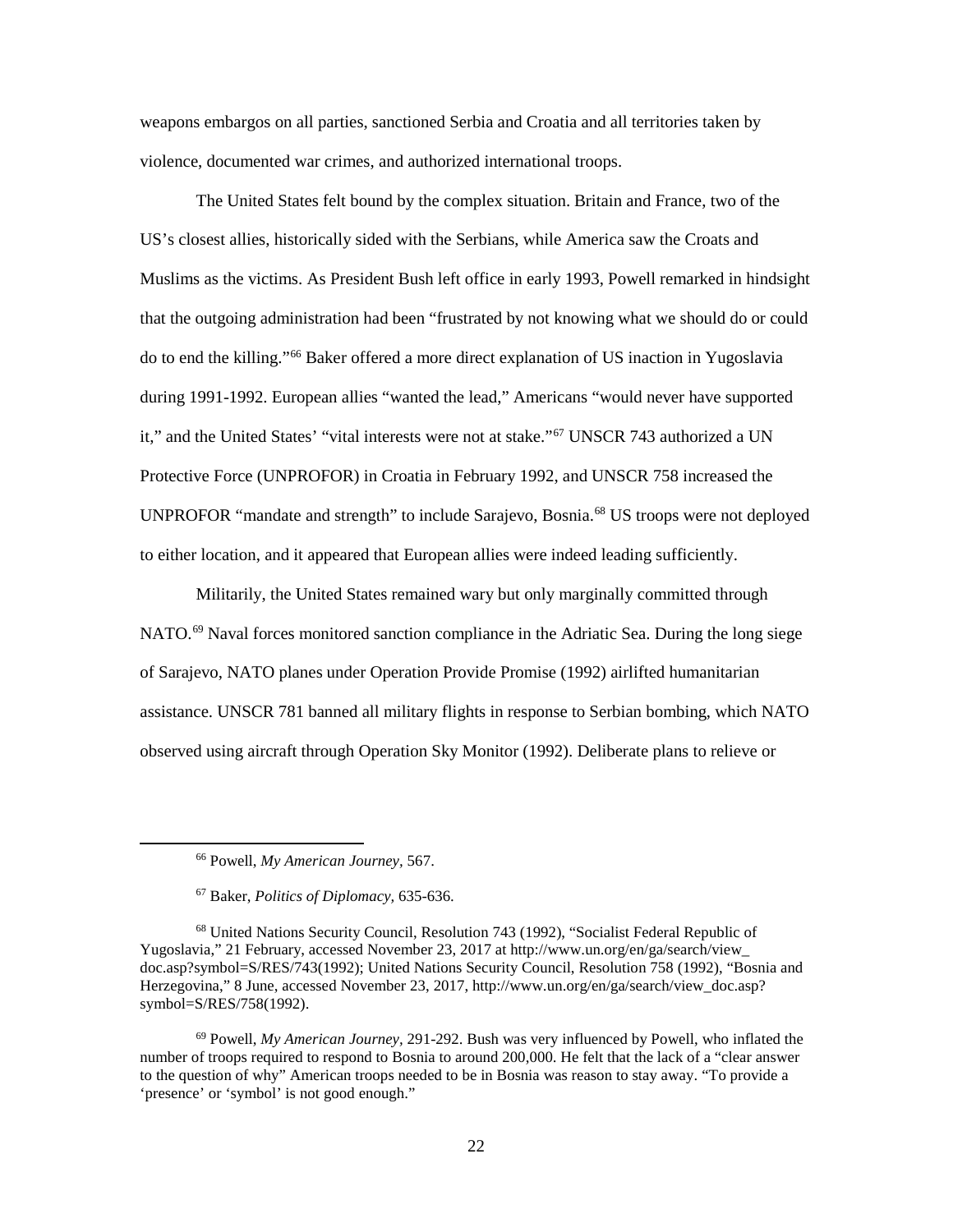weapons embargos on all parties, sanctioned Serbia and Croatia and all territories taken by violence, documented war crimes, and authorized international troops.

The United States felt bound by the complex situation. Britain and France, two of the US's closest allies, historically sided with the Serbians, while America saw the Croats and Muslims as the victims. As President Bush left office in early 1993, Powell remarked in hindsight that the outgoing administration had been "frustrated by not knowing what we should do or could do to end the killing."[66](#page-30-0) Baker offered a more direct explanation of US inaction in Yugoslavia during 1991-1992. European allies "wanted the lead," Americans "would never have supported it," and the United States' "vital interests were not at stake."[67](#page-30-1) UNSCR 743 authorized a UN Protective Force (UNPROFOR) in Croatia in February 1992, and UNSCR 758 increased the UNPROFOR "mandate and strength" to include Sarajevo, Bosnia.<sup>[68](#page-30-2)</sup> US troops were not deployed to either location, and it appeared that European allies were indeed leading sufficiently.

Militarily, the United States remained wary but only marginally committed through NATO.<sup>69</sup> Naval forces monitored sanction compliance in the Adriatic Sea. During the long siege of Sarajevo, NATO planes under Operation Provide Promise (1992) airlifted humanitarian assistance. UNSCR 781 banned all military flights in response to Serbian bombing, which NATO observed using aircraft through Operation Sky Monitor (1992). Deliberate plans to relieve or

 <sup>66</sup> Powell, *My American Journey,* 567.

<sup>67</sup> Baker, *Politics of Diplomacy,* 635-636.

<span id="page-30-2"></span><span id="page-30-1"></span><span id="page-30-0"></span><sup>68</sup> United Nations Security Council, Resolution 743 (1992), "Socialist Federal Republic of Yugoslavia," 21 February, accessed November 23, 2017 at http://www.un.org/en/ga/search/view\_ doc.asp?symbol=S/RES/743(1992); United Nations Security Council, Resolution 758 (1992), "Bosnia and Herzegovina," 8 June, accessed November 23, 2017, http://www.un.org/en/ga/search/view doc.asp? symbol=S/RES/758(1992).

<span id="page-30-3"></span><sup>69</sup> Powell, *My American Journey,* 291-292. Bush was very influenced by Powell, who inflated the number of troops required to respond to Bosnia to around 200,000. He felt that the lack of a "clear answer to the question of why" American troops needed to be in Bosnia was reason to stay away. "To provide a 'presence' or 'symbol' is not good enough."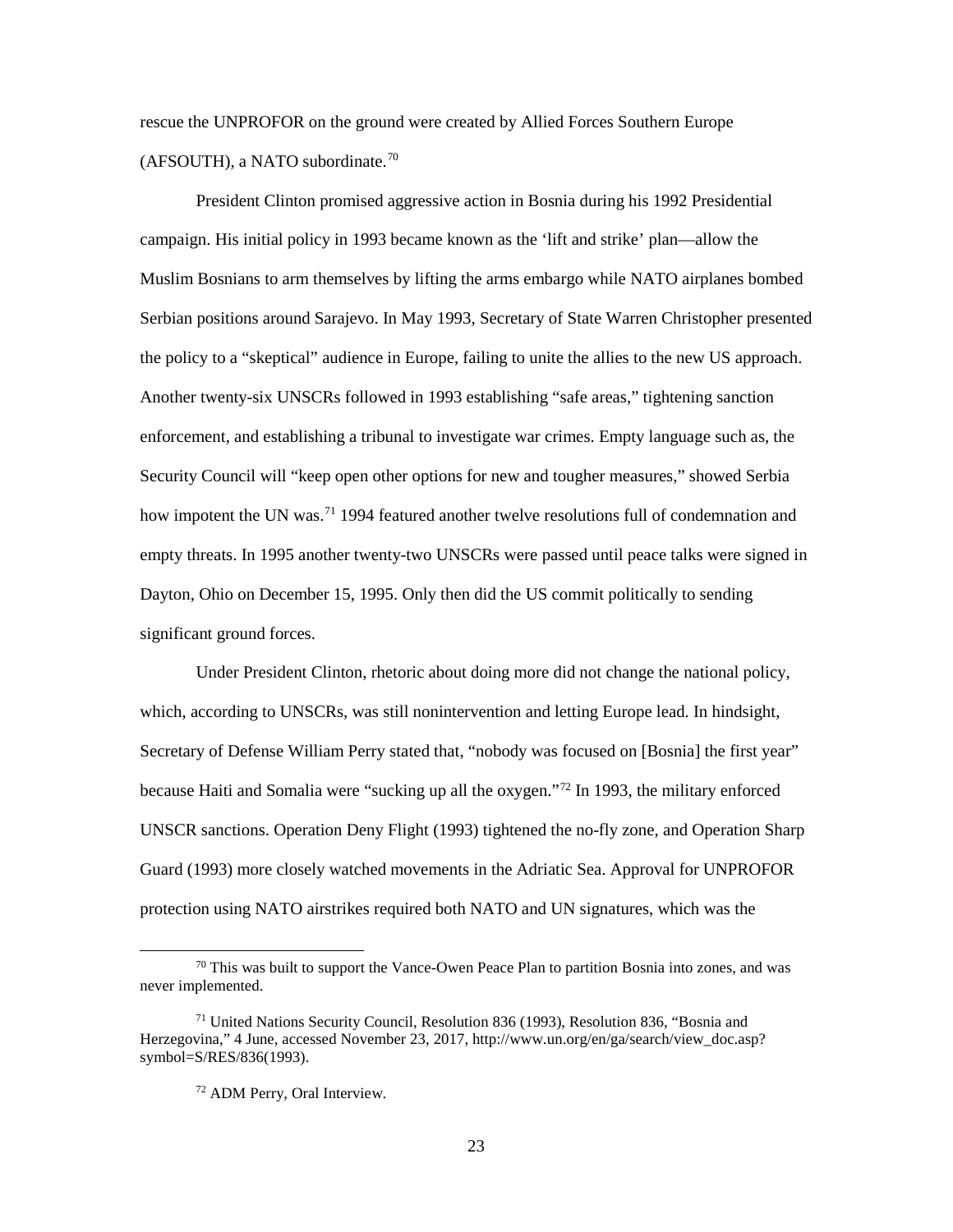rescue the UNPROFOR on the ground were created by Allied Forces Southern Europe  $(AFSOUTH)$ , a NATO subordinate.<sup>[70](#page-31-0)</sup>

President Clinton promised aggressive action in Bosnia during his 1992 Presidential campaign. His initial policy in 1993 became known as the 'lift and strike' plan—allow the Muslim Bosnians to arm themselves by lifting the arms embargo while NATO airplanes bombed Serbian positions around Sarajevo. In May 1993, Secretary of State Warren Christopher presented the policy to a "skeptical" audience in Europe, failing to unite the allies to the new US approach. Another twenty-six UNSCRs followed in 1993 establishing "safe areas," tightening sanction enforcement, and establishing a tribunal to investigate war crimes. Empty language such as, the Security Council will "keep open other options for new and tougher measures," showed Serbia how impotent the UN was.<sup>71</sup> 1994 featured another twelve resolutions full of condemnation and empty threats. In 1995 another twenty-two UNSCRs were passed until peace talks were signed in Dayton, Ohio on December 15, 1995. Only then did the US commit politically to sending significant ground forces.

Under President Clinton, rhetoric about doing more did not change the national policy, which, according to UNSCRs, was still nonintervention and letting Europe lead. In hindsight, Secretary of Defense William Perry stated that, "nobody was focused on [Bosnia] the first year" because Haiti and Somalia were "sucking up all the oxygen."[72](#page-31-2) In 1993, the military enforced UNSCR sanctions. Operation Deny Flight (1993) tightened the no-fly zone, and Operation Sharp Guard (1993) more closely watched movements in the Adriatic Sea. Approval for UNPROFOR protection using NATO airstrikes required both NATO and UN signatures, which was the

<span id="page-31-0"></span> $70$  This was built to support the Vance-Owen Peace Plan to partition Bosnia into zones, and was never implemented.

<span id="page-31-2"></span><span id="page-31-1"></span><sup>71</sup> United Nations Security Council, Resolution 836 (1993), Resolution 836, "Bosnia and Herzegovina," 4 June, accessed November 23, 2017, http://www.un.org/en/ga/search/view\_doc.asp? symbol=S/RES/836(1993).

<sup>72</sup> ADM Perry, Oral Interview.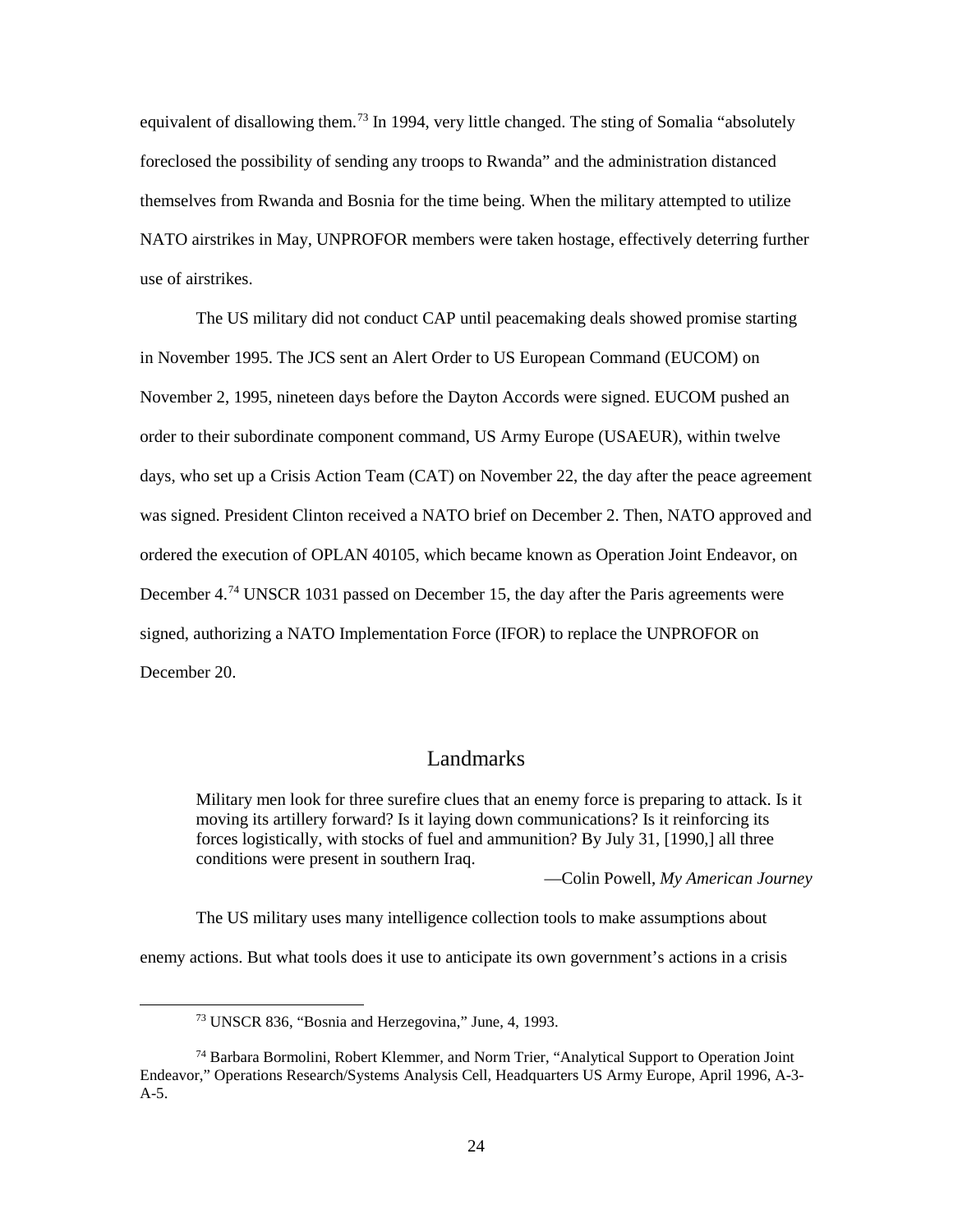equivalent of disallowing them.<sup>73</sup> In 1994, very little changed. The sting of Somalia "absolutely foreclosed the possibility of sending any troops to Rwanda" and the administration distanced themselves from Rwanda and Bosnia for the time being. When the military attempted to utilize NATO airstrikes in May, UNPROFOR members were taken hostage, effectively deterring further use of airstrikes.

The US military did not conduct CAP until peacemaking deals showed promise starting in November 1995. The JCS sent an Alert Order to US European Command (EUCOM) on November 2, 1995, nineteen days before the Dayton Accords were signed. EUCOM pushed an order to their subordinate component command, US Army Europe (USAEUR), within twelve days, who set up a Crisis Action Team (CAT) on November 22, the day after the peace agreement was signed. President Clinton received a NATO brief on December 2. Then, NATO approved and ordered the execution of OPLAN 40105, which became known as Operation Joint Endeavor, on December 4.<sup>74</sup> UNSCR 1031 passed on December 15, the day after the Paris agreements were signed, authorizing a NATO Implementation Force (IFOR) to replace the UNPROFOR on December 20.

## Landmarks

<span id="page-32-0"></span>Military men look for three surefire clues that an enemy force is preparing to attack. Is it moving its artillery forward? Is it laying down communications? Is it reinforcing its forces logistically, with stocks of fuel and ammunition? By July 31, [1990,] all three conditions were present in southern Iraq.

—Colin Powell, *My American Journey*

The US military uses many intelligence collection tools to make assumptions about

enemy actions. But what tools does it use to anticipate its own government's actions in a crisis

 <sup>73</sup> UNSCR 836, "Bosnia and Herzegovina," June, 4, 1993.

<span id="page-32-2"></span><span id="page-32-1"></span><sup>74</sup> Barbara Bormolini, Robert Klemmer, and Norm Trier, "Analytical Support to Operation Joint Endeavor," Operations Research/Systems Analysis Cell, Headquarters US Army Europe, April 1996, A-3-  $A-5.$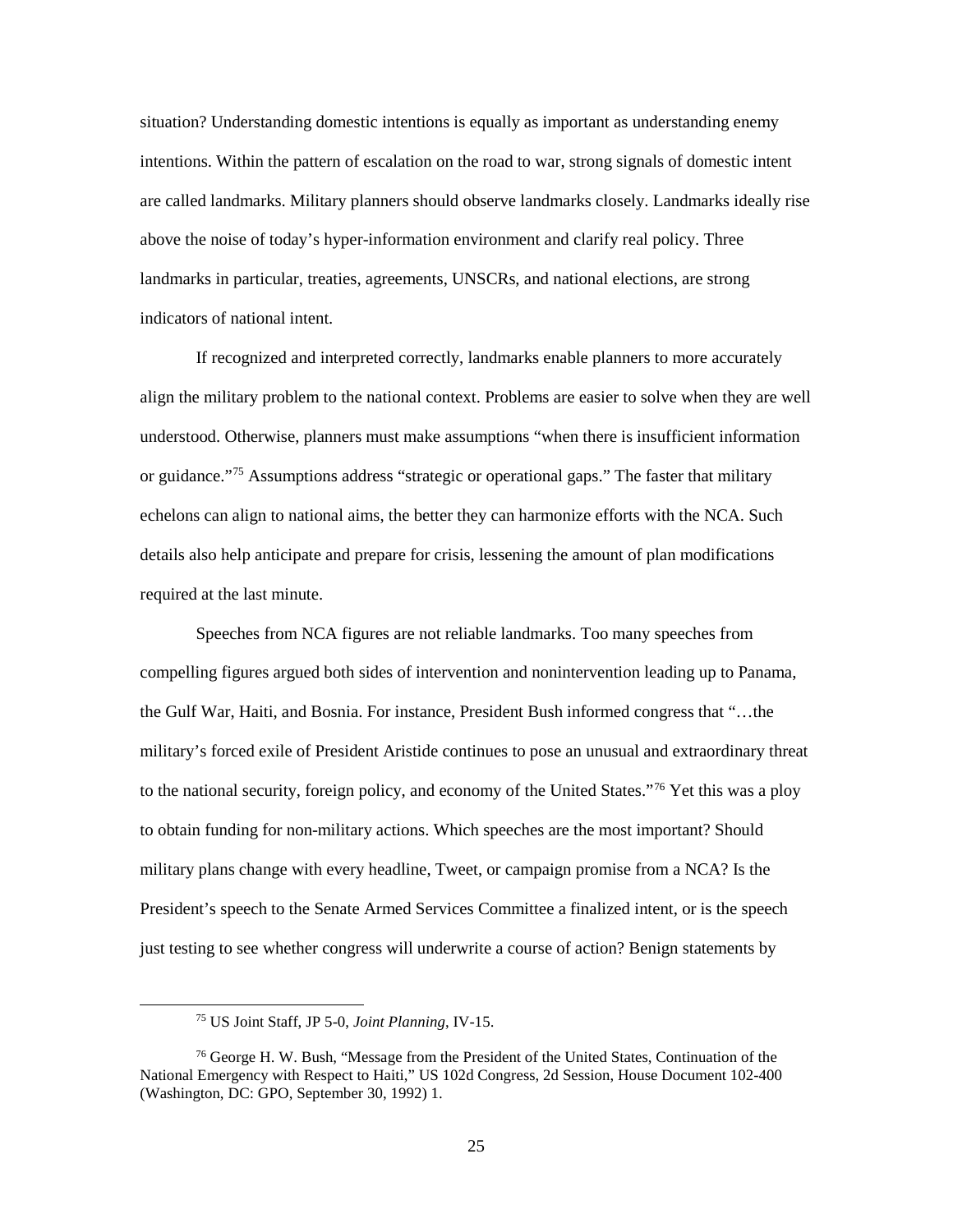situation? Understanding domestic intentions is equally as important as understanding enemy intentions. Within the pattern of escalation on the road to war, strong signals of domestic intent are called landmarks. Military planners should observe landmarks closely. Landmarks ideally rise above the noise of today's hyper-information environment and clarify real policy. Three landmarks in particular, treaties, agreements, UNSCRs, and national elections, are strong indicators of national intent.

If recognized and interpreted correctly, landmarks enable planners to more accurately align the military problem to the national context. Problems are easier to solve when they are well understood. Otherwise, planners must make assumptions "when there is insufficient information or guidance."<sup>[75](#page-33-0)</sup> Assumptions address "strategic or operational gaps." The faster that military echelons can align to national aims, the better they can harmonize efforts with the NCA. Such details also help anticipate and prepare for crisis, lessening the amount of plan modifications required at the last minute.

Speeches from NCA figures are not reliable landmarks. Too many speeches from compelling figures argued both sides of intervention and nonintervention leading up to Panama, the Gulf War, Haiti, and Bosnia. For instance, President Bush informed congress that "…the military's forced exile of President Aristide continues to pose an unusual and extraordinary threat to the national security, foreign policy, and economy of the United States."[76](#page-33-1) Yet this was a ploy to obtain funding for non-military actions. Which speeches are the most important? Should military plans change with every headline, Tweet, or campaign promise from a NCA? Is the President's speech to the Senate Armed Services Committee a finalized intent, or is the speech just testing to see whether congress will underwrite a course of action? Benign statements by

 <sup>75</sup> US Joint Staff, JP 5-0, *Joint Planning*, IV-15.

<span id="page-33-1"></span><span id="page-33-0"></span><sup>76</sup> George H. W. Bush, "Message from the President of the United States, Continuation of the National Emergency with Respect to Haiti," US 102d Congress, 2d Session, House Document 102-400 (Washington, DC: GPO, September 30, 1992) 1.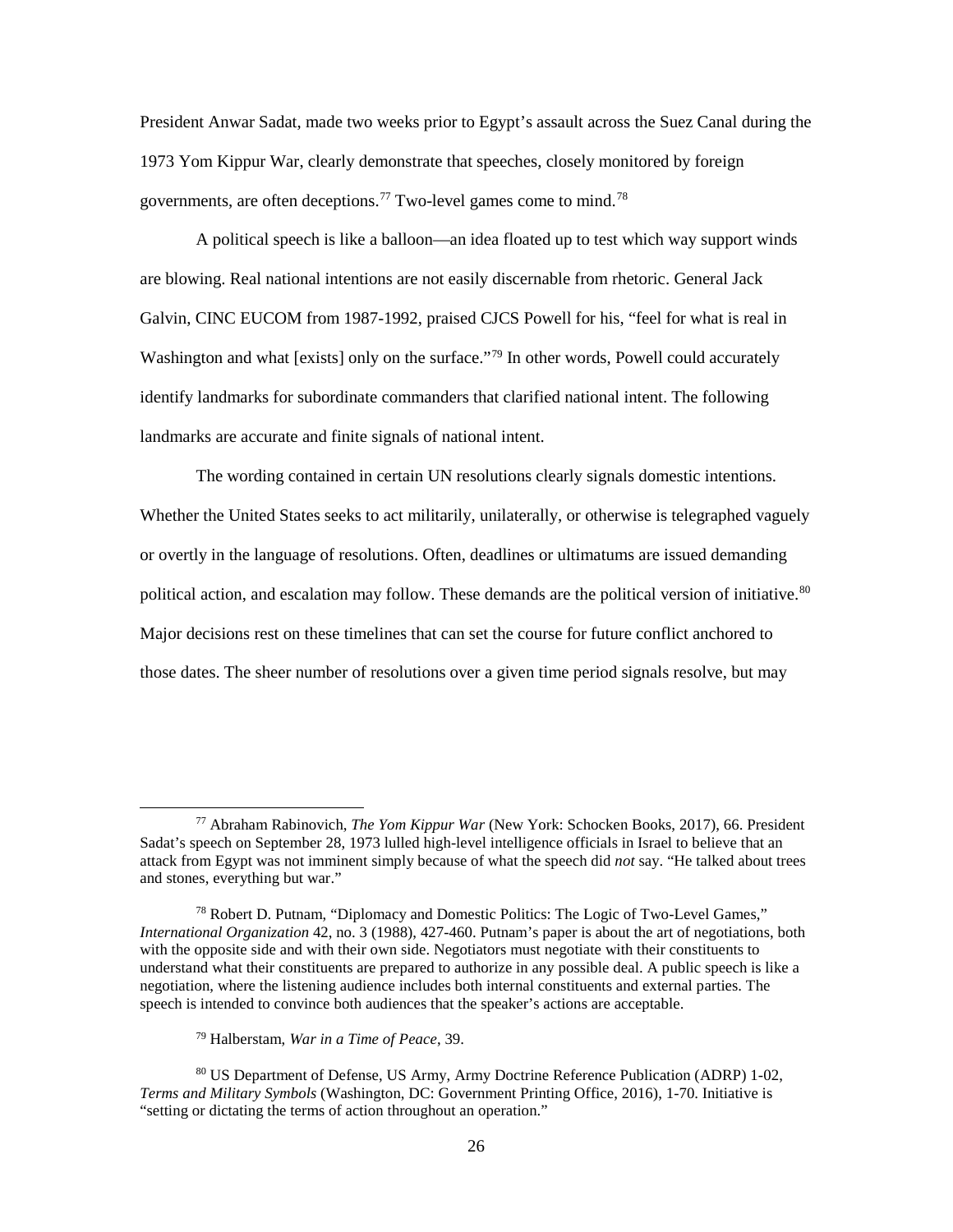President Anwar Sadat, made two weeks prior to Egypt's assault across the Suez Canal during the 1973 Yom Kippur War, clearly demonstrate that speeches, closely monitored by foreign governments, are often deceptions.<sup>[77](#page-34-0)</sup> Two-level games come to mind.<sup>[78](#page-34-1)</sup>

A political speech is like a balloon—an idea floated up to test which way support winds are blowing. Real national intentions are not easily discernable from rhetoric. General Jack Galvin, CINC EUCOM from 1987-1992, praised CJCS Powell for his, "feel for what is real in Washington and what [exists] only on the surface."<sup>[79](#page-34-2)</sup> In other words, Powell could accurately identify landmarks for subordinate commanders that clarified national intent. The following landmarks are accurate and finite signals of national intent.

The wording contained in certain UN resolutions clearly signals domestic intentions. Whether the United States seeks to act militarily, unilaterally, or otherwise is telegraphed vaguely or overtly in the language of resolutions. Often, deadlines or ultimatums are issued demanding political action, and escalation may follow. These demands are the political version of initiative.<sup>[80](#page-34-3)</sup> Major decisions rest on these timelines that can set the course for future conflict anchored to those dates. The sheer number of resolutions over a given time period signals resolve, but may

<span id="page-34-0"></span> <sup>77</sup> Abraham Rabinovich, *The Yom Kippur War* (New York: Schocken Books, 2017), 66. President Sadat's speech on September 28, 1973 lulled high-level intelligence officials in Israel to believe that an attack from Egypt was not imminent simply because of what the speech did *not* say. "He talked about trees and stones, everything but war."

<span id="page-34-1"></span><sup>78</sup> Robert D. Putnam, "Diplomacy and Domestic Politics: The Logic of Two-Level Games," *International Organization* 42, no. 3 (1988), 427-460. Putnam's paper is about the art of negotiations, both with the opposite side and with their own side. Negotiators must negotiate with their constituents to understand what their constituents are prepared to authorize in any possible deal. A public speech is like a negotiation, where the listening audience includes both internal constituents and external parties. The speech is intended to convince both audiences that the speaker's actions are acceptable.

<sup>79</sup> Halberstam, *War in a Time of Peace*, 39.

<span id="page-34-3"></span><span id="page-34-2"></span><sup>80</sup> US Department of Defense, US Army, Army Doctrine Reference Publication (ADRP) 1-02, *Terms and Military Symbols* (Washington, DC: Government Printing Office, 2016), 1-70. Initiative is "setting or dictating the terms of action throughout an operation."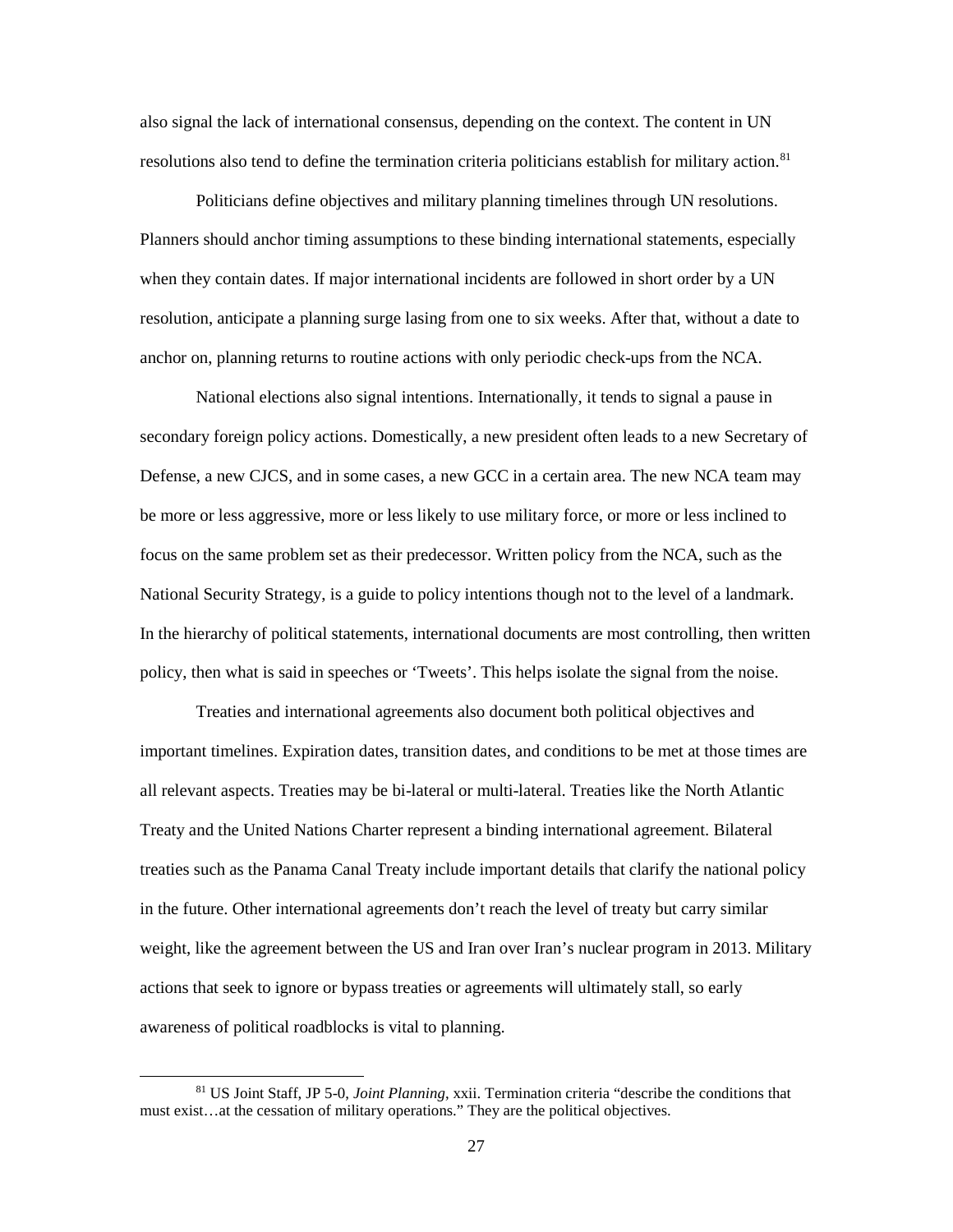also signal the lack of international consensus, depending on the context. The content in UN resolutions also tend to define the termination criteria politicians establish for military action.<sup>81</sup>

Politicians define objectives and military planning timelines through UN resolutions. Planners should anchor timing assumptions to these binding international statements, especially when they contain dates. If major international incidents are followed in short order by a UN resolution, anticipate a planning surge lasing from one to six weeks. After that, without a date to anchor on, planning returns to routine actions with only periodic check-ups from the NCA.

National elections also signal intentions. Internationally, it tends to signal a pause in secondary foreign policy actions. Domestically, a new president often leads to a new Secretary of Defense, a new CJCS, and in some cases, a new GCC in a certain area. The new NCA team may be more or less aggressive, more or less likely to use military force, or more or less inclined to focus on the same problem set as their predecessor. Written policy from the NCA, such as the National Security Strategy, is a guide to policy intentions though not to the level of a landmark. In the hierarchy of political statements, international documents are most controlling, then written policy, then what is said in speeches or 'Tweets'. This helps isolate the signal from the noise.

Treaties and international agreements also document both political objectives and important timelines. Expiration dates, transition dates, and conditions to be met at those times are all relevant aspects. Treaties may be bi-lateral or multi-lateral. Treaties like the North Atlantic Treaty and the United Nations Charter represent a binding international agreement. Bilateral treaties such as the Panama Canal Treaty include important details that clarify the national policy in the future. Other international agreements don't reach the level of treaty but carry similar weight, like the agreement between the US and Iran over Iran's nuclear program in 2013. Military actions that seek to ignore or bypass treaties or agreements will ultimately stall, so early awareness of political roadblocks is vital to planning.

<span id="page-35-0"></span> <sup>81</sup> US Joint Staff, JP 5-0, *Joint Planning*, xxii. Termination criteria "describe the conditions that must exist…at the cessation of military operations." They are the political objectives.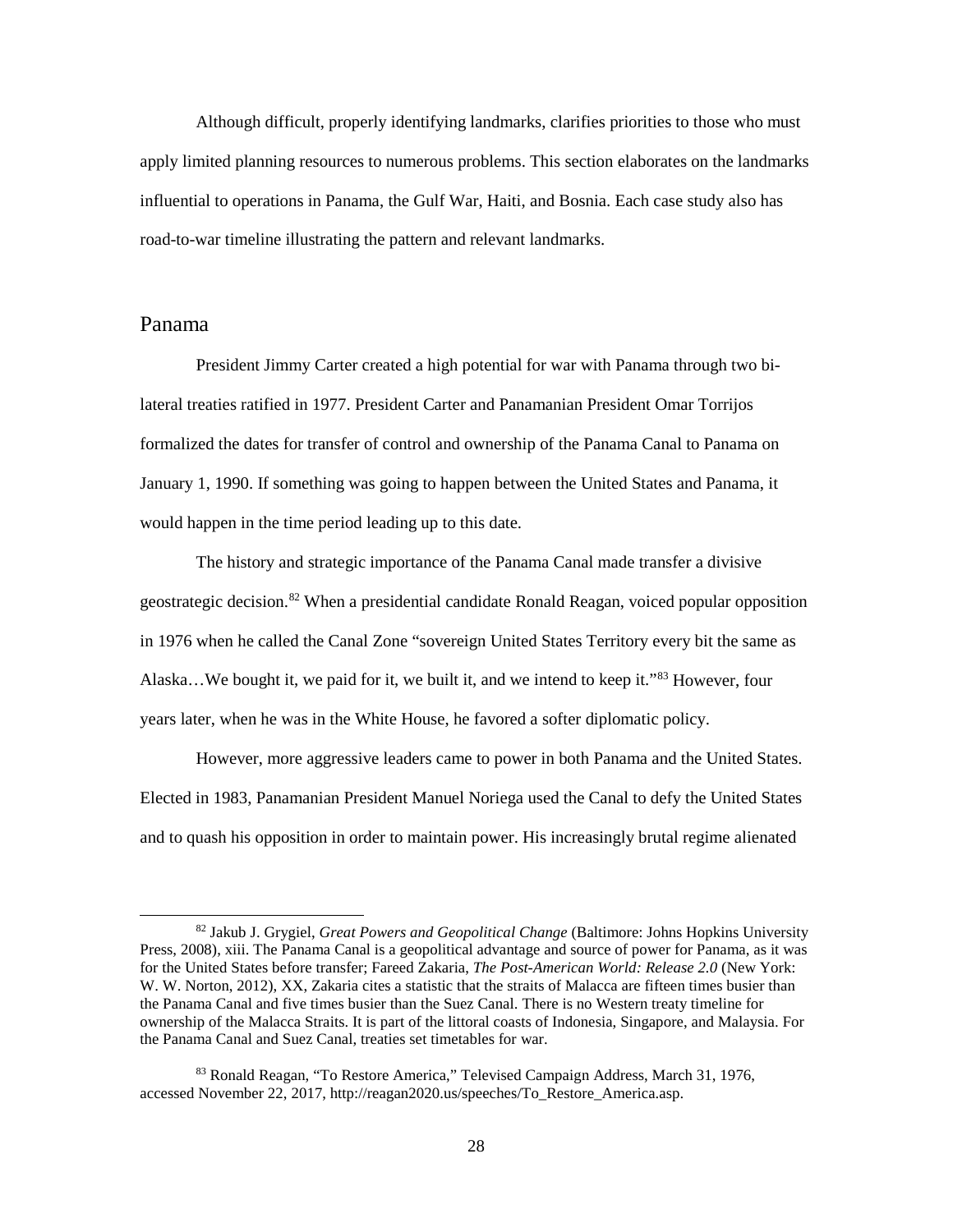Although difficult, properly identifying landmarks, clarifies priorities to those who must apply limited planning resources to numerous problems. This section elaborates on the landmarks influential to operations in Panama, the Gulf War, Haiti, and Bosnia. Each case study also has road-to-war timeline illustrating the pattern and relevant landmarks.

## <span id="page-36-0"></span>Panama

President Jimmy Carter created a high potential for war with Panama through two bilateral treaties ratified in 1977. President Carter and Panamanian President Omar Torrijos formalized the dates for transfer of control and ownership of the Panama Canal to Panama on January 1, 1990. If something was going to happen between the United States and Panama, it would happen in the time period leading up to this date.

The history and strategic importance of the Panama Canal made transfer a divisive geostrategic decision.[82](#page-36-1) When a presidential candidate Ronald Reagan, voiced popular opposition in 1976 when he called the Canal Zone "sovereign United States Territory every bit the same as Alaska...We bought it, we paid for it, we built it, and we intend to keep it."<sup>[83](#page-36-2)</sup> However, four years later, when he was in the White House, he favored a softer diplomatic policy.

However, more aggressive leaders came to power in both Panama and the United States. Elected in 1983, Panamanian President Manuel Noriega used the Canal to defy the United States and to quash his opposition in order to maintain power. His increasingly brutal regime alienated

<span id="page-36-1"></span> <sup>82</sup> Jakub J. Grygiel, *Great Powers and Geopolitical Change* (Baltimore: Johns Hopkins University Press, 2008), xiii. The Panama Canal is a geopolitical advantage and source of power for Panama, as it was for the United States before transfer; Fareed Zakaria, *The Post-American World: Release 2.0* (New York: W. W. Norton, 2012), XX, Zakaria cites a statistic that the straits of Malacca are fifteen times busier than the Panama Canal and five times busier than the Suez Canal. There is no Western treaty timeline for ownership of the Malacca Straits. It is part of the littoral coasts of Indonesia, Singapore, and Malaysia. For the Panama Canal and Suez Canal, treaties set timetables for war.

<span id="page-36-2"></span><sup>83</sup> Ronald Reagan, "To Restore America," Televised Campaign Address, March 31, 1976, accessed November 22, 2017, http://reagan2020.us/speeches/To\_Restore\_America.asp.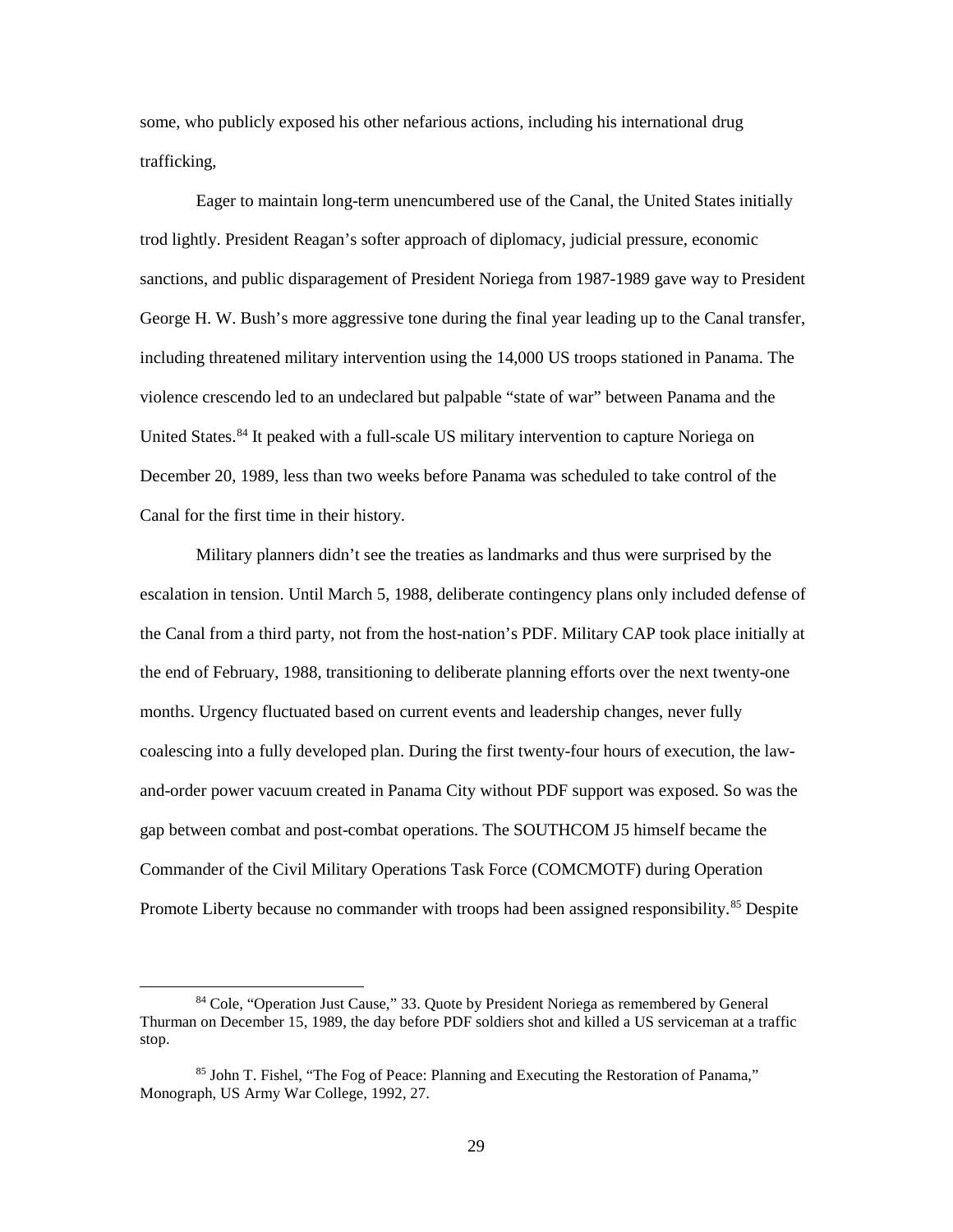some, who publicly exposed his other nefarious actions, including his international drug trafficking,

Eager to maintain long-term unencumbered use of the Canal, the United States initially trod lightly. President Reagan's softer approach of diplomacy, judicial pressure, economic sanctions, and public disparagement of President Noriega from 1987-1989 gave way to President George H. W. Bush's more aggressive tone during the final year leading up to the Canal transfer, including threatened military intervention using the 14,000 US troops stationed in Panama. The violence crescendo led to an undeclared but palpable "state of war" between Panama and the United States.<sup>[84](#page-37-0)</sup> It peaked with a full-scale US military intervention to capture Noriega on December 20, 1989, less than two weeks before Panama was scheduled to take control of the Canal for the first time in their history.

Military planners didn't see the treaties as landmarks and thus were surprised by the escalation in tension. Until March 5, 1988, deliberate contingency plans only included defense of the Canal from a third party, not from the host-nation's PDF. Military CAP took place initially at the end of February, 1988, transitioning to deliberate planning efforts over the next twenty-one months. Urgency fluctuated based on current events and leadership changes, never fully coalescing into a fully developed plan. During the first twenty-four hours of execution, the lawand-order power vacuum created in Panama City without PDF support was exposed. So was the gap between combat and post-combat operations. The SOUTHCOM J5 himself became the Commander of the Civil Military Operations Task Force (COMCMOTF) during Operation Promote Liberty because no commander with troops had been assigned responsibility.<sup>[85](#page-37-1)</sup> Despite

<span id="page-37-0"></span><sup>&</sup>lt;sup>84</sup> Cole, "Operation Just Cause," 33. Quote by President Noriega as remembered by General Thurman on December 15, 1989, the day before PDF soldiers shot and killed a US serviceman at a traffic stop.

<span id="page-37-1"></span><sup>85</sup> John T. Fishel, "The Fog of Peace: Planning and Executing the Restoration of Panama," Monograph, US Army War College, 1992, 27.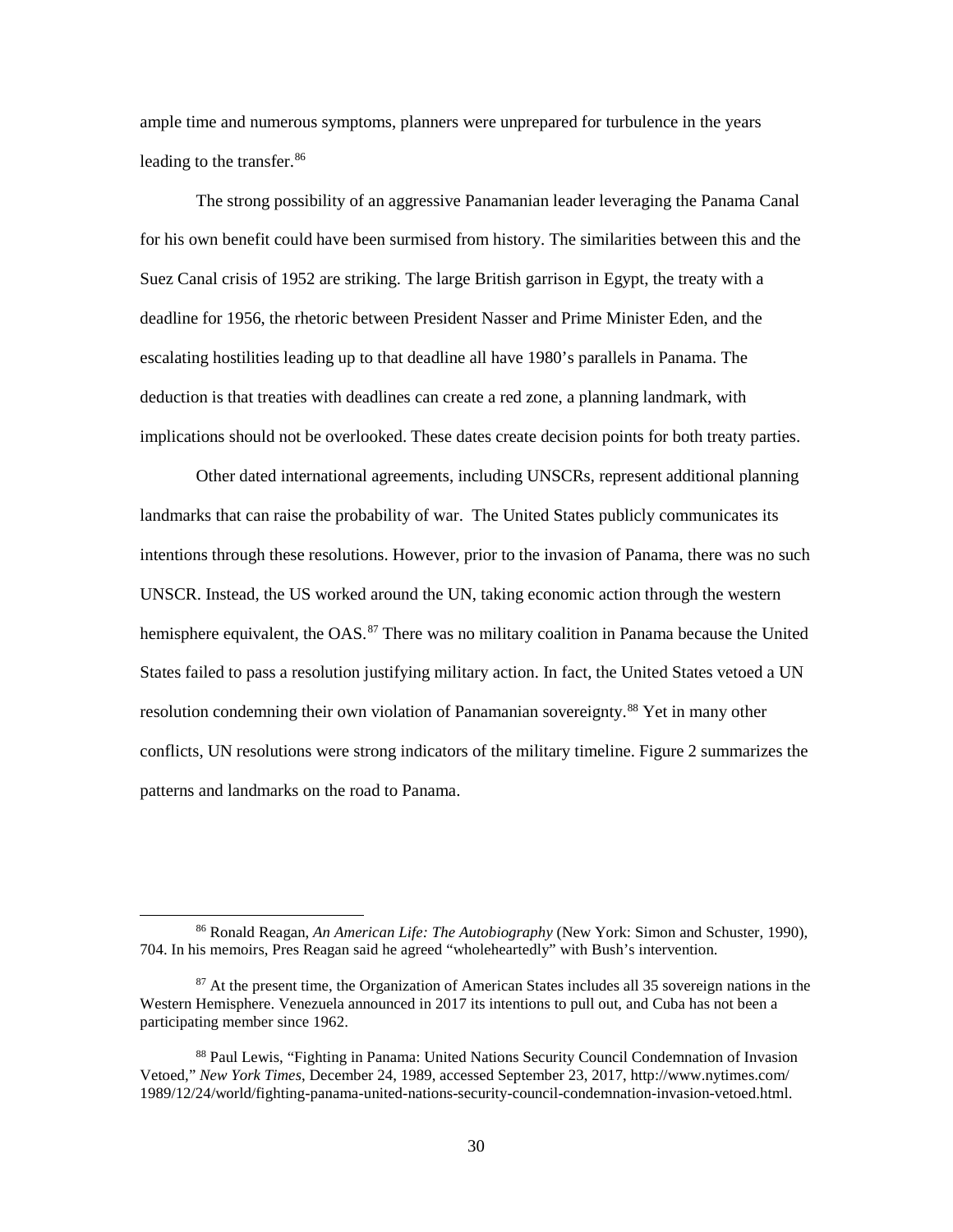ample time and numerous symptoms, planners were unprepared for turbulence in the years leading to the transfer.<sup>86</sup>

The strong possibility of an aggressive Panamanian leader leveraging the Panama Canal for his own benefit could have been surmised from history. The similarities between this and the Suez Canal crisis of 1952 are striking. The large British garrison in Egypt, the treaty with a deadline for 1956, the rhetoric between President Nasser and Prime Minister Eden, and the escalating hostilities leading up to that deadline all have 1980's parallels in Panama. The deduction is that treaties with deadlines can create a red zone, a planning landmark, with implications should not be overlooked. These dates create decision points for both treaty parties.

Other dated international agreements, including UNSCRs, represent additional planning landmarks that can raise the probability of war. The United States publicly communicates its intentions through these resolutions. However, prior to the invasion of Panama, there was no such UNSCR. Instead, the US worked around the UN, taking economic action through the western hemisphere equivalent, the OAS.<sup>[87](#page-38-1)</sup> There was no military coalition in Panama because the United States failed to pass a resolution justifying military action. In fact, the United States vetoed a UN resolution condemning their own violation of Panamanian sovereignty.<sup>[88](#page-38-2)</sup> Yet in many other conflicts, UN resolutions were strong indicators of the military timeline. Figure 2 summarizes the patterns and landmarks on the road to Panama.

<span id="page-38-0"></span> <sup>86</sup> Ronald Reagan, *An American Life: The Autobiography* (New York: Simon and Schuster, 1990), 704. In his memoirs, Pres Reagan said he agreed "wholeheartedly" with Bush's intervention.

<span id="page-38-1"></span> $87$  At the present time, the Organization of American States includes all 35 sovereign nations in the Western Hemisphere. Venezuela announced in 2017 its intentions to pull out, and Cuba has not been a participating member since 1962.

<span id="page-38-2"></span><sup>88</sup> Paul Lewis, "Fighting in Panama: United Nations Security Council Condemnation of Invasion Vetoed," *New York Times*, December 24, 1989, accessed September 23, 2017, http://www.nytimes.com/ 1989/12/24/world/fighting-panama-united-nations-security-council-condemnation-invasion-vetoed.html.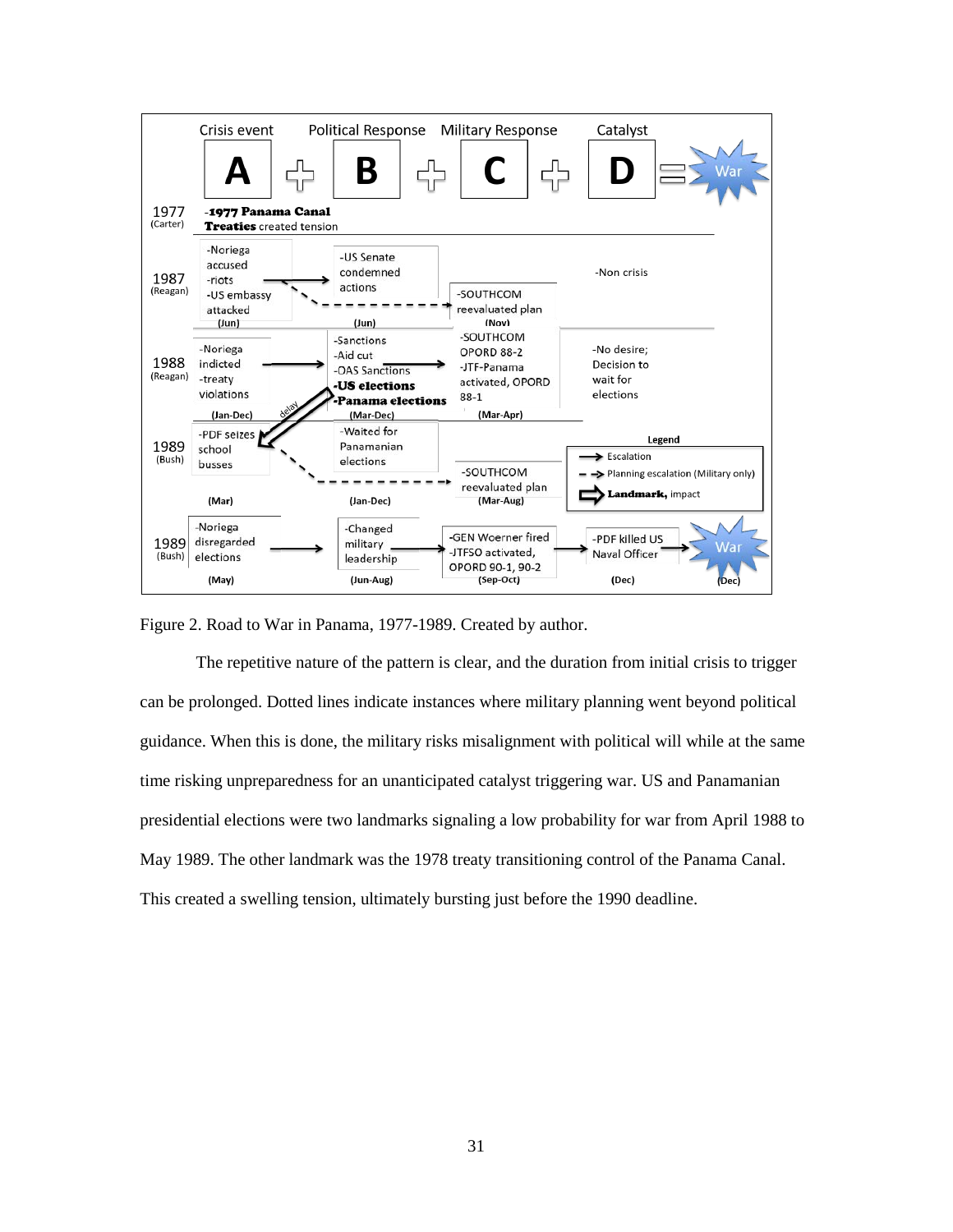

<span id="page-39-0"></span>Figure 2. Road to War in Panama, 1977-1989. Created by author.

The repetitive nature of the pattern is clear, and the duration from initial crisis to trigger can be prolonged. Dotted lines indicate instances where military planning went beyond political guidance. When this is done, the military risks misalignment with political will while at the same time risking unpreparedness for an unanticipated catalyst triggering war. US and Panamanian presidential elections were two landmarks signaling a low probability for war from April 1988 to May 1989. The other landmark was the 1978 treaty transitioning control of the Panama Canal. This created a swelling tension, ultimately bursting just before the 1990 deadline.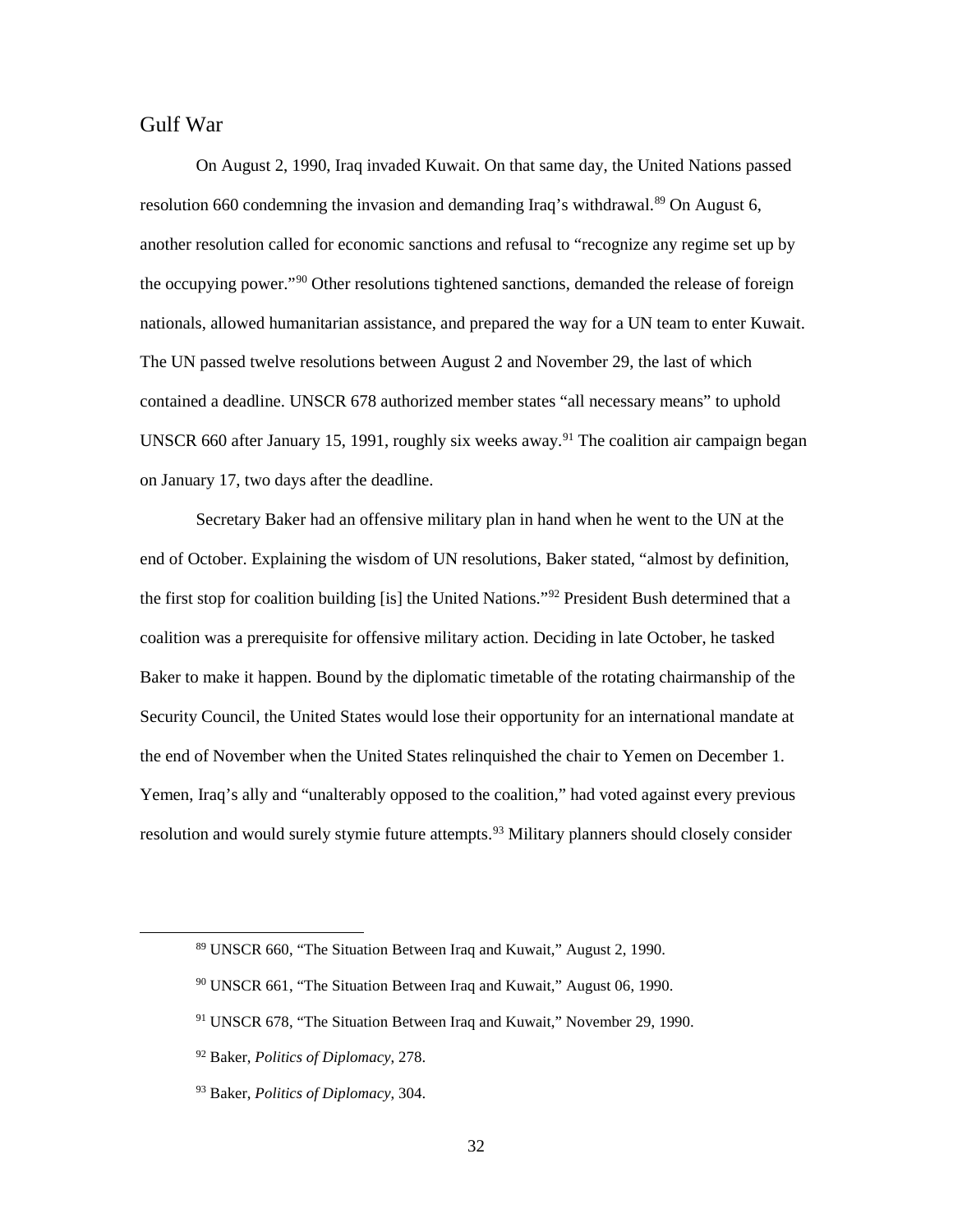## <span id="page-40-0"></span>Gulf War

On August 2, 1990, Iraq invaded Kuwait. On that same day, the United Nations passed resolution 660 condemning the invasion and demanding Iraq's withdrawal.<sup>89</sup> On August 6, another resolution called for economic sanctions and refusal to "recognize any regime set up by the occupying power."[90](#page-40-2) Other resolutions tightened sanctions, demanded the release of foreign nationals, allowed humanitarian assistance, and prepared the way for a UN team to enter Kuwait. The UN passed twelve resolutions between August 2 and November 29, the last of which contained a deadline. UNSCR 678 authorized member states "all necessary means" to uphold UNSCR 660 after January 15, 1991, roughly six weeks away.<sup>91</sup> The coalition air campaign began on January 17, two days after the deadline.

Secretary Baker had an offensive military plan in hand when he went to the UN at the end of October. Explaining the wisdom of UN resolutions, Baker stated, "almost by definition, the first stop for coalition building [is] the United Nations."[92](#page-40-4) President Bush determined that a coalition was a prerequisite for offensive military action. Deciding in late October, he tasked Baker to make it happen. Bound by the diplomatic timetable of the rotating chairmanship of the Security Council, the United States would lose their opportunity for an international mandate at the end of November when the United States relinquished the chair to Yemen on December 1. Yemen, Iraq's ally and "unalterably opposed to the coalition," had voted against every previous resolution and would surely stymie future attempts.<sup>[93](#page-40-5)</sup> Military planners should closely consider

<span id="page-40-1"></span> <sup>89</sup> UNSCR 660, "The Situation Between Iraq and Kuwait," August 2, 1990.

<span id="page-40-2"></span><sup>90</sup> UNSCR 661, "The Situation Between Iraq and Kuwait," August 06, 1990.

<span id="page-40-3"></span><sup>91</sup> UNSCR 678, "The Situation Between Iraq and Kuwait," November 29, 1990.

<span id="page-40-4"></span><sup>92</sup> Baker, *Politics of Diplomacy*, 278.

<span id="page-40-5"></span><sup>93</sup> Baker, *Politics of Diplomacy*, 304.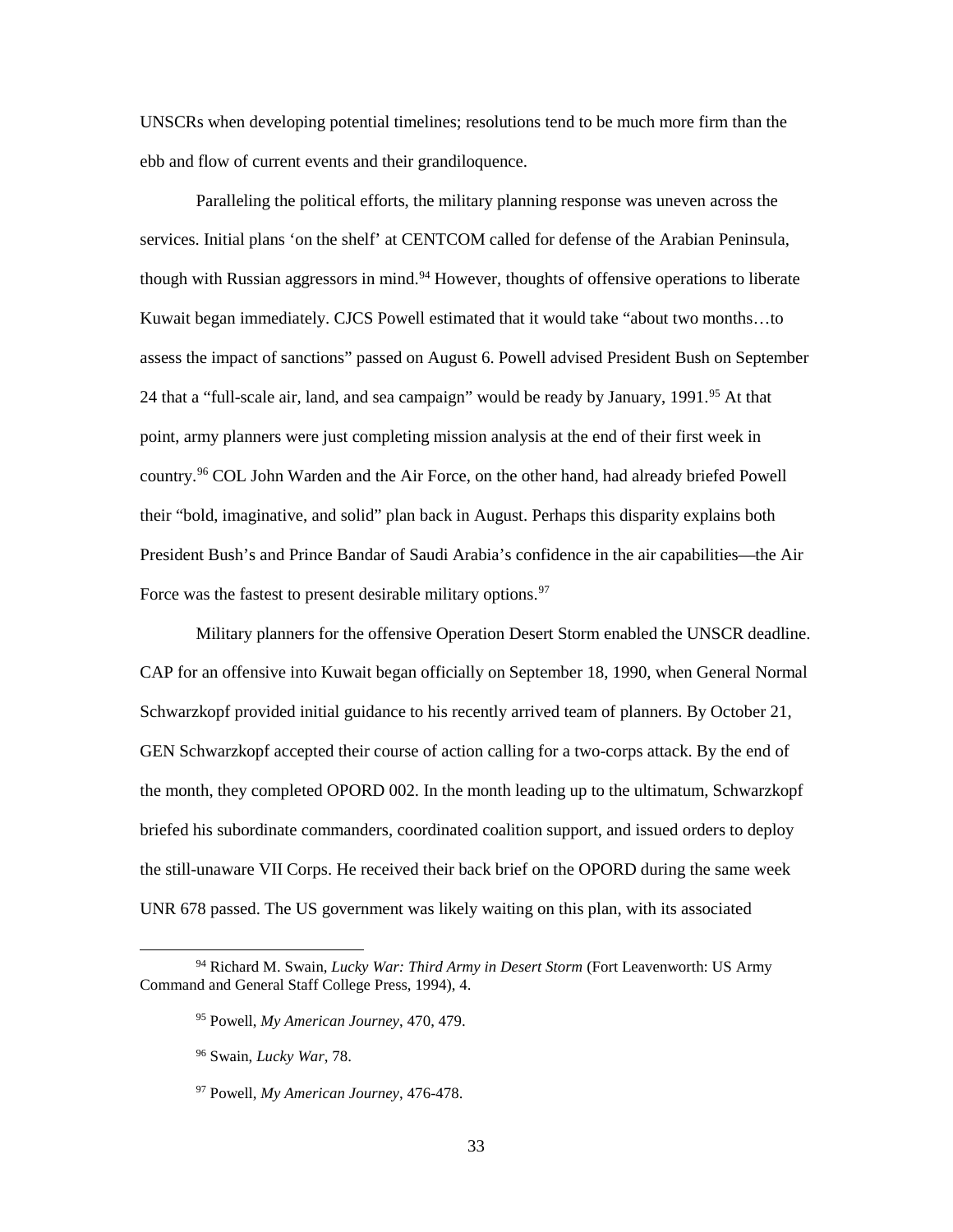UNSCRs when developing potential timelines; resolutions tend to be much more firm than the ebb and flow of current events and their grandiloquence.

Paralleling the political efforts, the military planning response was uneven across the services. Initial plans 'on the shelf' at CENTCOM called for defense of the Arabian Peninsula, though with Russian aggressors in mind.<sup>[94](#page-41-0)</sup> However, thoughts of offensive operations to liberate Kuwait began immediately. CJCS Powell estimated that it would take "about two months…to assess the impact of sanctions" passed on August 6. Powell advised President Bush on September 24 that a "full-scale air, land, and sea campaign" would be ready by January, 1991.<sup>[95](#page-41-1)</sup> At that point, army planners were just completing mission analysis at the end of their first week in country.[96](#page-41-2) COL John Warden and the Air Force, on the other hand, had already briefed Powell their "bold, imaginative, and solid" plan back in August. Perhaps this disparity explains both President Bush's and Prince Bandar of Saudi Arabia's confidence in the air capabilities—the Air Force was the fastest to present desirable military options.<sup>[97](#page-41-3)</sup>

Military planners for the offensive Operation Desert Storm enabled the UNSCR deadline. CAP for an offensive into Kuwait began officially on September 18, 1990, when General Normal Schwarzkopf provided initial guidance to his recently arrived team of planners. By October 21, GEN Schwarzkopf accepted their course of action calling for a two-corps attack. By the end of the month, they completed OPORD 002. In the month leading up to the ultimatum, Schwarzkopf briefed his subordinate commanders, coordinated coalition support, and issued orders to deploy the still-unaware VII Corps. He received their back brief on the OPORD during the same week UNR 678 passed. The US government was likely waiting on this plan, with its associated

<span id="page-41-3"></span><span id="page-41-2"></span><span id="page-41-1"></span><span id="page-41-0"></span> <sup>94</sup> Richard M. Swain, *Lucky War: Third Army in Desert Storm* (Fort Leavenworth: US Army Command and General Staff College Press, 1994), 4.

<sup>95</sup> Powell, *My American Journey*, 470, 479.

<sup>96</sup> Swain, *Lucky War*, 78.

<sup>97</sup> Powell, *My American Journey*, 476-478.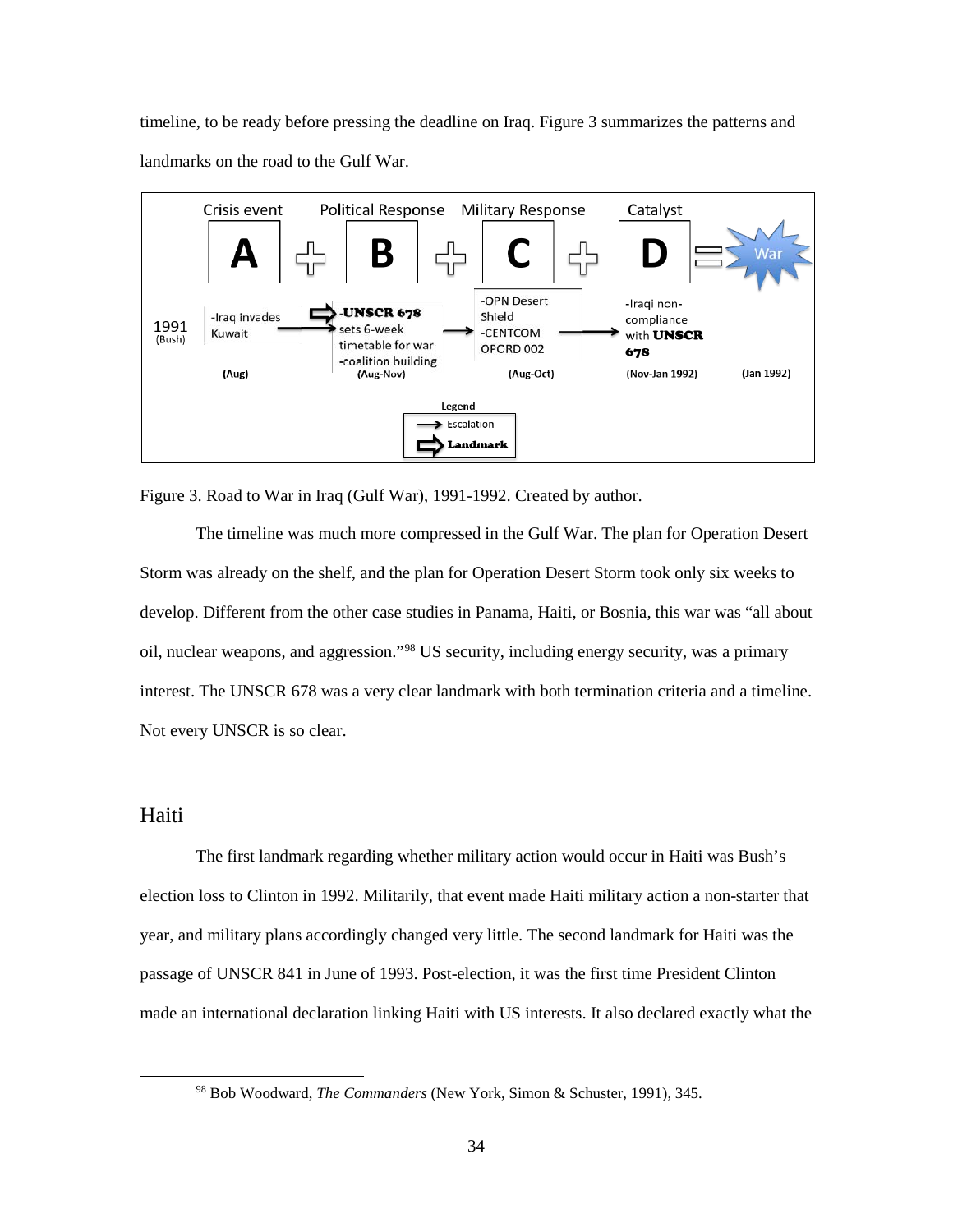timeline, to be ready before pressing the deadline on Iraq. Figure 3 summarizes the patterns and landmarks on the road to the Gulf War.



<span id="page-42-1"></span>Figure 3. Road to War in Iraq (Gulf War), 1991-1992. Created by author.

The timeline was much more compressed in the Gulf War. The plan for Operation Desert Storm was already on the shelf, and the plan for Operation Desert Storm took only six weeks to develop. Different from the other case studies in Panama, Haiti, or Bosnia, this war was "all about oil, nuclear weapons, and aggression."[98](#page-42-2) US security, including energy security, was a primary interest. The UNSCR 678 was a very clear landmark with both termination criteria and a timeline. Not every UNSCR is so clear.

## <span id="page-42-0"></span>Haiti

The first landmark regarding whether military action would occur in Haiti was Bush's election loss to Clinton in 1992. Militarily, that event made Haiti military action a non-starter that year, and military plans accordingly changed very little. The second landmark for Haiti was the passage of UNSCR 841 in June of 1993. Post-election, it was the first time President Clinton made an international declaration linking Haiti with US interests. It also declared exactly what the

<span id="page-42-2"></span> <sup>98</sup> Bob Woodward, *The Commanders* (New York, Simon & Schuster, 1991), 345.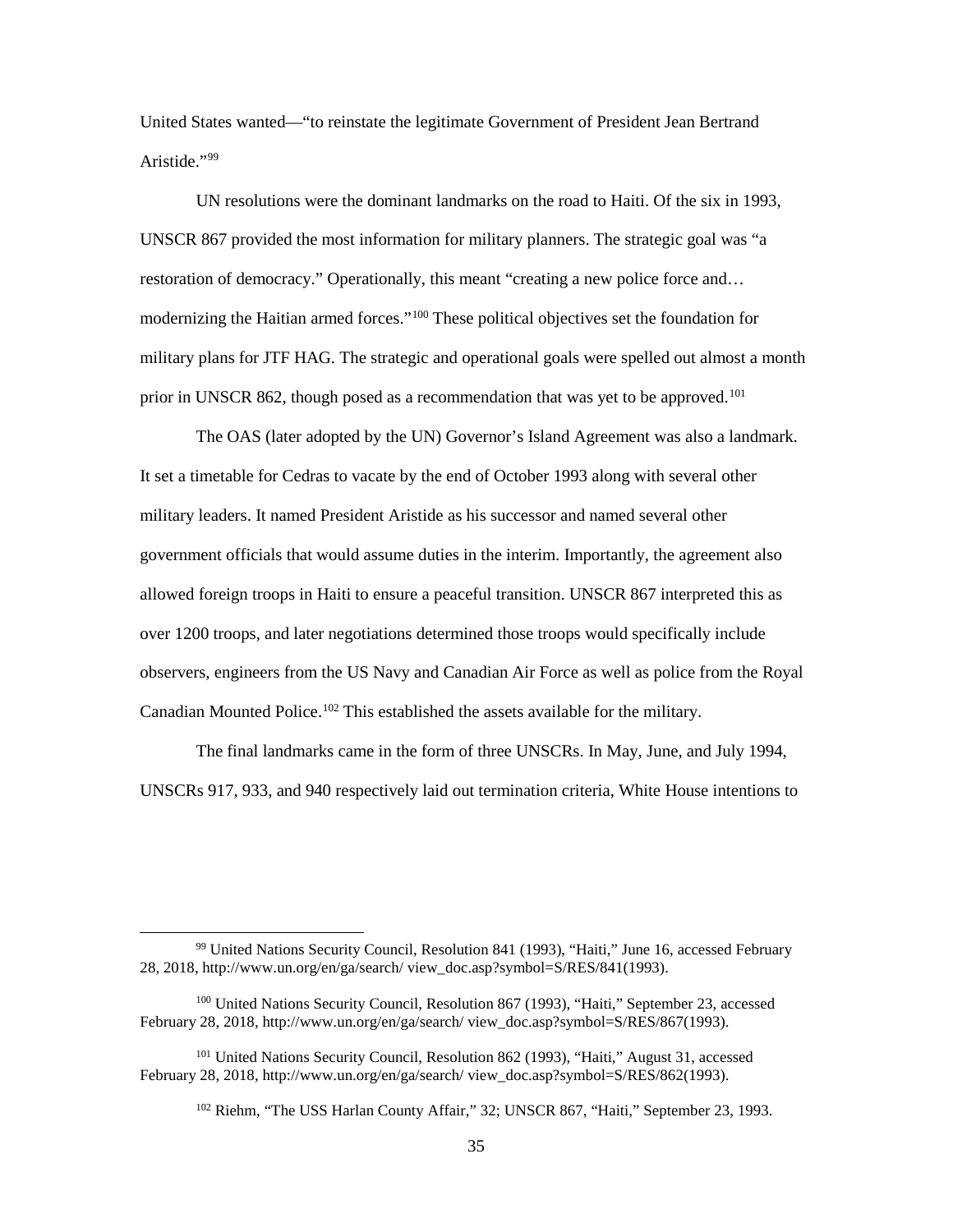United States wanted—"to reinstate the legitimate Government of President Jean Bertrand Aristide."[99](#page-43-0)

 UN resolutions were the dominant landmarks on the road to Haiti. Of the six in 1993, UNSCR 867 provided the most information for military planners. The strategic goal was "a restoration of democracy." Operationally, this meant "creating a new police force and… modernizing the Haitian armed forces."[100](#page-43-1) These political objectives set the foundation for military plans for JTF HAG. The strategic and operational goals were spelled out almost a month prior in UNSCR 862, though posed as a recommendation that was yet to be approved.<sup>[101](#page-43-2)</sup>

The OAS (later adopted by the UN) Governor's Island Agreement was also a landmark. It set a timetable for Cedras to vacate by the end of October 1993 along with several other military leaders. It named President Aristide as his successor and named several other government officials that would assume duties in the interim. Importantly, the agreement also allowed foreign troops in Haiti to ensure a peaceful transition. UNSCR 867 interpreted this as over 1200 troops, and later negotiations determined those troops would specifically include observers, engineers from the US Navy and Canadian Air Force as well as police from the Royal Canadian Mounted Police.<sup>102</sup> This established the assets available for the military.

The final landmarks came in the form of three UNSCRs. In May, June, and July 1994, UNSCRs 917, 933, and 940 respectively laid out termination criteria, White House intentions to

<span id="page-43-0"></span> <sup>99</sup> United Nations Security Council, Resolution 841 (1993), "Haiti," June 16, accessed February 28, 2018, http://www.un.org/en/ga/search/ view\_doc.asp?symbol=S/RES/841(1993).

<span id="page-43-1"></span><sup>100</sup> United Nations Security Council, Resolution 867 (1993), "Haiti," September 23, accessed February 28, 2018, http://www.un.org/en/ga/search/ view\_doc.asp?symbol=S/RES/867(1993).

<span id="page-43-3"></span><span id="page-43-2"></span><sup>101</sup> United Nations Security Council, Resolution 862 (1993), "Haiti," August 31, accessed February 28, 2018, http://www.un.org/en/ga/search/ view\_doc.asp?symbol=S/RES/862(1993).

<sup>102</sup> Riehm, "The USS Harlan County Affair," 32; UNSCR 867, "Haiti," September 23, 1993.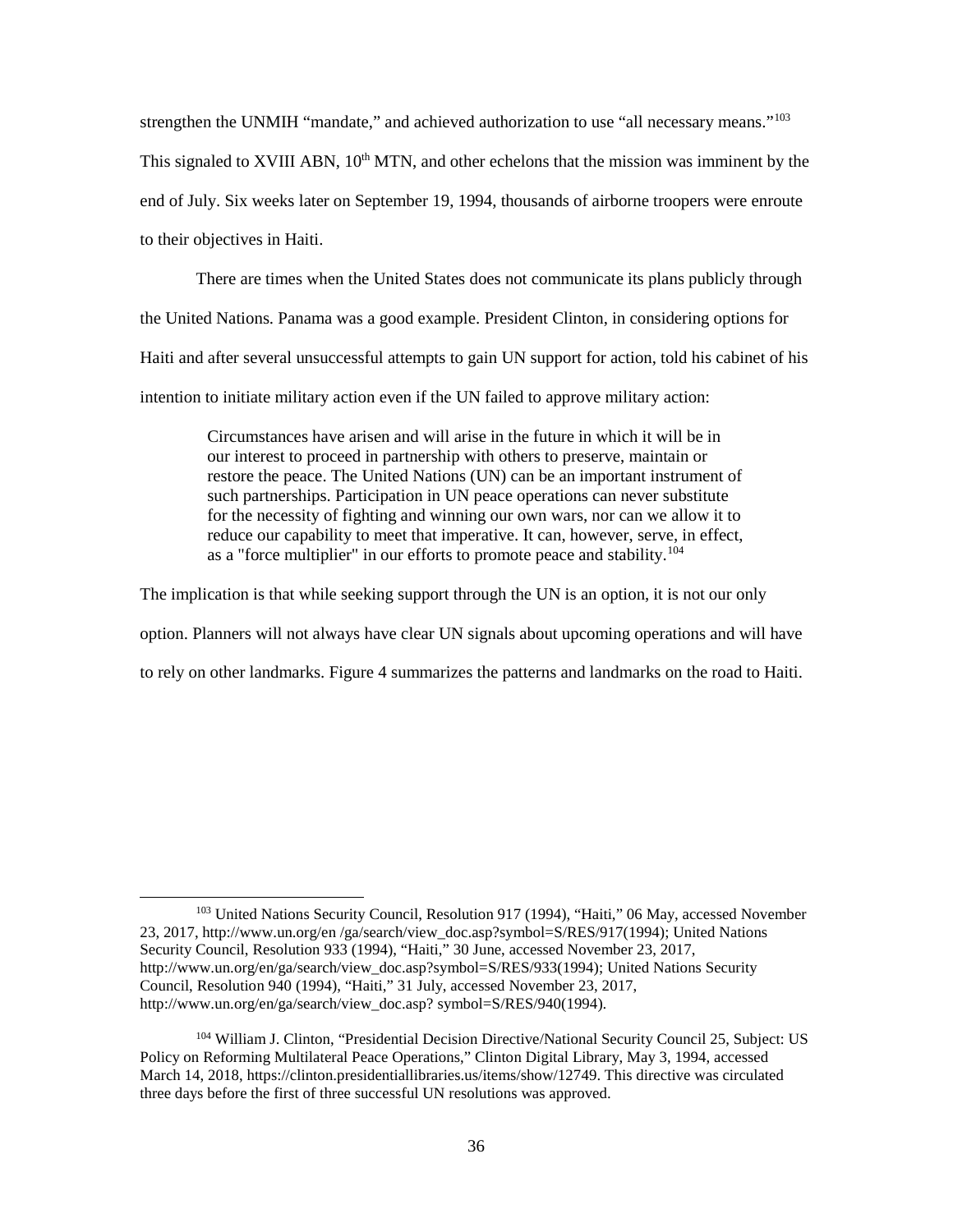strengthen the UNMIH "mandate," and achieved authorization to use "all necessary means."<sup>[103](#page-44-0)</sup>

This signaled to XVIII ABN,  $10<sup>th</sup>$  MTN, and other echelons that the mission was imminent by the end of July. Six weeks later on September 19, 1994, thousands of airborne troopers were enroute to their objectives in Haiti.

There are times when the United States does not communicate its plans publicly through the United Nations. Panama was a good example. President Clinton, in considering options for Haiti and after several unsuccessful attempts to gain UN support for action, told his cabinet of his

intention to initiate military action even if the UN failed to approve military action:

Circumstances have arisen and will arise in the future in which it will be in our interest to proceed in partnership with others to preserve, maintain or restore the peace. The United Nations (UN) can be an important instrument of such partnerships. Participation in UN peace operations can never substitute for the necessity of fighting and winning our own wars, nor can we allow it to reduce our capability to meet that imperative. It can, however, serve, in effect, as a "force multiplier" in our efforts to promote peace and stability.[104](#page-44-1)

The implication is that while seeking support through the UN is an option, it is not our only

option. Planners will not always have clear UN signals about upcoming operations and will have

to rely on other landmarks. Figure 4 summarizes the patterns and landmarks on the road to Haiti.

<span id="page-44-0"></span><sup>&</sup>lt;sup>103</sup> United Nations Security Council, Resolution 917 (1994), "Haiti," 06 May, accessed November 23, 2017, http://www.un.org/en /ga/search/view\_doc.asp?symbol=S/RES/917(1994); United Nations Security Council, Resolution 933 (1994), "Haiti," 30 June, accessed November 23, 2017, http://www.un.org/en/ga/search/view\_doc.asp?symbol=S/RES/933(1994); United Nations Security Council, Resolution 940 (1994), "Haiti," 31 July, accessed November 23, 2017, http://www.un.org/en/ga/search/view\_doc.asp? symbol=S/RES/940(1994).

<span id="page-44-1"></span><sup>104</sup> William J. Clinton, "Presidential Decision Directive/National Security Council 25, Subject: US Policy on Reforming Multilateral Peace Operations," Clinton Digital Library, May 3, 1994, accessed March 14, 2018, https://clinton.presidentiallibraries.us/items/show/12749. This directive was circulated three days before the first of three successful UN resolutions was approved.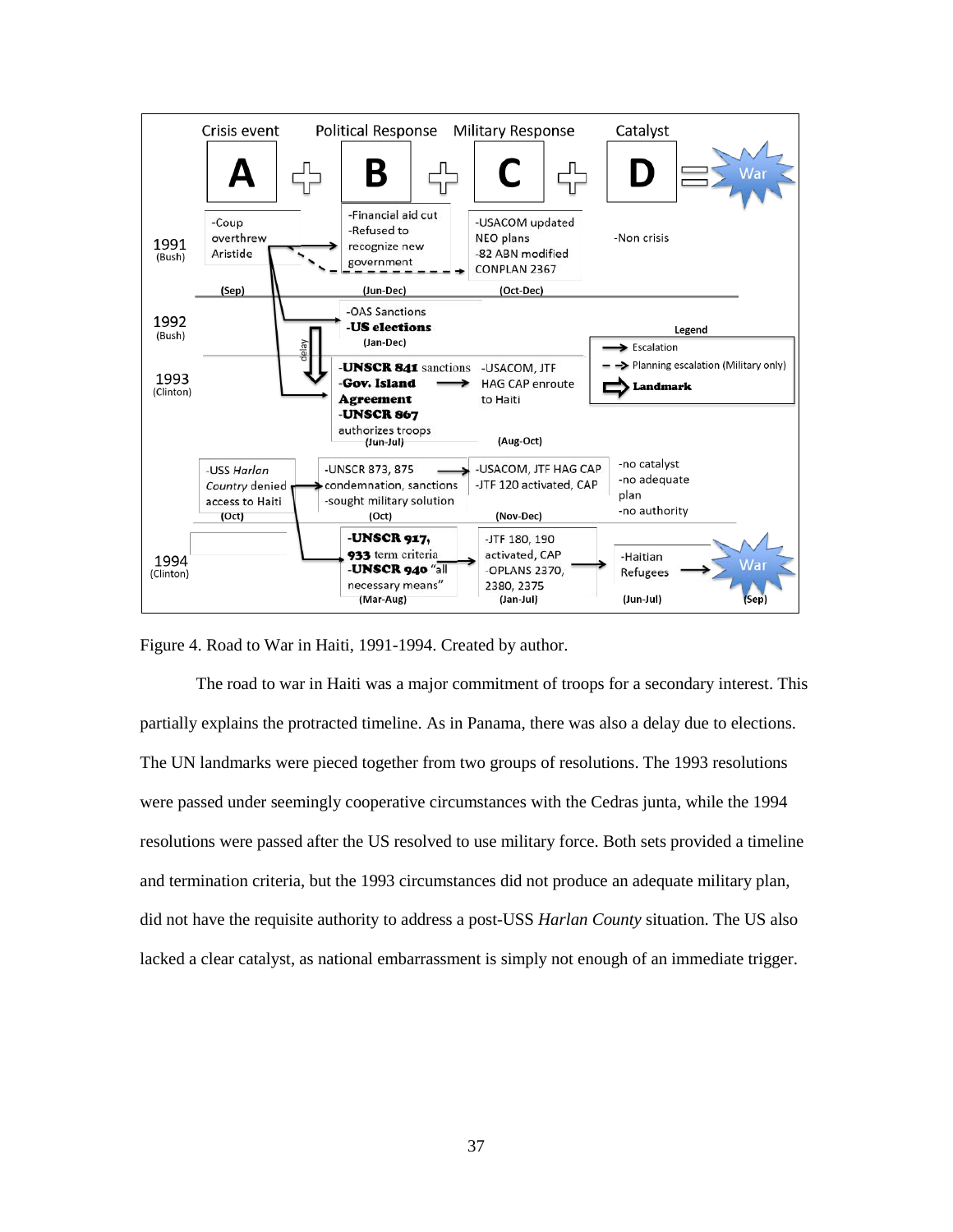

<span id="page-45-0"></span>Figure 4. Road to War in Haiti, 1991-1994. Created by author.

The road to war in Haiti was a major commitment of troops for a secondary interest. This partially explains the protracted timeline. As in Panama, there was also a delay due to elections. The UN landmarks were pieced together from two groups of resolutions. The 1993 resolutions were passed under seemingly cooperative circumstances with the Cedras junta, while the 1994 resolutions were passed after the US resolved to use military force. Both sets provided a timeline and termination criteria, but the 1993 circumstances did not produce an adequate military plan, did not have the requisite authority to address a post-USS *Harlan County* situation. The US also lacked a clear catalyst, as national embarrassment is simply not enough of an immediate trigger.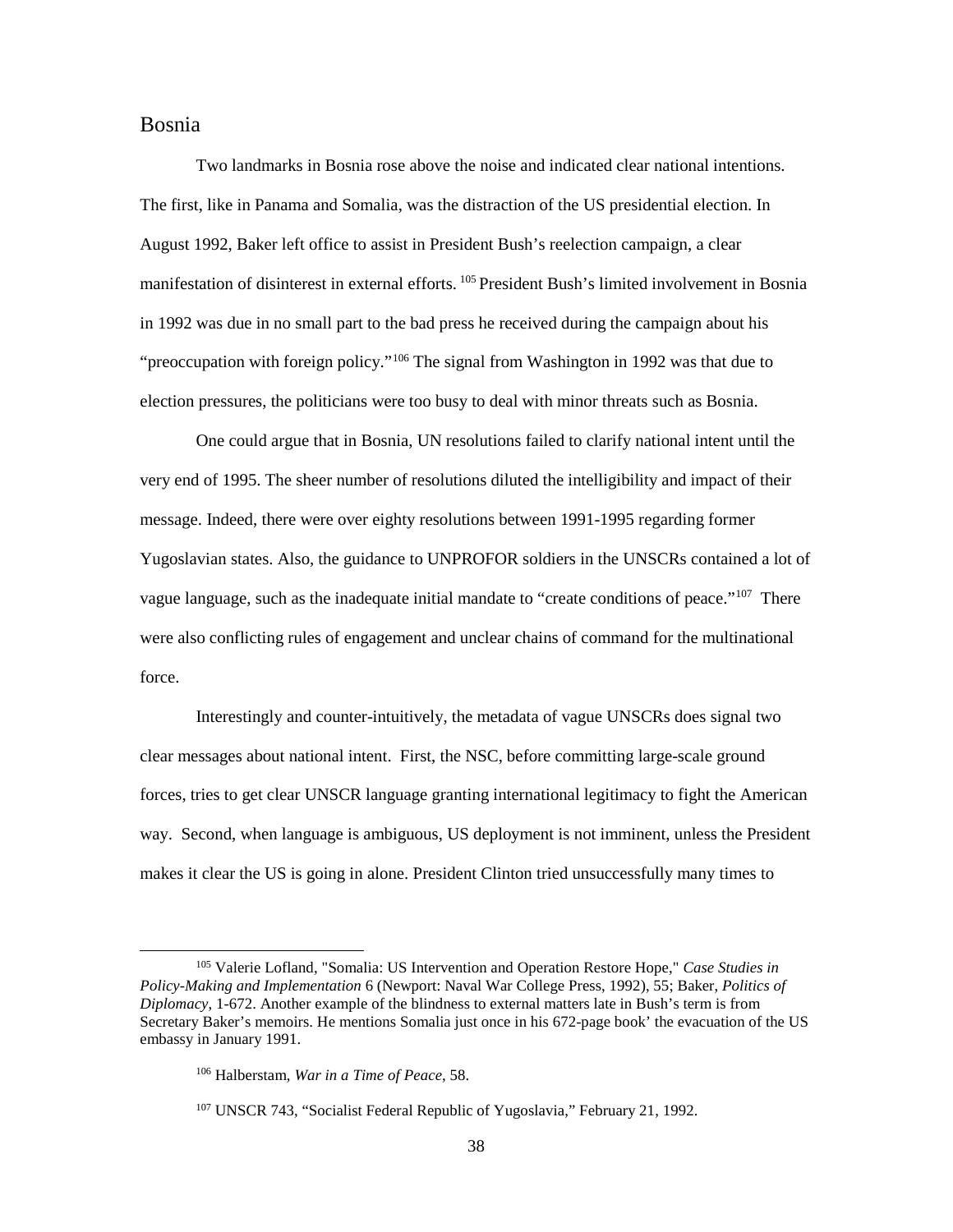## <span id="page-46-0"></span>Bosnia

Two landmarks in Bosnia rose above the noise and indicated clear national intentions. The first, like in Panama and Somalia, was the distraction of the US presidential election. In August 1992, Baker left office to assist in President Bush's reelection campaign, a clear manifestation of disinterest in external efforts. [105](#page-46-1) President Bush's limited involvement in Bosnia in 1992 was due in no small part to the bad press he received during the campaign about his "preoccupation with foreign policy."<sup>106</sup> The signal from Washington in 1992 was that due to election pressures, the politicians were too busy to deal with minor threats such as Bosnia.

One could argue that in Bosnia, UN resolutions failed to clarify national intent until the very end of 1995. The sheer number of resolutions diluted the intelligibility and impact of their message. Indeed, there were over eighty resolutions between 1991-1995 regarding former Yugoslavian states. Also, the guidance to UNPROFOR soldiers in the UNSCRs contained a lot of vague language, such as the inadequate initial mandate to "create conditions of peace."<sup>[107](#page-46-3)</sup> There were also conflicting rules of engagement and unclear chains of command for the multinational force.

Interestingly and counter-intuitively, the metadata of vague UNSCRs does signal two clear messages about national intent. First, the NSC, before committing large-scale ground forces, tries to get clear UNSCR language granting international legitimacy to fight the American way. Second, when language is ambiguous, US deployment is not imminent, unless the President makes it clear the US is going in alone. President Clinton tried unsuccessfully many times to

<span id="page-46-2"></span><span id="page-46-1"></span> <sup>105</sup> Valerie Lofland, "Somalia: US Intervention and Operation Restore Hope," *Case Studies in Policy-Making and Implementation* 6 (Newport: Naval War College Press, 1992), 55; Baker, *Politics of Diplomacy*, 1-672. Another example of the blindness to external matters late in Bush's term is from Secretary Baker's memoirs. He mentions Somalia just once in his 672-page book' the evacuation of the US embassy in January 1991.

<sup>106</sup> Halberstam, *War in a Time of Peace*, 58.

<span id="page-46-3"></span><sup>&</sup>lt;sup>107</sup> UNSCR 743, "Socialist Federal Republic of Yugoslavia," February 21, 1992.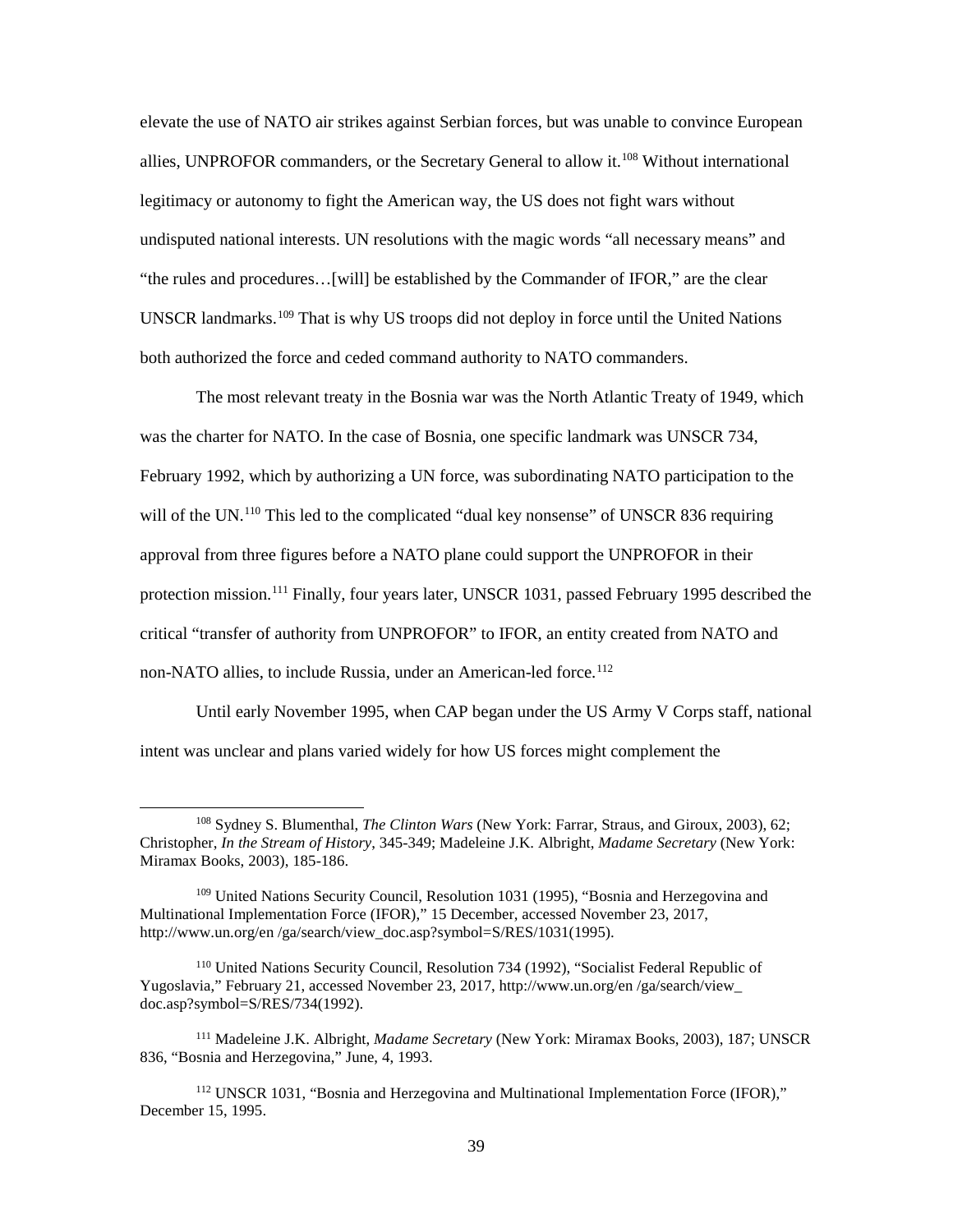elevate the use of NATO air strikes against Serbian forces, but was unable to convince European allies, UNPROFOR commanders, or the Secretary General to allow it.[108](#page-47-0) Without international legitimacy or autonomy to fight the American way, the US does not fight wars without undisputed national interests. UN resolutions with the magic words "all necessary means" and "the rules and procedures…[will] be established by the Commander of IFOR," are the clear UNSCR landmarks.[109](#page-47-1) That is why US troops did not deploy in force until the United Nations both authorized the force and ceded command authority to NATO commanders.

The most relevant treaty in the Bosnia war was the North Atlantic Treaty of 1949, which was the charter for NATO. In the case of Bosnia, one specific landmark was UNSCR 734, February 1992, which by authorizing a UN force, was subordinating NATO participation to the will of the UN.<sup>110</sup> This led to the complicated "dual key nonsense" of UNSCR 836 requiring approval from three figures before a NATO plane could support the UNPROFOR in their protection mission.[111](#page-47-3) Finally, four years later, UNSCR 1031, passed February 1995 described the critical "transfer of authority from UNPROFOR" to IFOR, an entity created from NATO and non-NATO allies, to include Russia, under an American-led force.<sup>112</sup>

Until early November 1995, when CAP began under the US Army V Corps staff, national intent was unclear and plans varied widely for how US forces might complement the

<span id="page-47-0"></span> <sup>108</sup> Sydney S. Blumenthal, *The Clinton Wars* (New York: Farrar, Straus, and Giroux, 2003), 62; Christopher, *In the Stream of History*, 345-349; Madeleine J.K. Albright, *Madame Secretary* (New York: Miramax Books, 2003), 185-186.

<span id="page-47-1"></span><sup>109</sup> United Nations Security Council, Resolution 1031 (1995), "Bosnia and Herzegovina and Multinational Implementation Force (IFOR)," 15 December, accessed November 23, 2017, http://www.un.org/en /ga/search/view\_doc.asp?symbol=S/RES/1031(1995).

<span id="page-47-2"></span><sup>110</sup> United Nations Security Council, Resolution 734 (1992), "Socialist Federal Republic of Yugoslavia," February 21, accessed November 23, 2017, http://www.un.org/en /ga/search/view\_ doc.asp?symbol=S/RES/734(1992).

<span id="page-47-3"></span><sup>111</sup> Madeleine J.K. Albright, *Madame Secretary* (New York: Miramax Books, 2003), 187; UNSCR 836, "Bosnia and Herzegovina," June, 4, 1993.

<span id="page-47-4"></span><sup>112</sup> UNSCR 1031, "Bosnia and Herzegovina and Multinational Implementation Force (IFOR)," December 15, 1995.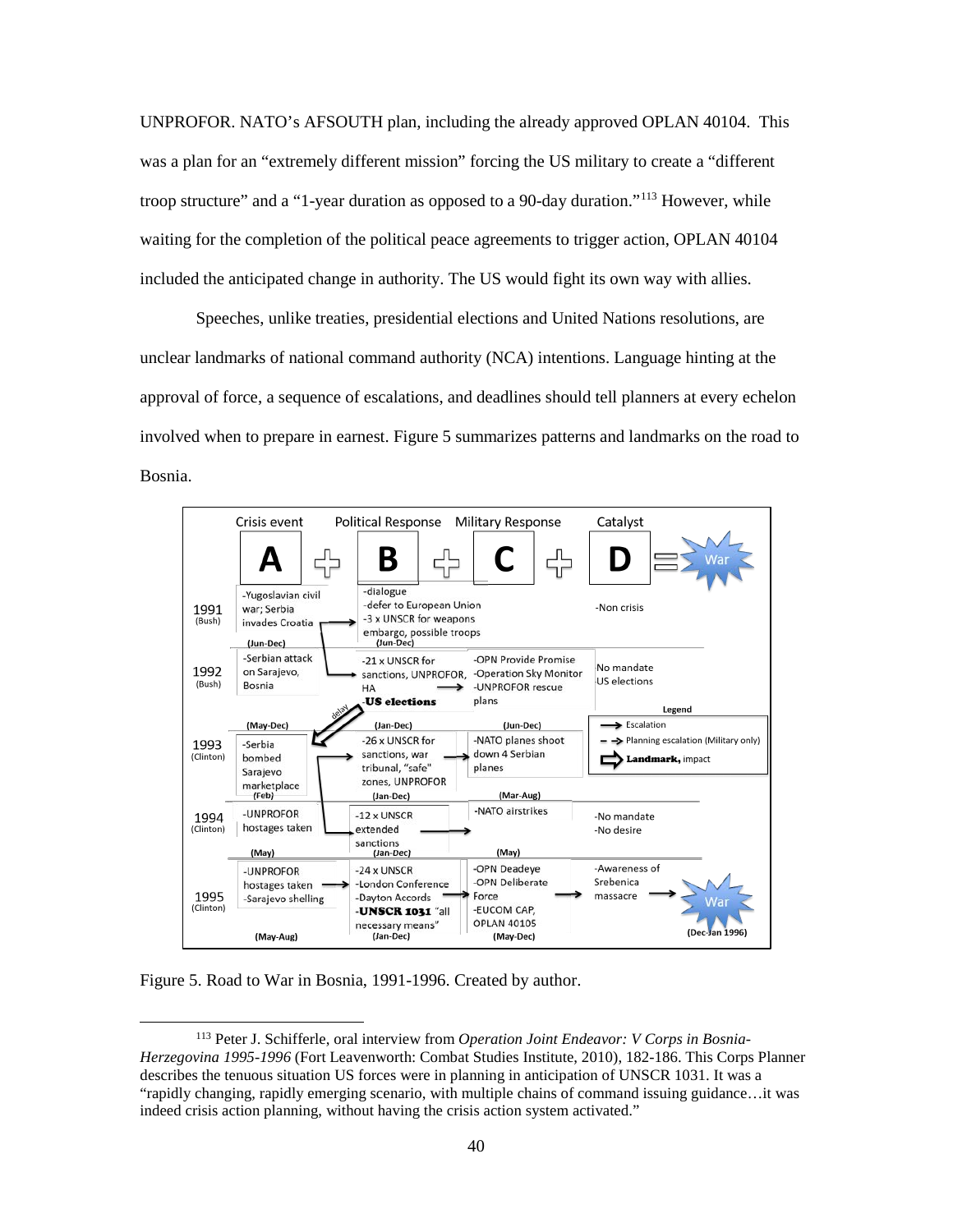UNPROFOR. NATO's AFSOUTH plan, including the already approved OPLAN 40104. This was a plan for an "extremely different mission" forcing the US military to create a "different troop structure" and a "1-year duration as opposed to a 90-day duration."<sup>[113](#page-48-1)</sup> However, while waiting for the completion of the political peace agreements to trigger action, OPLAN 40104 included the anticipated change in authority. The US would fight its own way with allies.

Speeches, unlike treaties, presidential elections and United Nations resolutions, are unclear landmarks of national command authority (NCA) intentions. Language hinting at the approval of force, a sequence of escalations, and deadlines should tell planners at every echelon involved when to prepare in earnest. Figure 5 summarizes patterns and landmarks on the road to Bosnia.



<span id="page-48-0"></span>Figure 5. Road to War in Bosnia, 1991-1996. Created by author.

<span id="page-48-1"></span> <sup>113</sup> Peter J. Schifferle, oral interview from *Operation Joint Endeavor: V Corps in Bosnia-Herzegovina 1995-1996* (Fort Leavenworth: Combat Studies Institute, 2010), 182-186. This Corps Planner describes the tenuous situation US forces were in planning in anticipation of UNSCR 1031. It was a "rapidly changing, rapidly emerging scenario, with multiple chains of command issuing guidance…it was indeed crisis action planning, without having the crisis action system activated."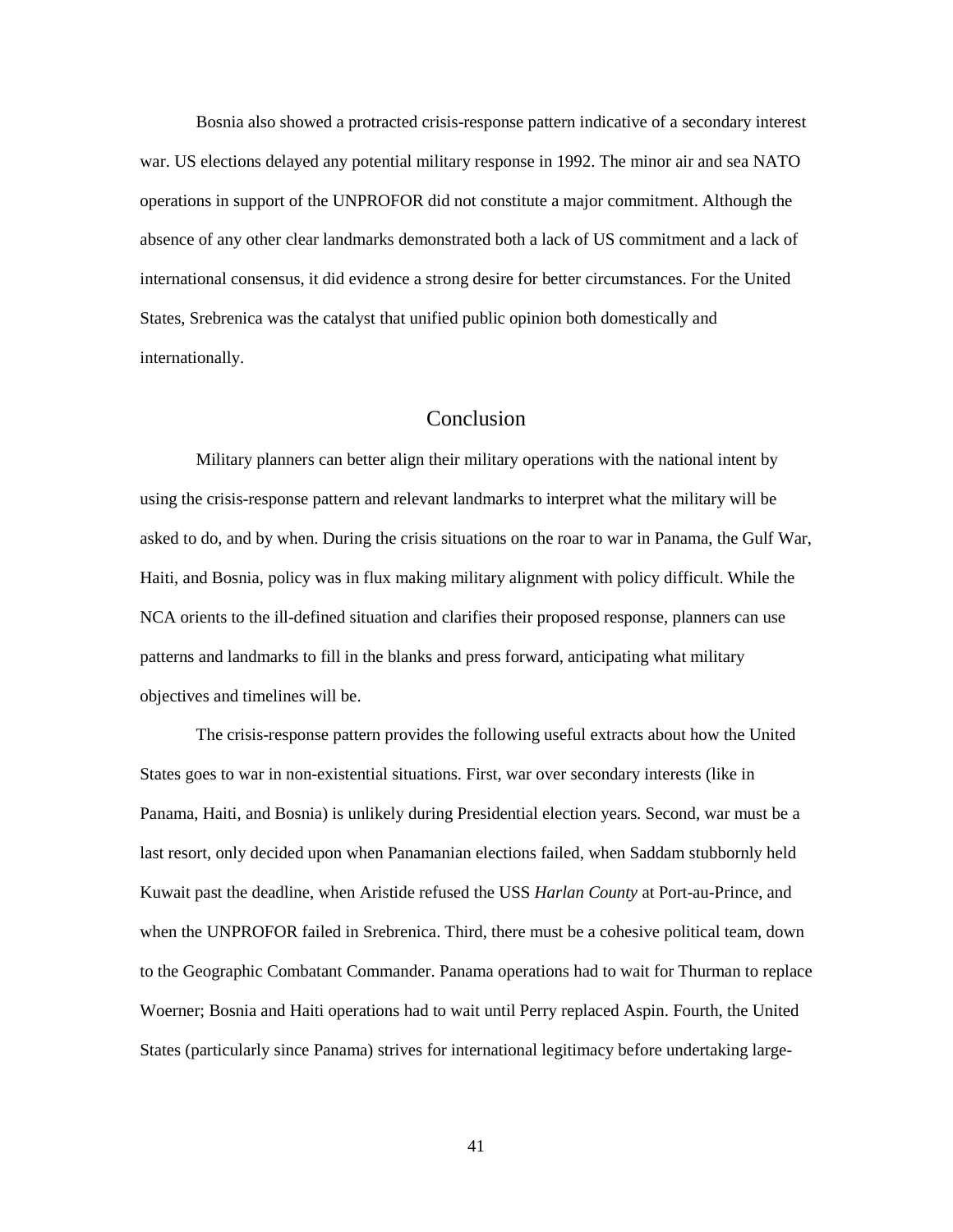Bosnia also showed a protracted crisis-response pattern indicative of a secondary interest war. US elections delayed any potential military response in 1992. The minor air and sea NATO operations in support of the UNPROFOR did not constitute a major commitment. Although the absence of any other clear landmarks demonstrated both a lack of US commitment and a lack of international consensus, it did evidence a strong desire for better circumstances. For the United States, Srebrenica was the catalyst that unified public opinion both domestically and internationally.

## Conclusion

<span id="page-49-0"></span>Military planners can better align their military operations with the national intent by using the crisis-response pattern and relevant landmarks to interpret what the military will be asked to do, and by when. During the crisis situations on the roar to war in Panama, the Gulf War, Haiti, and Bosnia, policy was in flux making military alignment with policy difficult. While the NCA orients to the ill-defined situation and clarifies their proposed response, planners can use patterns and landmarks to fill in the blanks and press forward, anticipating what military objectives and timelines will be.

The crisis-response pattern provides the following useful extracts about how the United States goes to war in non-existential situations. First, war over secondary interests (like in Panama, Haiti, and Bosnia) is unlikely during Presidential election years. Second, war must be a last resort, only decided upon when Panamanian elections failed, when Saddam stubbornly held Kuwait past the deadline, when Aristide refused the USS *Harlan County* at Port-au-Prince, and when the UNPROFOR failed in Srebrenica. Third, there must be a cohesive political team, down to the Geographic Combatant Commander. Panama operations had to wait for Thurman to replace Woerner; Bosnia and Haiti operations had to wait until Perry replaced Aspin. Fourth, the United States (particularly since Panama) strives for international legitimacy before undertaking large-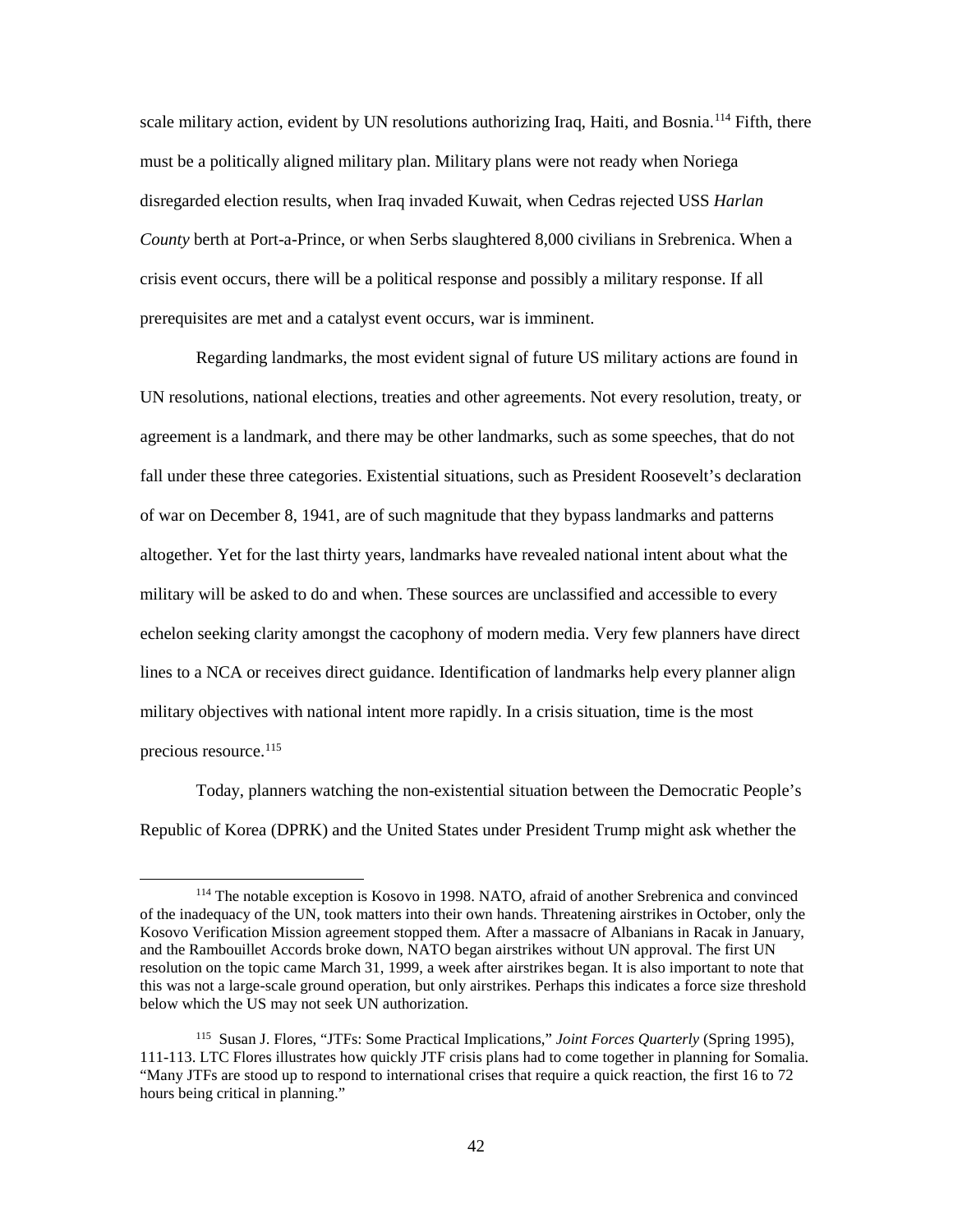scale military action, evident by UN resolutions authorizing Iraq, Haiti, and Bosnia.<sup>[114](#page-50-0)</sup> Fifth, there must be a politically aligned military plan. Military plans were not ready when Noriega disregarded election results, when Iraq invaded Kuwait, when Cedras rejected USS *Harlan County* berth at Port-a-Prince, or when Serbs slaughtered 8,000 civilians in Srebrenica. When a crisis event occurs, there will be a political response and possibly a military response. If all prerequisites are met and a catalyst event occurs, war is imminent.

Regarding landmarks, the most evident signal of future US military actions are found in UN resolutions, national elections, treaties and other agreements. Not every resolution, treaty, or agreement is a landmark, and there may be other landmarks, such as some speeches, that do not fall under these three categories. Existential situations, such as President Roosevelt's declaration of war on December 8, 1941, are of such magnitude that they bypass landmarks and patterns altogether. Yet for the last thirty years, landmarks have revealed national intent about what the military will be asked to do and when. These sources are unclassified and accessible to every echelon seeking clarity amongst the cacophony of modern media. Very few planners have direct lines to a NCA or receives direct guidance. Identification of landmarks help every planner align military objectives with national intent more rapidly. In a crisis situation, time is the most precious resource.<sup>[115](#page-50-1)</sup>

Today, planners watching the non-existential situation between the Democratic People's Republic of Korea (DPRK) and the United States under President Trump might ask whether the

<span id="page-50-0"></span> <sup>114</sup> The notable exception is Kosovo in 1998. NATO, afraid of another Srebrenica and convinced of the inadequacy of the UN, took matters into their own hands. Threatening airstrikes in October, only the Kosovo Verification Mission agreement stopped them. After a massacre of Albanians in Racak in January, and the Rambouillet Accords broke down, NATO began airstrikes without UN approval. The first UN resolution on the topic came March 31, 1999, a week after airstrikes began. It is also important to note that this was not a large-scale ground operation, but only airstrikes. Perhaps this indicates a force size threshold below which the US may not seek UN authorization.

<span id="page-50-1"></span><sup>115</sup> Susan J. Flores, "JTFs: Some Practical Implications," *Joint Forces Quarterly* (Spring 1995), 111-113. LTC Flores illustrates how quickly JTF crisis plans had to come together in planning for Somalia. "Many JTFs are stood up to respond to international crises that require a quick reaction, the first 16 to 72 hours being critical in planning."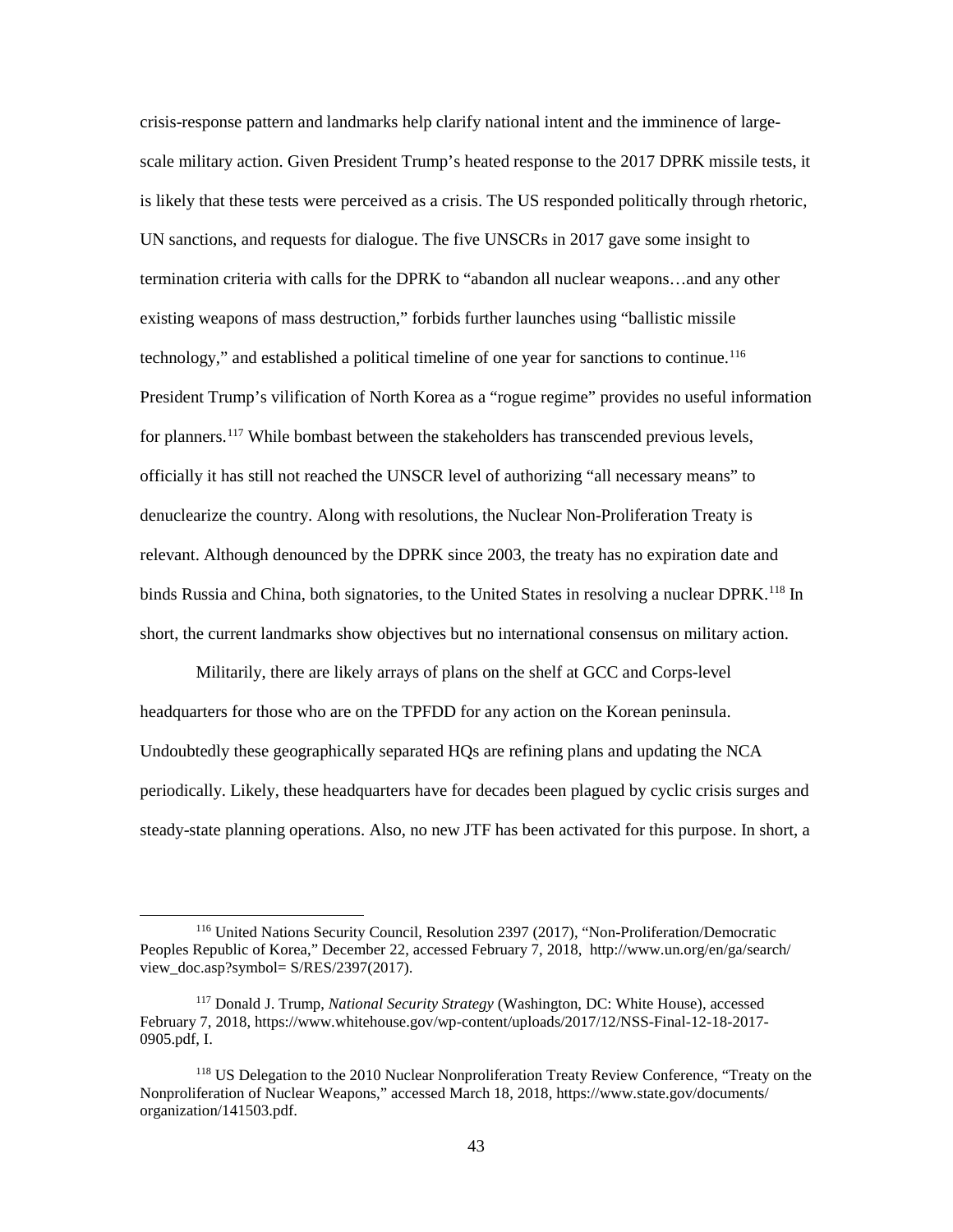crisis-response pattern and landmarks help clarify national intent and the imminence of largescale military action. Given President Trump's heated response to the 2017 DPRK missile tests, it is likely that these tests were perceived as a crisis. The US responded politically through rhetoric, UN sanctions, and requests for dialogue. The five UNSCRs in 2017 gave some insight to termination criteria with calls for the DPRK to "abandon all nuclear weapons…and any other existing weapons of mass destruction," forbids further launches using "ballistic missile technology," and established a political timeline of one year for sanctions to continue.<sup>[116](#page-51-0)</sup> President Trump's vilification of North Korea as a "rogue regime" provides no useful information for planners.<sup>117</sup> While bombast between the stakeholders has transcended previous levels, officially it has still not reached the UNSCR level of authorizing "all necessary means" to denuclearize the country. Along with resolutions, the Nuclear Non-Proliferation Treaty is relevant. Although denounced by the DPRK since 2003, the treaty has no expiration date and binds Russia and China, both signatories, to the United States in resolving a nuclear DPRK.<sup>[118](#page-51-2)</sup> In short, the current landmarks show objectives but no international consensus on military action.

Militarily, there are likely arrays of plans on the shelf at GCC and Corps-level headquarters for those who are on the TPFDD for any action on the Korean peninsula. Undoubtedly these geographically separated HQs are refining plans and updating the NCA periodically. Likely, these headquarters have for decades been plagued by cyclic crisis surges and steady-state planning operations. Also, no new JTF has been activated for this purpose. In short, a

<span id="page-51-0"></span> <sup>116</sup> United Nations Security Council, Resolution 2397 (2017), "Non-Proliferation/Democratic Peoples Republic of Korea," December 22, accessed February 7, 2018, http://www.un.org/en/ga/search/ view\_doc.asp?symbol= S/RES/2397(2017).

<span id="page-51-1"></span><sup>117</sup> Donald J. Trump, *National Security Strategy* (Washington, DC: White House), accessed February 7, 2018, https://www.whitehouse.gov/wp-content/uploads/2017/12/NSS-Final-12-18-2017- 0905.pdf, I.

<span id="page-51-2"></span><sup>118</sup> US Delegation to the 2010 Nuclear Nonproliferation Treaty Review Conference, "Treaty on the Nonproliferation of Nuclear Weapons," accessed March 18, 2018, https://www.state.gov/documents/ organization/141503.pdf.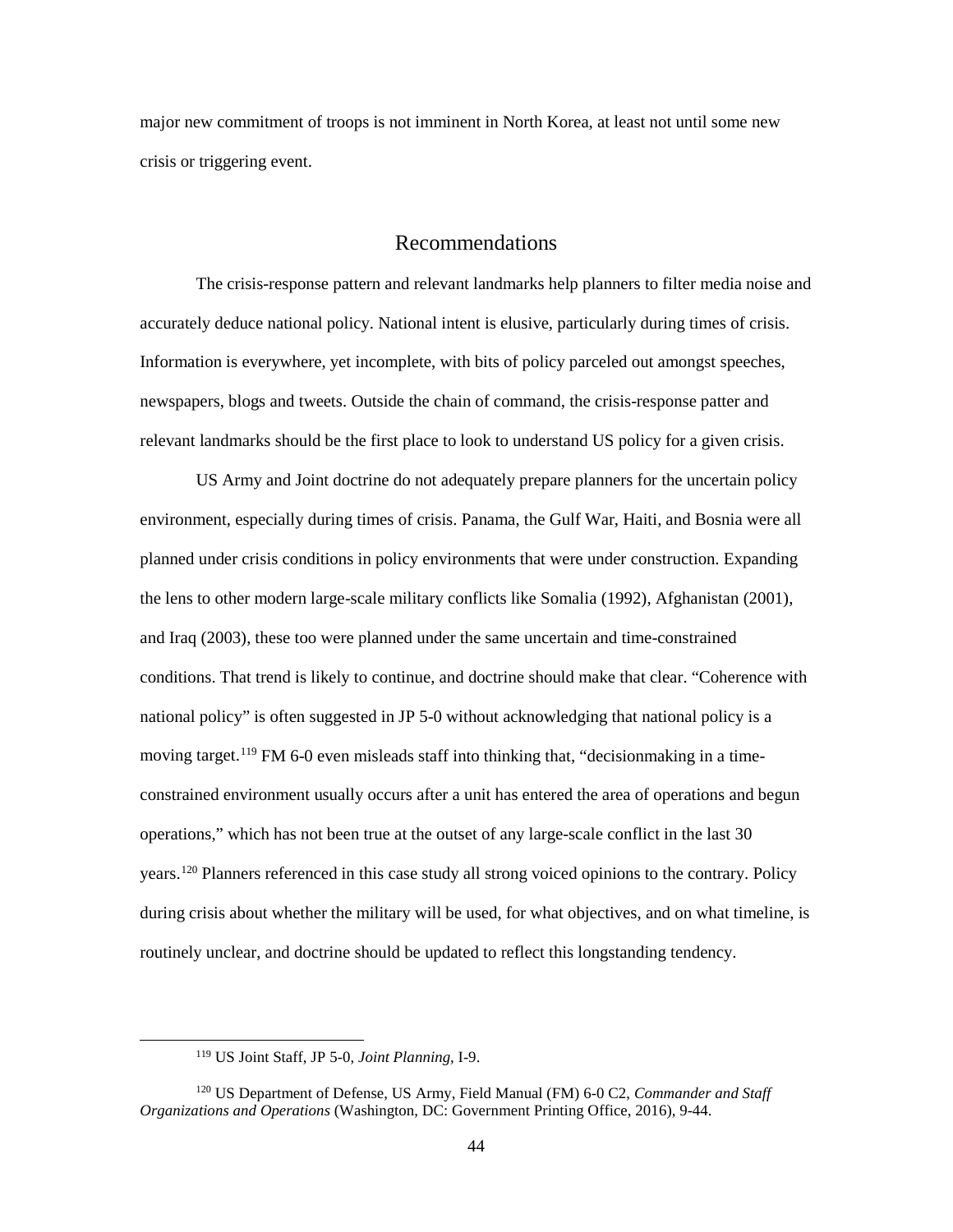major new commitment of troops is not imminent in North Korea, at least not until some new crisis or triggering event.

## Recommendations

<span id="page-52-0"></span>The crisis-response pattern and relevant landmarks help planners to filter media noise and accurately deduce national policy. National intent is elusive, particularly during times of crisis. Information is everywhere, yet incomplete, with bits of policy parceled out amongst speeches, newspapers, blogs and tweets. Outside the chain of command, the crisis-response patter and relevant landmarks should be the first place to look to understand US policy for a given crisis.

US Army and Joint doctrine do not adequately prepare planners for the uncertain policy environment, especially during times of crisis. Panama, the Gulf War, Haiti, and Bosnia were all planned under crisis conditions in policy environments that were under construction. Expanding the lens to other modern large-scale military conflicts like Somalia (1992), Afghanistan (2001), and Iraq (2003), these too were planned under the same uncertain and time-constrained conditions. That trend is likely to continue, and doctrine should make that clear. "Coherence with national policy" is often suggested in JP 5-0 without acknowledging that national policy is a moving target.<sup>[119](#page-52-1)</sup> FM 6-0 even misleads staff into thinking that, "decisionmaking in a timeconstrained environment usually occurs after a unit has entered the area of operations and begun operations," which has not been true at the outset of any large-scale conflict in the last 30 years.[120](#page-52-2) Planners referenced in this case study all strong voiced opinions to the contrary. Policy during crisis about whether the military will be used, for what objectives, and on what timeline, is routinely unclear, and doctrine should be updated to reflect this longstanding tendency.

 <sup>119</sup> US Joint Staff, JP 5-0, *Joint Planning*, I-9.

<span id="page-52-2"></span><span id="page-52-1"></span><sup>120</sup> US Department of Defense, US Army, Field Manual (FM) 6-0 C2, *Commander and Staff Organizations and Operations* (Washington, DC: Government Printing Office, 2016), 9-44.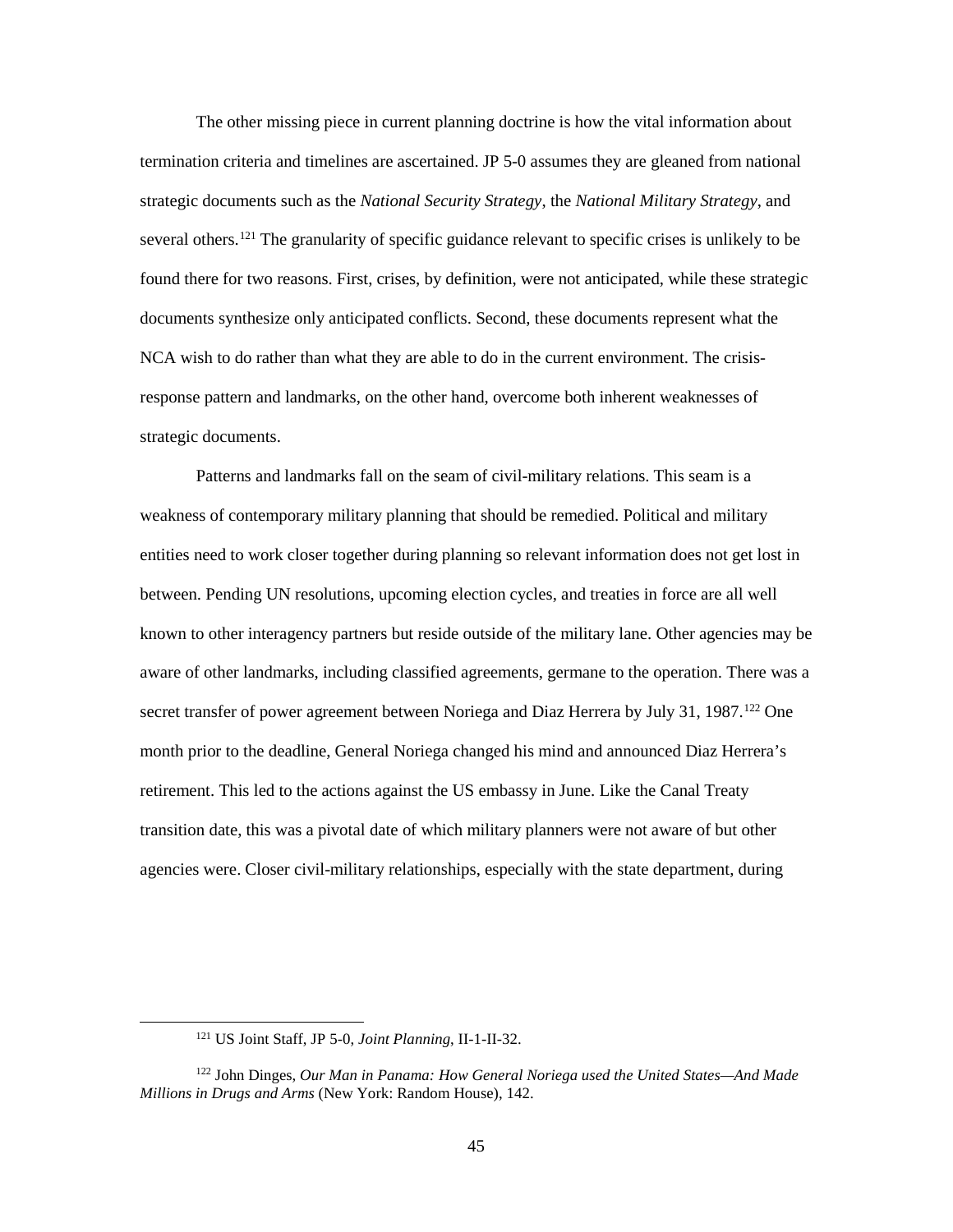The other missing piece in current planning doctrine is how the vital information about termination criteria and timelines are ascertained. JP 5-0 assumes they are gleaned from national strategic documents such as the *National Security Strategy*, the *National Military Strategy*, and several others.<sup>[121](#page-53-0)</sup> The granularity of specific guidance relevant to specific crises is unlikely to be found there for two reasons. First, crises, by definition, were not anticipated, while these strategic documents synthesize only anticipated conflicts. Second, these documents represent what the NCA wish to do rather than what they are able to do in the current environment. The crisisresponse pattern and landmarks, on the other hand, overcome both inherent weaknesses of strategic documents.

Patterns and landmarks fall on the seam of civil-military relations. This seam is a weakness of contemporary military planning that should be remedied. Political and military entities need to work closer together during planning so relevant information does not get lost in between. Pending UN resolutions, upcoming election cycles, and treaties in force are all well known to other interagency partners but reside outside of the military lane. Other agencies may be aware of other landmarks, including classified agreements, germane to the operation. There was a secret transfer of power agreement between Noriega and Diaz Herrera by July 31, 1987.<sup>[122](#page-53-1)</sup> One month prior to the deadline, General Noriega changed his mind and announced Diaz Herrera's retirement. This led to the actions against the US embassy in June. Like the Canal Treaty transition date, this was a pivotal date of which military planners were not aware of but other agencies were. Closer civil-military relationships, especially with the state department, during

 <sup>121</sup> US Joint Staff, JP 5-0, *Joint Planning*, II-1-II-32.

<span id="page-53-1"></span><span id="page-53-0"></span><sup>122</sup> John Dinges, *Our Man in Panama: How General Noriega used the United States—And Made Millions in Drugs and Arms* (New York: Random House), 142.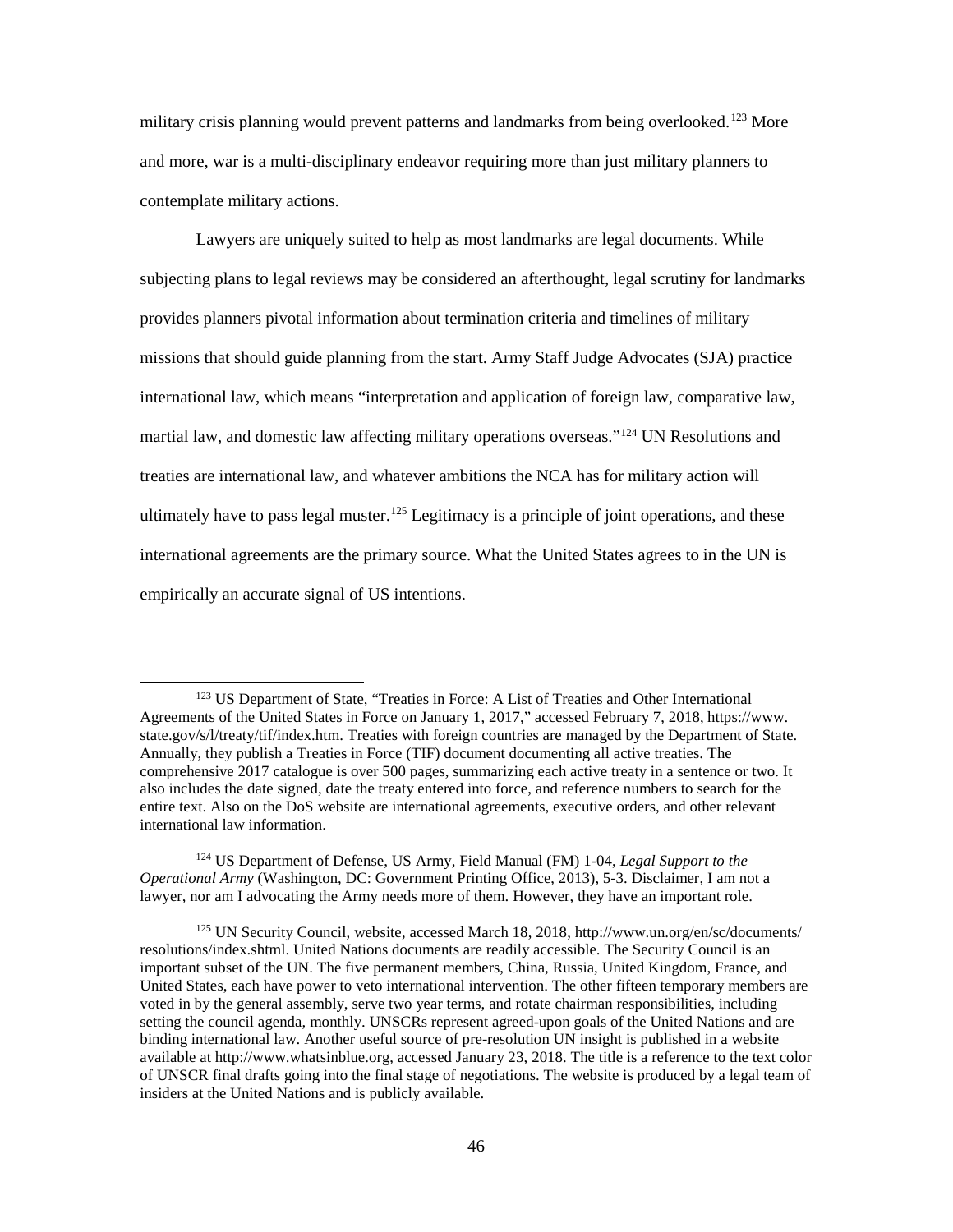military crisis planning would prevent patterns and landmarks from being overlooked.<sup>[123](#page-54-0)</sup> More and more, war is a multi-disciplinary endeavor requiring more than just military planners to contemplate military actions.

Lawyers are uniquely suited to help as most landmarks are legal documents. While subjecting plans to legal reviews may be considered an afterthought, legal scrutiny for landmarks provides planners pivotal information about termination criteria and timelines of military missions that should guide planning from the start. Army Staff Judge Advocates (SJA) practice international law, which means "interpretation and application of foreign law, comparative law, martial law, and domestic law affecting military operations overseas."[124](#page-54-1) UN Resolutions and treaties are international law, and whatever ambitions the NCA has for military action will ultimately have to pass legal muster.<sup>[125](#page-54-2)</sup> Legitimacy is a principle of joint operations, and these international agreements are the primary source. What the United States agrees to in the UN is empirically an accurate signal of US intentions.

<span id="page-54-0"></span> <sup>123</sup> US Department of State, "Treaties in Force: A List of Treaties and Other International Agreements of the United States in Force on January 1, 2017," accessed February 7, 2018, https://www. state.gov/s/l/treaty/tif/index.htm. Treaties with foreign countries are managed by the Department of State. Annually, they publish a Treaties in Force (TIF) document documenting all active treaties. The comprehensive 2017 catalogue is over 500 pages, summarizing each active treaty in a sentence or two. It also includes the date signed, date the treaty entered into force, and reference numbers to search for the entire text. Also on the DoS website are international agreements, executive orders, and other relevant international law information.

<span id="page-54-1"></span><sup>124</sup> US Department of Defense, US Army, Field Manual (FM) 1-04, *Legal Support to the Operational Army* (Washington, DC: Government Printing Office, 2013), 5-3. Disclaimer, I am not a lawyer, nor am I advocating the Army needs more of them. However, they have an important role.

<span id="page-54-2"></span><sup>125</sup> UN Security Council, website, accessed March 18, 2018, http://www.un.org/en/sc/documents/ resolutions/index.shtml. United Nations documents are readily accessible. The Security Council is an important subset of the UN. The five permanent members, China, Russia, United Kingdom, France, and United States, each have power to veto international intervention. The other fifteen temporary members are voted in by the general assembly, serve two year terms, and rotate chairman responsibilities, including setting the council agenda, monthly. UNSCRs represent agreed-upon goals of the United Nations and are binding international law. Another useful source of pre-resolution UN insight is published in a website available at http://www.whatsinblue.org, accessed January 23, 2018. The title is a reference to the text color of UNSCR final drafts going into the final stage of negotiations. The website is produced by a legal team of insiders at the United Nations and is publicly available.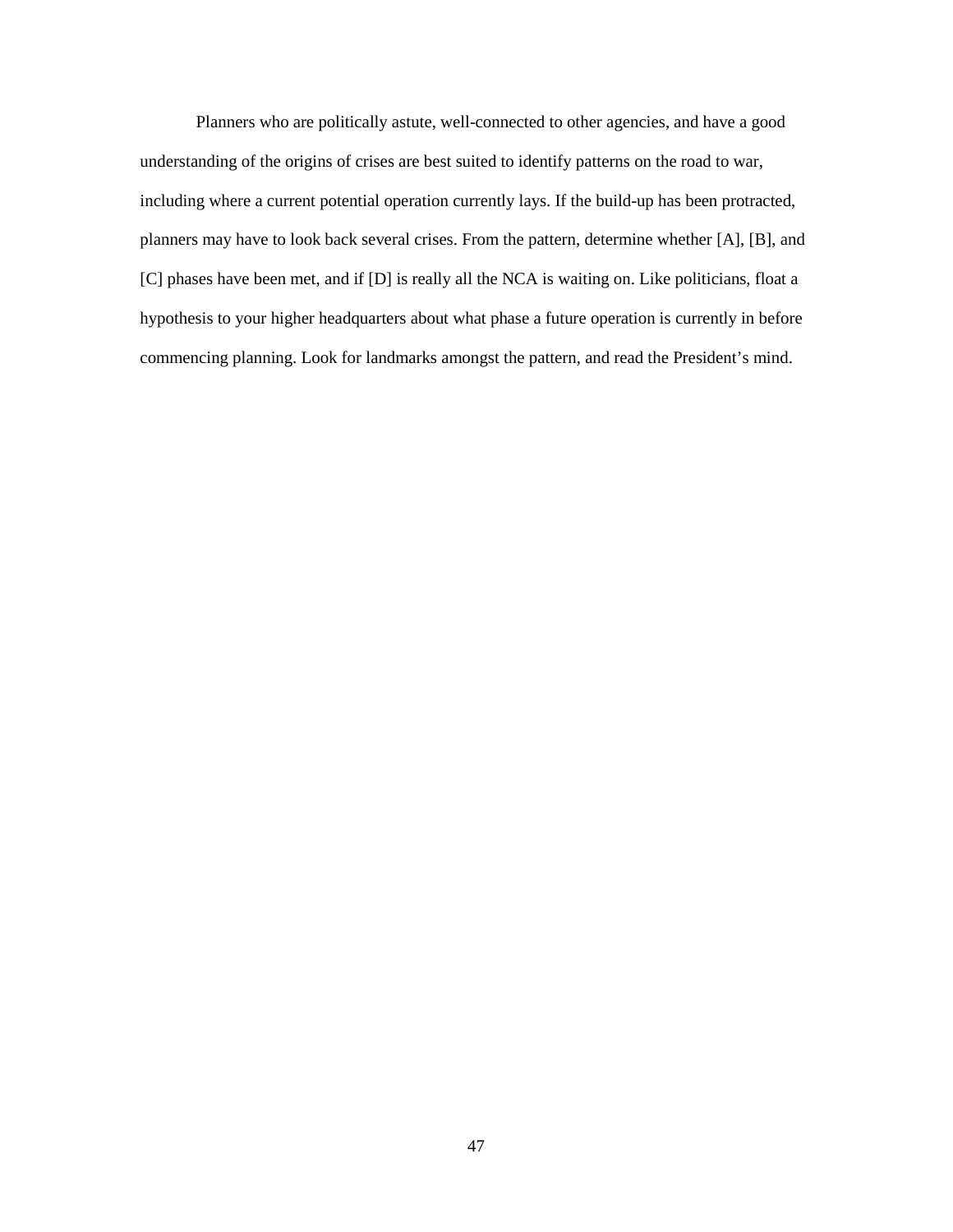Planners who are politically astute, well-connected to other agencies, and have a good understanding of the origins of crises are best suited to identify patterns on the road to war, including where a current potential operation currently lays. If the build-up has been protracted, planners may have to look back several crises. From the pattern, determine whether [A], [B], and [C] phases have been met, and if [D] is really all the NCA is waiting on. Like politicians, float a hypothesis to your higher headquarters about what phase a future operation is currently in before commencing planning. Look for landmarks amongst the pattern, and read the President's mind.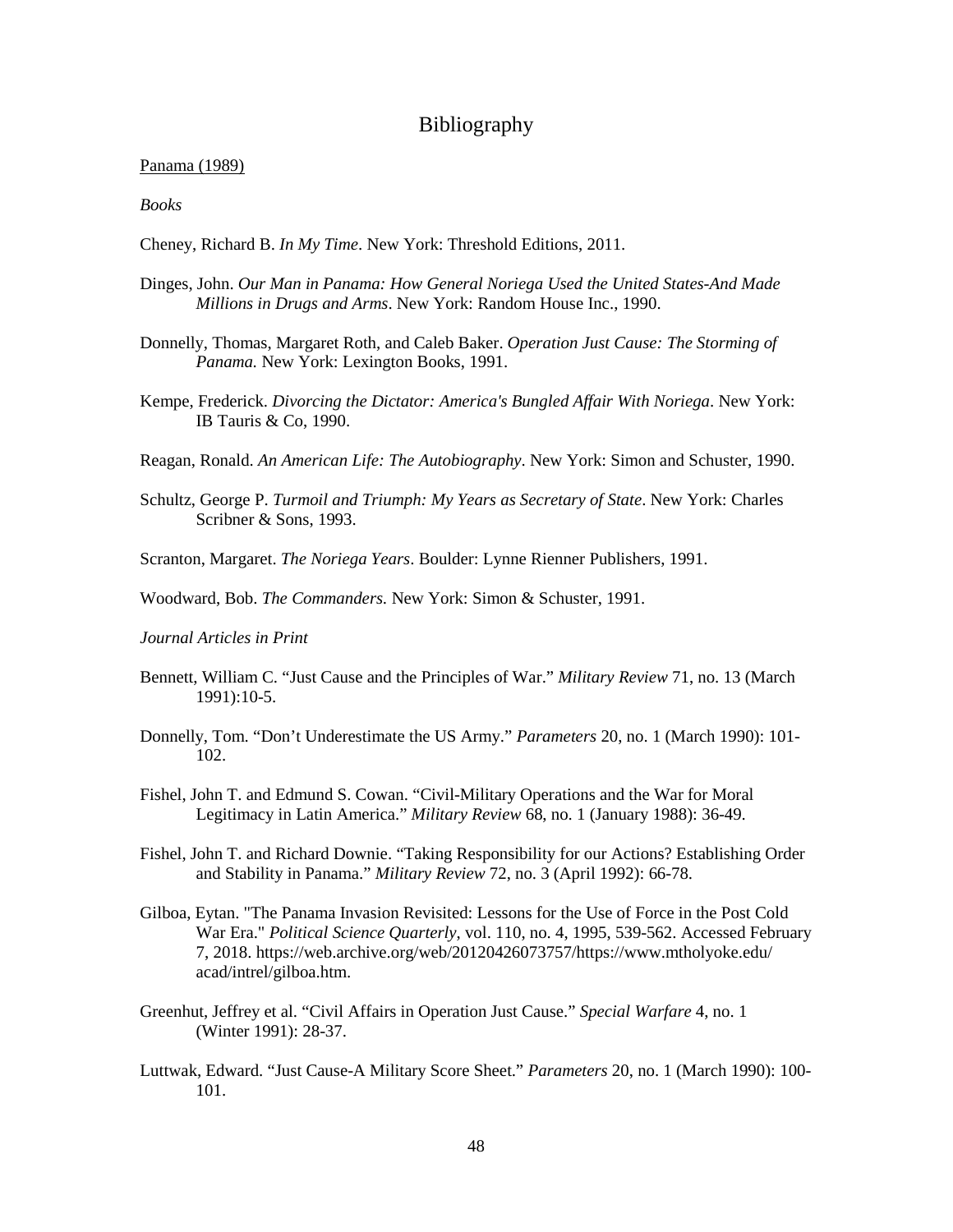## Bibliography

#### <span id="page-56-0"></span>Panama (1989)

*Books* 

- Cheney, Richard B. *In My Time*. New York: Threshold Editions, 2011.
- Dinges, John. *Our Man in Panama: How General Noriega Used the United States-And Made Millions in Drugs and Arms*. New York: Random House Inc., 1990.
- Donnelly, Thomas, Margaret Roth, and Caleb Baker. *Operation Just Cause: The Storming of Panama.* New York: Lexington Books, 1991.
- Kempe, Frederick. *Divorcing the Dictator: America's Bungled Affair With Noriega*. New York: IB Tauris & Co, 1990.
- Reagan, Ronald. *An American Life: The Autobiography*. New York: Simon and Schuster, 1990.
- Schultz, George P. *Turmoil and Triumph: My Years as Secretary of State*. New York: Charles Scribner & Sons, 1993.
- Scranton, Margaret. *The Noriega Years*. Boulder: Lynne Rienner Publishers, 1991.
- Woodward, Bob. *The Commanders.* New York: Simon & Schuster, 1991.
- *Journal Articles in Print*
- Bennett, William C. "Just Cause and the Principles of War." *Military Review* 71, no. 13 (March 1991):10-5.
- Donnelly, Tom. "Don't Underestimate the US Army." *Parameters* 20, no. 1 (March 1990): 101- 102.
- Fishel, John T. and Edmund S. Cowan. "Civil-Military Operations and the War for Moral Legitimacy in Latin America." *Military Review* 68, no. 1 (January 1988): 36-49.
- Fishel, John T. and Richard Downie. "Taking Responsibility for our Actions? Establishing Order and Stability in Panama." *Military Review* 72, no. 3 (April 1992): 66-78.
- Gilboa, Eytan. "The Panama Invasion Revisited: Lessons for the Use of Force in the Post Cold War Era." *Political Science Quarterly*, vol. 110, no. 4, 1995, 539-562. Accessed February 7, 2018. https://web.archive.org/web/20120426073757/https://www.mtholyoke.edu/ acad/intrel/gilboa.htm.
- Greenhut, Jeffrey et al. "Civil Affairs in Operation Just Cause." *Special Warfare* 4, no. 1 (Winter 1991): 28-37.
- Luttwak, Edward. "Just Cause-A Military Score Sheet." *Parameters* 20, no. 1 (March 1990): 100- 101.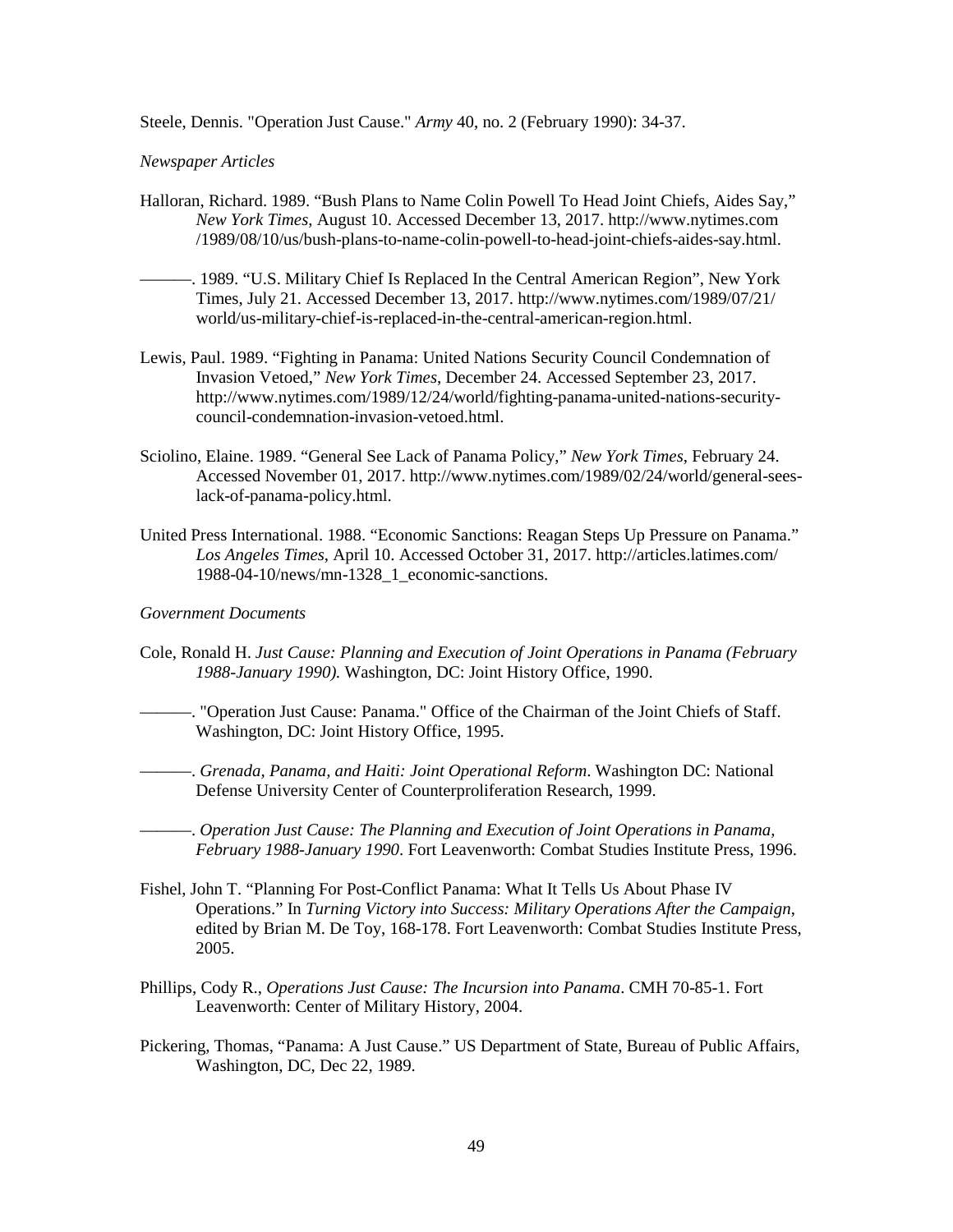Steele, Dennis. "Operation Just Cause." *Army* 40, no. 2 (February 1990): 34-37.

#### *Newspaper Articles*

- Halloran, Richard. 1989. "Bush Plans to Name Colin Powell To Head Joint Chiefs, Aides Say," *New York Times*, August 10. Accessed December 13, 2017. http://www.nytimes.com /1989/08/10/us/bush-plans-to-name-colin-powell-to-head-joint-chiefs-aides-say.html.
- -. 1989. "U.S. Military Chief Is Replaced In the Central American Region", New York Times, July 21. Accessed December 13, 2017. http://www.nytimes.com/1989/07/21/ world/us-military-chief-is-replaced-in-the-central-american-region.html.
- Lewis, Paul. 1989. "Fighting in Panama: United Nations Security Council Condemnation of Invasion Vetoed," *New York Times*, December 24. Accessed September 23, 2017. http://www.nytimes.com/1989/12/24/world/fighting-panama-united-nations-securitycouncil-condemnation-invasion-vetoed.html.
- Sciolino, Elaine. 1989. "General See Lack of Panama Policy," *New York Times*, February 24. Accessed November 01, 2017. http://www.nytimes.com/1989/02/24/world/general-seeslack-of-panama-policy.html.
- United Press International. 1988. "Economic Sanctions: Reagan Steps Up Pressure on Panama." *Los Angeles Times*, April 10. Accessed October 31, 2017. http://articles.latimes.com/ 1988-04-10/news/mn-1328\_1\_economic-sanctions.

#### *Government Documents*

- Cole, Ronald H. *Just Cause: Planning and Execution of Joint Operations in Panama (February 1988-January 1990).* Washington, DC: Joint History Office, 1990.
- ———. "Operation Just Cause: Panama." Office of the Chairman of the Joint Chiefs of Staff. Washington, DC: Joint History Office, 1995.
- ———. *Grenada, Panama, and Haiti: Joint Operational Reform*. Washington DC: National Defense University Center of Counterproliferation Research, 1999.
	- ———. *Operation Just Cause: The Planning and Execution of Joint Operations in Panama, February 1988-January 1990*. Fort Leavenworth: Combat Studies Institute Press, 1996.
- Fishel, John T. "Planning For Post-Conflict Panama: What It Tells Us About Phase IV Operations." In *Turning Victory into Success: Military Operations After the Campaign*, edited by Brian M. De Toy, 168-178. Fort Leavenworth: Combat Studies Institute Press, 2005.
- Phillips, Cody R., *Operations Just Cause: The Incursion into Panama*. CMH 70-85-1. Fort Leavenworth: Center of Military History, 2004.
- Pickering, Thomas, "Panama: A Just Cause." US Department of State, Bureau of Public Affairs, Washington, DC, Dec 22, 1989.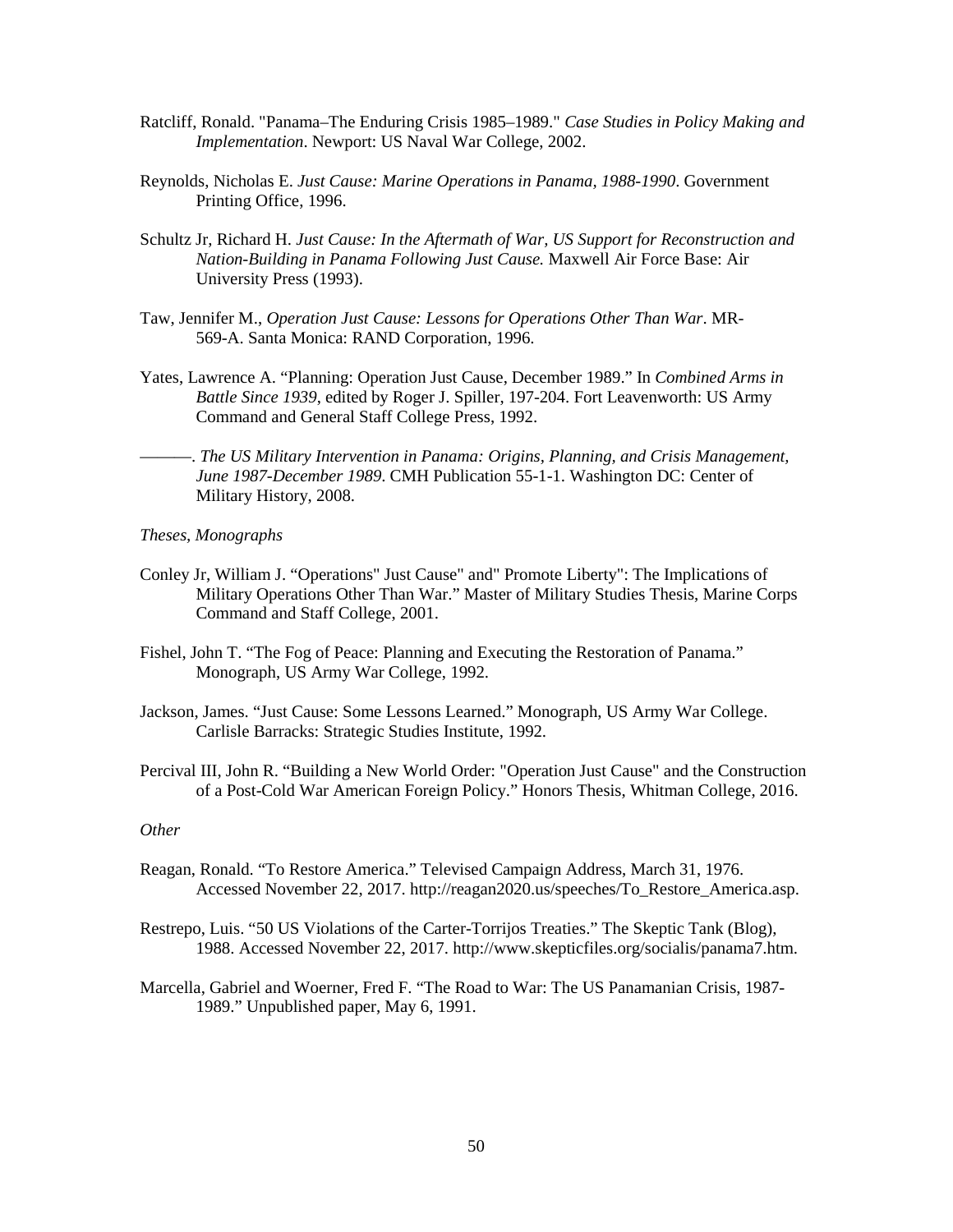- Ratcliff, Ronald. "Panama–The Enduring Crisis 1985–1989." *Case Studies in Policy Making and Implementation*. Newport: US Naval War College, 2002.
- Reynolds, Nicholas E. *Just Cause: Marine Operations in Panama, 1988-1990*. Government Printing Office, 1996.
- Schultz Jr, Richard H. *Just Cause: In the Aftermath of War, US Support for Reconstruction and Nation-Building in Panama Following Just Cause.* Maxwell Air Force Base: Air University Press (1993).
- Taw, Jennifer M., *Operation Just Cause: Lessons for Operations Other Than War*. MR-569-A. Santa Monica: RAND Corporation, 1996.
- Yates, Lawrence A. "Planning: Operation Just Cause, December 1989." In *Combined Arms in Battle Since 1939*, edited by Roger J. Spiller, 197-204. Fort Leavenworth: US Army Command and General Staff College Press, 1992.
	- ———. *The US Military Intervention in Panama: Origins, Planning, and Crisis Management, June 1987-December 1989*. CMH Publication 55-1-1. Washington DC: Center of Military History, 2008.

#### *Theses, Monographs*

- Conley Jr, William J. "Operations" Just Cause" and" Promote Liberty": The Implications of Military Operations Other Than War." Master of Military Studies Thesis, Marine Corps Command and Staff College, 2001.
- Fishel, John T. "The Fog of Peace: Planning and Executing the Restoration of Panama." Monograph, US Army War College, 1992.
- Jackson, James. "Just Cause: Some Lessons Learned." Monograph, US Army War College. Carlisle Barracks: Strategic Studies Institute, 1992.
- Percival III, John R. "Building a New World Order: "Operation Just Cause" and the Construction of a Post-Cold War American Foreign Policy." Honors Thesis, Whitman College, 2016.

#### *Other*

- Reagan, Ronald. "To Restore America." Televised Campaign Address, March 31, 1976. Accessed November 22, 2017. http://reagan2020.us/speeches/To\_Restore\_America.asp.
- Restrepo, Luis. "50 US Violations of the Carter-Torrijos Treaties." The Skeptic Tank (Blog), 1988. Accessed November 22, 2017. http://www.skepticfiles.org/socialis/panama7.htm.
- Marcella, Gabriel and Woerner, Fred F. "The Road to War: The US Panamanian Crisis, 1987- 1989." Unpublished paper, May 6, 1991.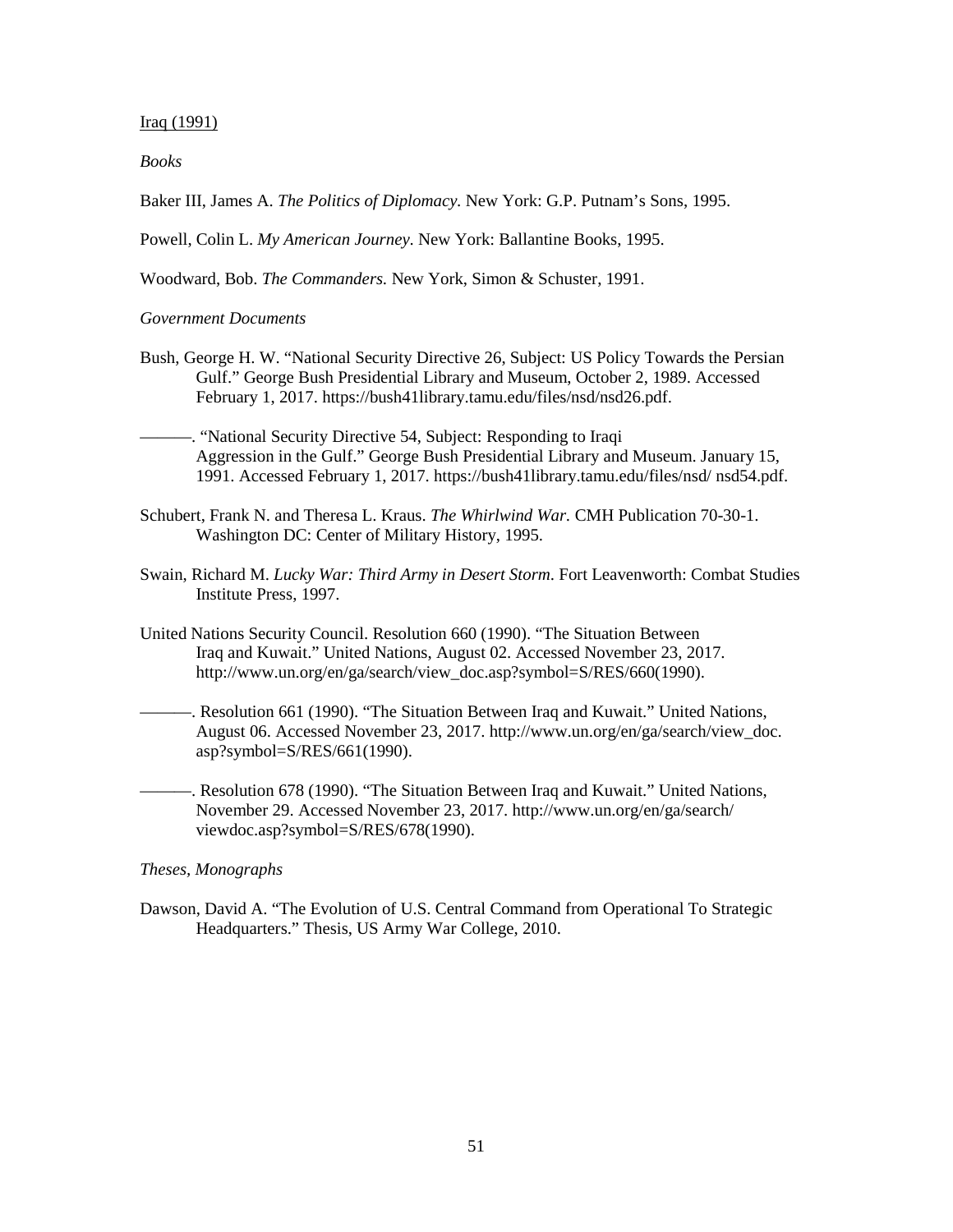#### Iraq (1991)

#### *Books*

Baker III, James A. *The Politics of Diplomacy.* New York: G.P. Putnam's Sons, 1995.

Powell, Colin L. *My American Journey*. New York: Ballantine Books, 1995.

Woodward, Bob. *The Commanders.* New York, Simon & Schuster, 1991.

#### *Government Documents*

- Bush, George H. W. "National Security Directive 26, Subject: US Policy Towards the Persian Gulf." George Bush Presidential Library and Museum, October 2, 1989. Accessed February 1, 2017. https://bush41library.tamu.edu/files/nsd/nsd26.pdf.
- ———. "National Security Directive 54, Subject: Responding to Iraqi Aggression in the Gulf." George Bush Presidential Library and Museum. January 15, 1991. Accessed February 1, 2017. https://bush41library.tamu.edu/files/nsd/ nsd54.pdf.
- Schubert, Frank N. and Theresa L. Kraus. *The Whirlwind War.* CMH Publication 70-30-1. Washington DC: Center of Military History, 1995.
- Swain, Richard M. *Lucky War: Third Army in Desert Storm*. Fort Leavenworth: Combat Studies Institute Press, 1997.
- United Nations Security Council. Resolution 660 (1990). "The Situation Between Iraq and Kuwait." United Nations, August 02. Accessed November 23, 2017. http://www.un.org/en/ga/search/view\_doc.asp?symbol=S/RES/660(1990).
- ———. Resolution 661 (1990). "The Situation Between Iraq and Kuwait." United Nations, August 06. Accessed November 23, 2017. http://www.un.org/en/ga/search/view\_doc. asp?symbol=S/RES/661(1990).
- -. Resolution 678 (1990). "The Situation Between Iraq and Kuwait." United Nations, November 29. Accessed November 23, 2017. http://www.un.org/en/ga/search/ viewdoc.asp?symbol=S/RES/678(1990).

#### *Theses, Monographs*

Dawson, David A. "The Evolution of U.S. Central Command from Operational To Strategic Headquarters." Thesis, US Army War College, 2010.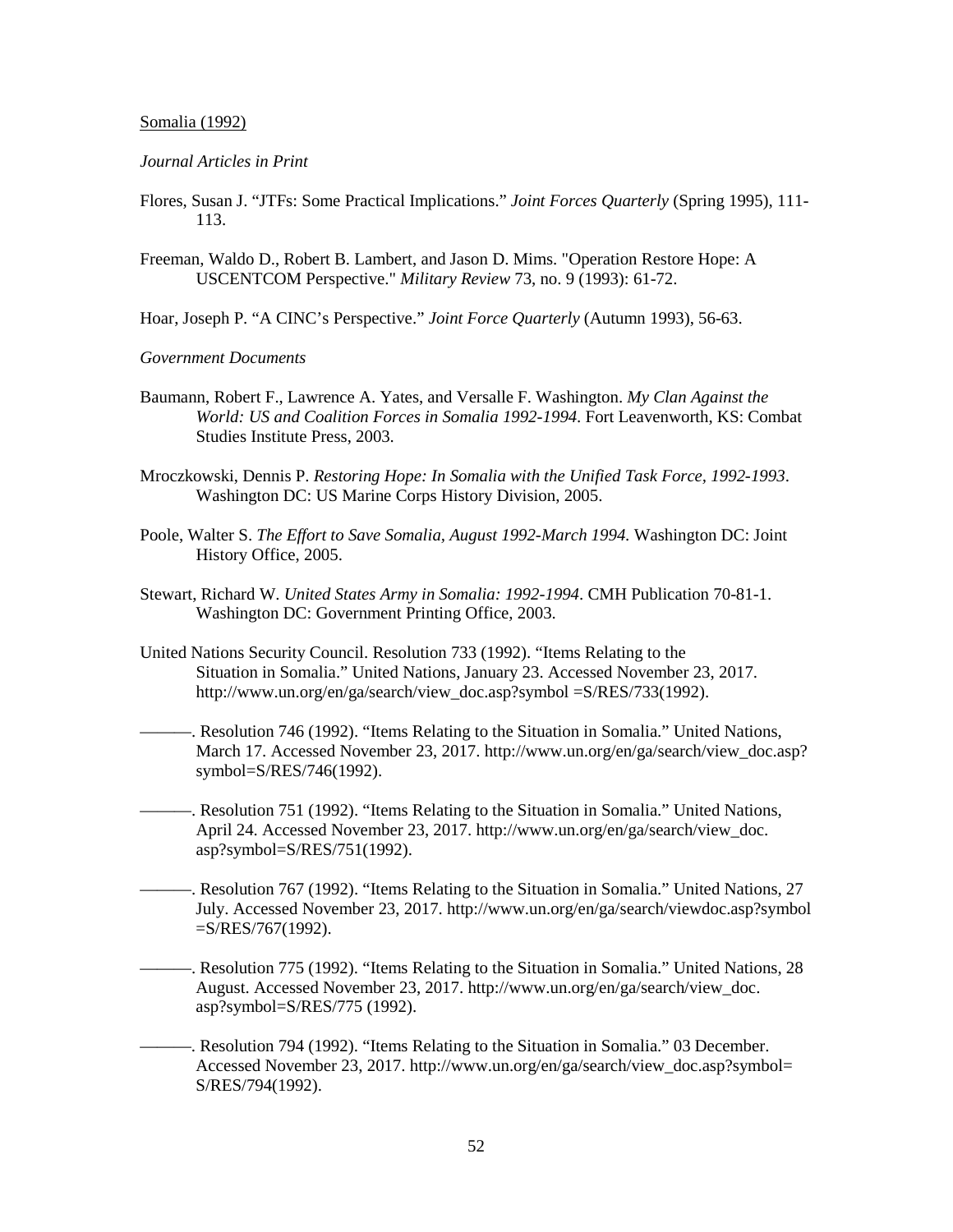#### Somalia (1992)

#### *Journal Articles in Print*

- Flores, Susan J. "JTFs: Some Practical Implications." *Joint Forces Quarterly* (Spring 1995), 111- 113.
- Freeman, Waldo D., Robert B. Lambert, and Jason D. Mims. "Operation Restore Hope: A USCENTCOM Perspective." *Military Review* 73, no. 9 (1993): 61-72.

Hoar, Joseph P. "A CINC's Perspective." *Joint Force Quarterly* (Autumn 1993), 56-63.

*Government Documents* 

- Baumann, Robert F., Lawrence A. Yates, and Versalle F. Washington. *My Clan Against the World: US and Coalition Forces in Somalia 1992-1994*. Fort Leavenworth, KS: Combat Studies Institute Press, 2003.
- Mroczkowski, Dennis P. *Restoring Hope: In Somalia with the Unified Task Force, 1992-1993*. Washington DC: US Marine Corps History Division, 2005.
- Poole, Walter S. *The Effort to Save Somalia, August 1992-March 1994.* Washington DC: Joint History Office, 2005.
- Stewart, Richard W. *United States Army in Somalia: 1992-1994*. CMH Publication 70-81-1. Washington DC: Government Printing Office, 2003.
- United Nations Security Council. Resolution 733 (1992). "Items Relating to the Situation in Somalia." United Nations, January 23. Accessed November 23, 2017. http://www.un.org/en/ga/search/view\_doc.asp?symbol =S/RES/733(1992).
- ———. Resolution 746 (1992). "Items Relating to the Situation in Somalia." United Nations, March 17. Accessed November 23, 2017. http://www.un.org/en/ga/search/view\_doc.asp? symbol=S/RES/746(1992).
- ———. Resolution 751 (1992). "Items Relating to the Situation in Somalia." United Nations, April 24. Accessed November 23, 2017. http://www.un.org/en/ga/search/view\_doc. asp?symbol=S/RES/751(1992).
- -. Resolution 767 (1992). "Items Relating to the Situation in Somalia." United Nations, 27 July. Accessed November 23, 2017. http://www.un.org/en/ga/search/viewdoc.asp?symbol  $=S/RES/767(1992)$ .
	- ———. Resolution 775 (1992). "Items Relating to the Situation in Somalia." United Nations, 28 August. Accessed November 23, 2017. http://www.un.org/en/ga/search/view\_doc. asp?symbol=S/RES/775 (1992).
		- ———. Resolution 794 (1992). "Items Relating to the Situation in Somalia." 03 December. Accessed November 23, 2017. http://www.un.org/en/ga/search/view\_doc.asp?symbol= S/RES/794(1992).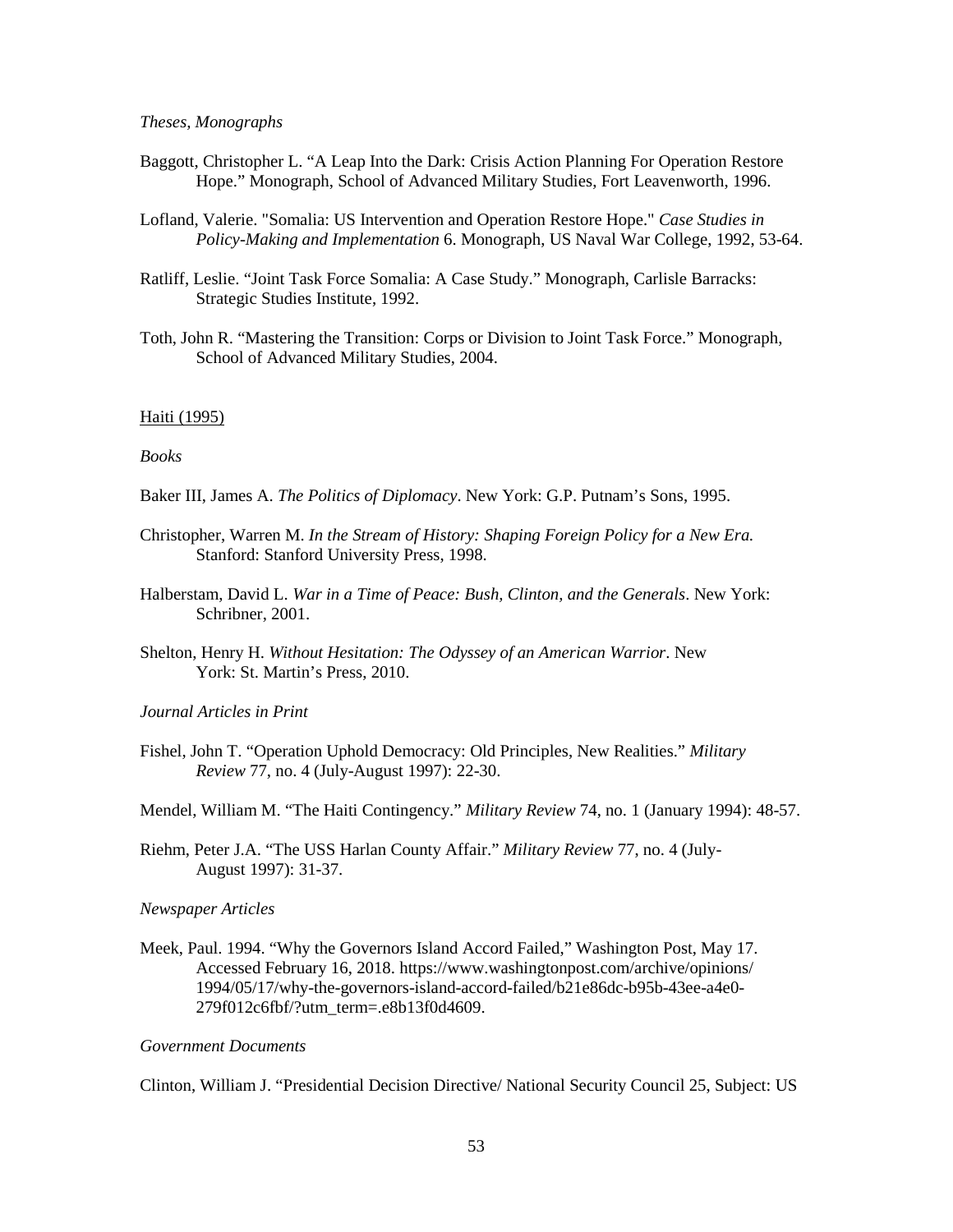#### *Theses, Monographs*

- Baggott, Christopher L. "A Leap Into the Dark: Crisis Action Planning For Operation Restore Hope." Monograph, School of Advanced Military Studies, Fort Leavenworth, 1996.
- Lofland, Valerie. "Somalia: US Intervention and Operation Restore Hope." *Case Studies in Policy-Making and Implementation* 6. Monograph, US Naval War College, 1992, 53-64.
- Ratliff, Leslie. "Joint Task Force Somalia: A Case Study." Monograph, Carlisle Barracks: Strategic Studies Institute, 1992.
- Toth, John R. "Mastering the Transition: Corps or Division to Joint Task Force." Monograph, School of Advanced Military Studies, 2004.

#### Haiti (1995)

#### *Books*

- Baker III, James A. *The Politics of Diplomacy*. New York: G.P. Putnam's Sons, 1995.
- Christopher, Warren M. *In the Stream of History: Shaping Foreign Policy for a New Era.*  Stanford: Stanford University Press, 1998.
- Halberstam, David L. *War in a Time of Peace: Bush, Clinton, and the Generals*. New York: Schribner, 2001.
- Shelton, Henry H. *Without Hesitation: The Odyssey of an American Warrior*. New York: St. Martin's Press, 2010.

*Journal Articles in Print* 

Fishel, John T. "Operation Uphold Democracy: Old Principles, New Realities." *Military Review* 77, no. 4 (July-August 1997): 22-30.

Mendel, William M. "The Haiti Contingency." *Military Review* 74, no. 1 (January 1994): 48-57.

Riehm, Peter J.A. "The USS Harlan County Affair." *Military Review* 77, no. 4 (July-August 1997): 31-37.

#### *Newspaper Articles*

Meek, Paul. 1994. "Why the Governors Island Accord Failed," Washington Post, May 17. Accessed February 16, 2018. https://www.washingtonpost.com/archive/opinions/ 1994/05/17/why-the-governors-island-accord-failed/b21e86dc-b95b-43ee-a4e0- 279f012c6fbf/?utm\_term=.e8b13f0d4609.

#### *Government Documents*

Clinton, William J. "Presidential Decision Directive/ National Security Council 25, Subject: US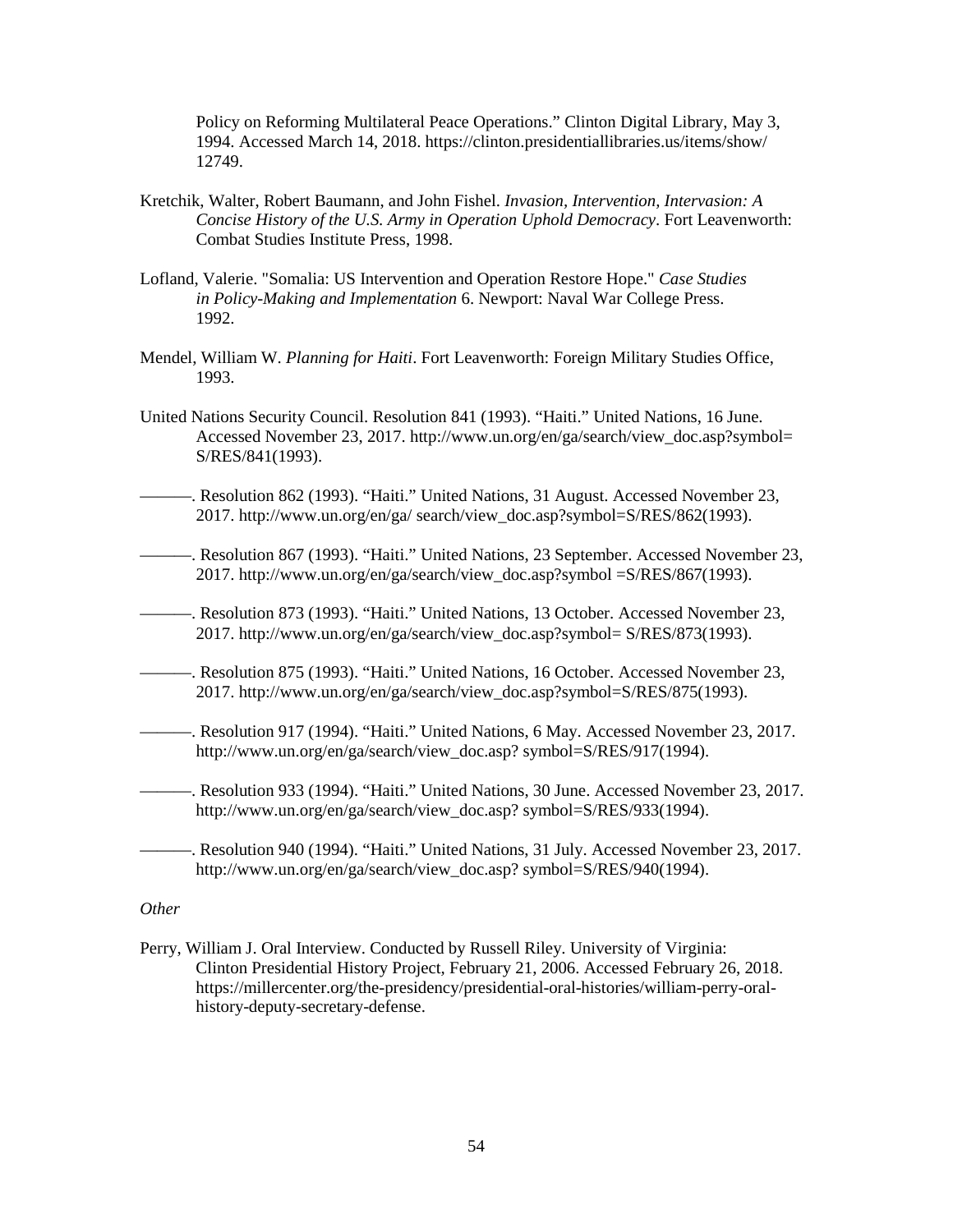Policy on Reforming Multilateral Peace Operations." Clinton Digital Library, May 3, 1994. Accessed March 14, 2018. https://clinton.presidentiallibraries.us/items/show/ 12749.

- Kretchik, Walter, Robert Baumann, and John Fishel. *Invasion, Intervention, Intervasion: A Concise History of the U.S. Army in Operation Uphold Democracy*. Fort Leavenworth: Combat Studies Institute Press, 1998.
- Lofland, Valerie. "Somalia: US Intervention and Operation Restore Hope." *Case Studies in Policy-Making and Implementation* 6. Newport: Naval War College Press. 1992.
- Mendel, William W. *Planning for Haiti*. Fort Leavenworth: Foreign Military Studies Office, 1993.
- United Nations Security Council. Resolution 841 (1993). "Haiti." United Nations, 16 June. Accessed November 23, 2017. http://www.un.org/en/ga/search/view\_doc.asp?symbol= S/RES/841(1993).
- ———. Resolution 862 (1993). "Haiti." United Nations, 31 August. Accessed November 23, 2017. http://www.un.org/en/ga/ search/view\_doc.asp?symbol=S/RES/862(1993).
- ———. Resolution 867 (1993). "Haiti." United Nations, 23 September. Accessed November 23, 2017. http://www.un.org/en/ga/search/view\_doc.asp?symbol =S/RES/867(1993).
- ———. Resolution 873 (1993). "Haiti." United Nations, 13 October. Accessed November 23, 2017. http://www.un.org/en/ga/search/view\_doc.asp?symbol= S/RES/873(1993).
- ———. Resolution 875 (1993). "Haiti." United Nations, 16 October. Accessed November 23, 2017. http://www.un.org/en/ga/search/view\_doc.asp?symbol=S/RES/875(1993).
- ———. Resolution 917 (1994). "Haiti." United Nations, 6 May. Accessed November 23, 2017. http://www.un.org/en/ga/search/view\_doc.asp? symbol=S/RES/917(1994).
- ———. Resolution 933 (1994). "Haiti." United Nations, 30 June. Accessed November 23, 2017. http://www.un.org/en/ga/search/view\_doc.asp? symbol=S/RES/933(1994).
- ———. Resolution 940 (1994). "Haiti." United Nations, 31 July. Accessed November 23, 2017. http://www.un.org/en/ga/search/view\_doc.asp? symbol=S/RES/940(1994).

## *Other*

Perry, William J. Oral Interview. Conducted by Russell Riley. University of Virginia: Clinton Presidential History Project*,* February 21, 2006. Accessed February 26, 2018. https://millercenter.org/the-presidency/presidential-oral-histories/william-perry-oralhistory-deputy-secretary-defense.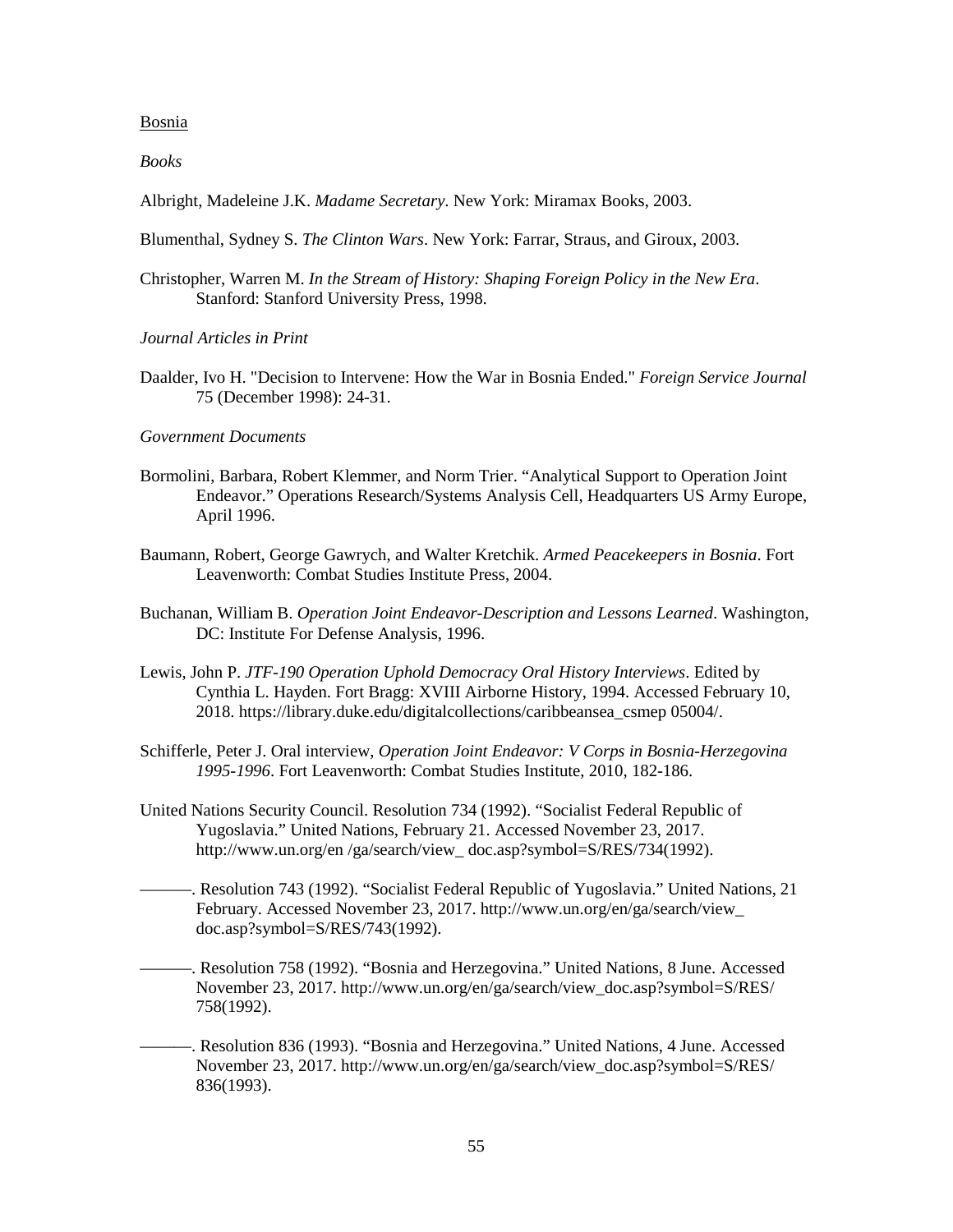#### Bosnia

*Books* 

Albright, Madeleine J.K. *Madame Secretary*. New York: Miramax Books, 2003.

Blumenthal, Sydney S. *The Clinton Wars*. New York: Farrar, Straus, and Giroux, 2003.

- Christopher, Warren M. *In the Stream of History: Shaping Foreign Policy in the New Era*. Stanford: Stanford University Press, 1998.
- *Journal Articles in Print*
- Daalder, Ivo H. "Decision to Intervene: How the War in Bosnia Ended." *Foreign Service Journal* 75 (December 1998): 24-31.

#### *Government Documents*

- Bormolini, Barbara, Robert Klemmer, and Norm Trier. "Analytical Support to Operation Joint Endeavor." Operations Research/Systems Analysis Cell, Headquarters US Army Europe, April 1996.
- Baumann, Robert, George Gawrych, and Walter Kretchik. *Armed Peacekeepers in Bosnia*. Fort Leavenworth: Combat Studies Institute Press, 2004.
- Buchanan, William B. *Operation Joint Endeavor-Description and Lessons Learned*. Washington, DC: Institute For Defense Analysis, 1996.
- Lewis, John P. *JTF-190 Operation Uphold Democracy Oral History Interviews*. Edited by Cynthia L. Hayden. Fort Bragg: XVIII Airborne History, 1994. Accessed February 10, 2018. https://library.duke.edu/digitalcollections/caribbeansea\_csmep 05004/.
- Schifferle, Peter J. Oral interview, *Operation Joint Endeavor: V Corps in Bosnia-Herzegovina 1995-1996*. Fort Leavenworth: Combat Studies Institute, 2010, 182-186.
- United Nations Security Council. Resolution 734 (1992). "Socialist Federal Republic of Yugoslavia." United Nations, February 21. Accessed November 23, 2017. http://www.un.org/en /ga/search/view\_doc.asp?symbol=S/RES/734(1992).
- -. Resolution 743 (1992). "Socialist Federal Republic of Yugoslavia." United Nations, 21 February. Accessed November 23, 2017. http://www.un.org/en/ga/search/view\_ doc.asp?symbol=S/RES/743(1992).
	- ———. Resolution 758 (1992). "Bosnia and Herzegovina." United Nations, 8 June. Accessed November 23, 2017. http://www.un.org/en/ga/search/view\_doc.asp?symbol=S/RES/ 758(1992).
	- ———. Resolution 836 (1993). "Bosnia and Herzegovina." United Nations, 4 June. Accessed November 23, 2017. http://www.un.org/en/ga/search/view\_doc.asp?symbol=S/RES/ 836(1993).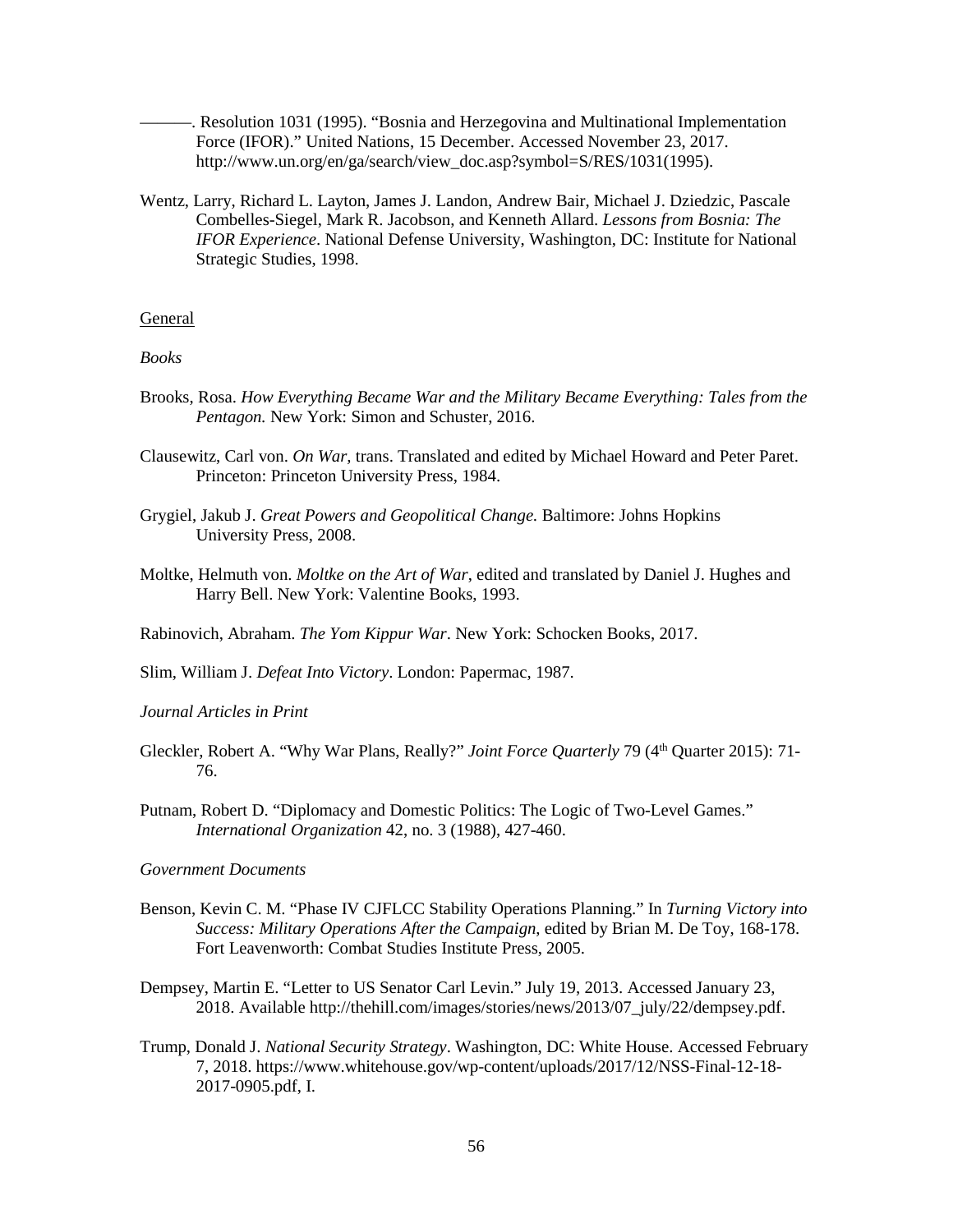———. Resolution 1031 (1995). "Bosnia and Herzegovina and Multinational Implementation Force (IFOR)." United Nations, 15 December. Accessed November 23, 2017. http://www.un.org/en/ga/search/view\_doc.asp?symbol=S/RES/1031(1995).

Wentz, Larry, Richard L. Layton, James J. Landon, Andrew Bair, Michael J. Dziedzic, Pascale Combelles-Siegel, Mark R. Jacobson, and Kenneth Allard. *Lessons from Bosnia: The IFOR Experience*. National Defense University, Washington, DC: Institute for National Strategic Studies, 1998.

#### General

### *Books*

- Brooks, Rosa. *How Everything Became War and the Military Became Everything: Tales from the Pentagon.* New York: Simon and Schuster, 2016.
- Clausewitz, Carl von. *On War,* trans. Translated and edited by Michael Howard and Peter Paret. Princeton: Princeton University Press, 1984.
- Grygiel, Jakub J. *Great Powers and Geopolitical Change.* Baltimore: Johns Hopkins University Press, 2008.
- Moltke, Helmuth von. *Moltke on the Art of War*, edited and translated by Daniel J. Hughes and Harry Bell. New York: Valentine Books, 1993.

Rabinovich, Abraham. *The Yom Kippur War*. New York: Schocken Books, 2017.

Slim, William J. *Defeat Into Victory*. London: Papermac, 1987.

*Journal Articles in Print*

- Gleckler, Robert A. "Why War Plans, Really?" *Joint Force Quarterly* 79 (4<sup>th</sup> Quarter 2015): 71-76.
- Putnam, Robert D. "Diplomacy and Domestic Politics: The Logic of Two-Level Games." *International Organization* 42, no. 3 (1988), 427-460.

#### *Government Documents*

- Benson, Kevin C. M. "Phase IV CJFLCC Stability Operations Planning." In *Turning Victory into Success: Military Operations After the Campaign*, edited by Brian M. De Toy, 168-178. Fort Leavenworth: Combat Studies Institute Press, 2005.
- Dempsey, Martin E. "Letter to US Senator Carl Levin." July 19, 2013. Accessed January 23, 2018. Available http://thehill.com/images/stories/news/2013/07\_july/22/dempsey.pdf.
- Trump, Donald J. *National Security Strategy*. Washington, DC: White House. Accessed February 7, 2018. https://www.whitehouse.gov/wp-content/uploads/2017/12/NSS-Final-12-18- 2017-0905.pdf, I.